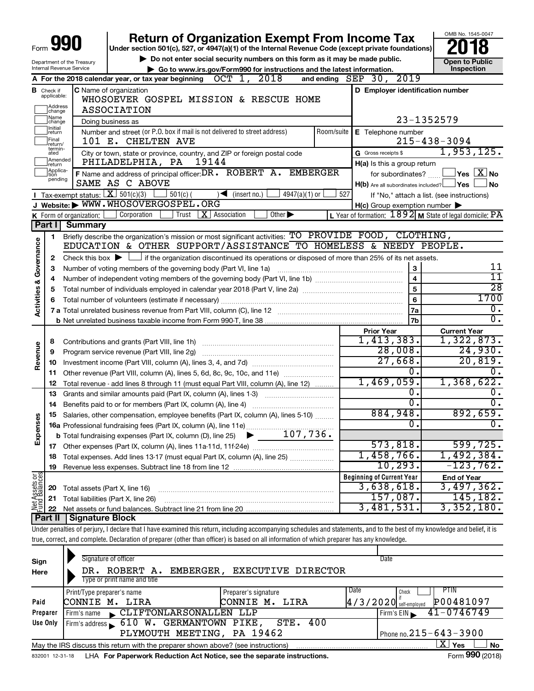|                                |                                  |                                        | <b>Return of Organization Exempt From Income Tax</b>                                                                                                                       |            |                                                                       | OMB No. 1545-0047                                                  |
|--------------------------------|----------------------------------|----------------------------------------|----------------------------------------------------------------------------------------------------------------------------------------------------------------------------|------------|-----------------------------------------------------------------------|--------------------------------------------------------------------|
| Form                           |                                  |                                        | Under section 501(c), 527, or 4947(a)(1) of the Internal Revenue Code (except private foundations)                                                                         |            |                                                                       |                                                                    |
|                                |                                  | Department of the Treasury             | Do not enter social security numbers on this form as it may be made public.                                                                                                |            |                                                                       | <b>Open to Public</b>                                              |
|                                |                                  | Internal Revenue Service               | Go to www.irs.gov/Form990 for instructions and the latest information.                                                                                                     |            |                                                                       | Inspection                                                         |
|                                |                                  |                                        | A For the 2018 calendar year, or tax year beginning $OCT$ 1, 2018                                                                                                          |            | and ending SEP 30, 2019                                               |                                                                    |
|                                | <b>B</b> Check if<br>applicable: |                                        | C Name of organization                                                                                                                                                     |            | D Employer identification number                                      |                                                                    |
|                                |                                  |                                        | WHOSOEVER GOSPEL MISSION & RESCUE HOME                                                                                                                                     |            |                                                                       |                                                                    |
|                                | Address<br> change<br>Name       |                                        | <b>ASSOCIATION</b>                                                                                                                                                         |            |                                                                       |                                                                    |
|                                | change<br>Initial                |                                        | Doing business as                                                                                                                                                          |            |                                                                       | 23-1352579                                                         |
|                                | ]return<br>Final                 |                                        | Number and street (or P.O. box if mail is not delivered to street address)                                                                                                 | Room/suite | $E$ Telephone number                                                  |                                                                    |
|                                | return/<br>termin-               |                                        | 101 E. CHELTEN AVE                                                                                                                                                         |            |                                                                       | $215 - 438 - 3094$<br>1,953,125.                                   |
|                                | ated<br>Amended                  |                                        | City or town, state or province, country, and ZIP or foreign postal code<br>PHILADELPHIA, PA<br>19144                                                                      |            | G Gross receipts \$                                                   |                                                                    |
|                                | Ireturn<br>Applica-              |                                        | F Name and address of principal officer: DR . ROBERT A. EMBERGER                                                                                                           |            | H(a) Is this a group return                                           | $\mathsf{\perp}$ Yes $\mathsf{\perp} \mathbf{X} \mathsf{\perp}$ No |
|                                | tion<br>pending                  |                                        | SAME AS C ABOVE                                                                                                                                                            |            | for subordinates?<br>$H(b)$ Are all subordinates included? $\Box$ Yes | l No                                                               |
|                                |                                  | Tax-exempt status: $X \over 301(c)(3)$ | $501(c)$ (<br>$\sqrt{\frac{1}{1}}$ (insert no.)<br>$4947(a)(1)$ or                                                                                                         | 527        |                                                                       | If "No," attach a list. (see instructions)                         |
|                                |                                  |                                        | J Website: WWW.WHOSOVERGOSPEL.ORG                                                                                                                                          |            | $H(c)$ Group exemption number $\blacktriangleright$                   |                                                                    |
|                                |                                  | K Form of organization: $\vert$        | Other $\blacktriangleright$<br>Corporation<br>Trust<br>$X$   Association                                                                                                   |            |                                                                       | L Year of formation: $1892$ M State of legal domicile: PA          |
|                                | Part I                           | <b>Summary</b>                         |                                                                                                                                                                            |            |                                                                       |                                                                    |
|                                | 1.                               |                                        | Briefly describe the organization's mission or most significant activities: TO PROVIDE FOOD, CLOTHING,                                                                     |            |                                                                       |                                                                    |
| Governance                     |                                  |                                        | EDUCATION & OTHER SUPPORT/ASSISTANCE TO HOMELESS & NEEDY PEOPLE.                                                                                                           |            |                                                                       |                                                                    |
|                                | 2                                |                                        | Check this box $\blacktriangleright$ $\Box$ if the organization discontinued its operations or disposed of more than 25% of its net assets.                                |            |                                                                       |                                                                    |
|                                | з                                |                                        | Number of voting members of the governing body (Part VI, line 1a)                                                                                                          |            | 3                                                                     | 11                                                                 |
|                                | 4                                |                                        |                                                                                                                                                                            |            | $\overline{\mathbf{4}}$                                               | 11                                                                 |
|                                | 5                                |                                        |                                                                                                                                                                            |            | 5                                                                     | $\overline{28}$                                                    |
| Activities &                   | 6                                |                                        | Total number of volunteers (estimate if necessary)                                                                                                                         |            | 6                                                                     | 1700                                                               |
|                                |                                  |                                        |                                                                                                                                                                            |            | 7a                                                                    | $\overline{0}$ .                                                   |
|                                |                                  |                                        |                                                                                                                                                                            |            | 7b                                                                    | $\overline{0}$ .                                                   |
|                                |                                  |                                        |                                                                                                                                                                            |            | <b>Prior Year</b>                                                     | <b>Current Year</b>                                                |
|                                | 8                                |                                        | Contributions and grants (Part VIII, line 1h)                                                                                                                              |            | 1,413,383.                                                            | 1,322,873.                                                         |
| Revenue                        | 9                                |                                        |                                                                                                                                                                            |            | 28,008.                                                               | 24,930.                                                            |
|                                | 10                               |                                        |                                                                                                                                                                            |            | 27,668.                                                               | 20,819.                                                            |
|                                | 11.                              |                                        | Other revenue (Part VIII, column (A), lines 5, 6d, 8c, 9c, 10c, and 11e)                                                                                                   |            | ο.<br>1,469,059.                                                      | 0.<br>1,368,622.                                                   |
|                                | 12                               |                                        | Total revenue - add lines 8 through 11 (must equal Part VIII, column (A), line 12)                                                                                         |            | Ο.                                                                    | 0.                                                                 |
|                                | 13                               |                                        | Grants and similar amounts paid (Part IX, column (A), lines 1-3)                                                                                                           |            | σ.                                                                    | $\overline{0}$ .                                                   |
|                                | 14                               |                                        | Benefits paid to or for members (Part IX, column (A), line 4)                                                                                                              |            | 884,948.                                                              | 892,659.                                                           |
| Expenses                       |                                  |                                        | 15 Salaries, other compensation, employee benefits (Part IX, column (A), lines 5-10)                                                                                       |            | 0.                                                                    | 0.                                                                 |
|                                |                                  |                                        |                                                                                                                                                                            |            |                                                                       |                                                                    |
|                                |                                  |                                        |                                                                                                                                                                            |            | 573,818.                                                              | 599, 725.                                                          |
|                                | 18                               |                                        | Total expenses. Add lines 13-17 (must equal Part IX, column (A), line 25)                                                                                                  |            | 1,458,766.                                                            | 1,492,384.                                                         |
|                                | 19                               |                                        |                                                                                                                                                                            |            | 10, 293.                                                              | $-123,762$ .                                                       |
|                                |                                  |                                        |                                                                                                                                                                            |            | <b>Beginning of Current Year</b>                                      | <b>End of Year</b>                                                 |
| Net Assets or<br>Fund Balances | 20                               | Total assets (Part X, line 16)         |                                                                                                                                                                            |            | 3,638,618.                                                            | 3,497,362.                                                         |
|                                | 21                               |                                        | Total liabilities (Part X, line 26)                                                                                                                                        |            | 157,087.                                                              | 145,182.                                                           |
|                                | 22                               |                                        |                                                                                                                                                                            |            | 3,481,531.                                                            | 3,352,180.                                                         |
|                                | Part II                          | <b>Signature Block</b>                 |                                                                                                                                                                            |            |                                                                       |                                                                    |
|                                |                                  |                                        | Under penalties of perjury, I declare that I have examined this return, including accompanying schedules and statements, and to the best of my knowledge and belief, it is |            |                                                                       |                                                                    |
|                                |                                  |                                        | true, correct, and complete. Declaration of preparer (other than officer) is based on all information of which preparer has any knowledge.                                 |            |                                                                       |                                                                    |
|                                |                                  |                                        |                                                                                                                                                                            |            |                                                                       |                                                                    |

| Sign     | Signature of officer                                                                                  |                              | Date                             |                                                  |  |  |  |  |  |  |  |  |
|----------|-------------------------------------------------------------------------------------------------------|------------------------------|----------------------------------|--------------------------------------------------|--|--|--|--|--|--|--|--|
| Here     | DR. ROBERT A.<br>Type or print name and title                                                         | EMBERGER, EXECUTIVE DIRECTOR |                                  |                                                  |  |  |  |  |  |  |  |  |
|          | PTIN<br><b>Date</b><br>Print/Type preparer's name<br>Preparer's signature<br>Check                    |                              |                                  |                                                  |  |  |  |  |  |  |  |  |
| Paid     | P00481097<br>$4/3/2020$ self-employed<br>CONNIE M. LIRA<br>CONNIE M. LIRA                             |                              |                                  |                                                  |  |  |  |  |  |  |  |  |
| Preparer | CLIFTONLARSONALLEN LLP<br>Firm's name                                                                 |                              | $Firm's EIN \blacktriangleright$ | $41 - 0746749$                                   |  |  |  |  |  |  |  |  |
| Use Only | Firm's address 610 W. GERMANTOWN PIKE, STE. 400                                                       |                              |                                  |                                                  |  |  |  |  |  |  |  |  |
|          | Phone no. $215 - 643 - 3900$<br>PLYMOUTH MEETING, PA 19462                                            |                              |                                  |                                                  |  |  |  |  |  |  |  |  |
|          | X l<br>Yes<br>No<br>May the IRS discuss this return with the preparer shown above? (see instructions) |                              |                                  |                                                  |  |  |  |  |  |  |  |  |
|          |                                                                                                       |                              |                                  | $000 \times 10^{-1}$<br>$\overline{\phantom{0}}$ |  |  |  |  |  |  |  |  |

832001 12-31-18 **For Paperwork Reduction Act Notice, see the separate instructions.** LHA Form (2018)

Form **990** (2018)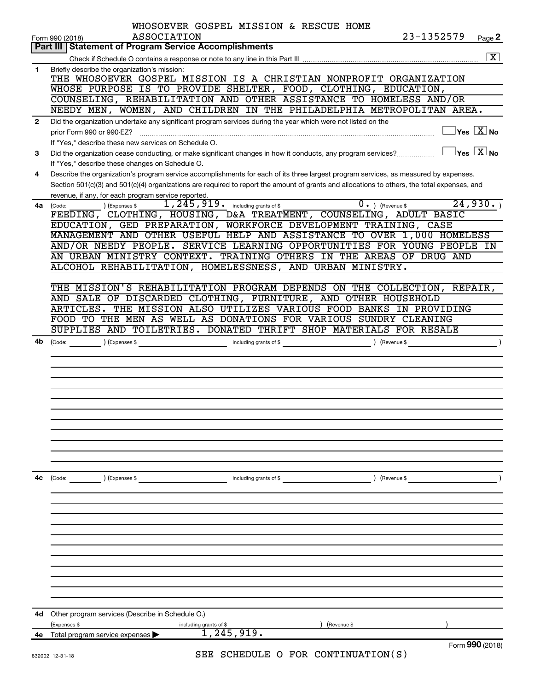|              | WHOSOEVER GOSPEL MISSION & RESCUE HOME                                                                                                                                                                                                                                                                                                                                                                                                                                                                           |
|--------------|------------------------------------------------------------------------------------------------------------------------------------------------------------------------------------------------------------------------------------------------------------------------------------------------------------------------------------------------------------------------------------------------------------------------------------------------------------------------------------------------------------------|
|              | 23-1352579<br>ASSOCIATION<br>Page 2<br>Form 990 (2018)                                                                                                                                                                                                                                                                                                                                                                                                                                                           |
|              | <b>Part III Statement of Program Service Accomplishments</b><br>$\boxed{\textbf{X}}$                                                                                                                                                                                                                                                                                                                                                                                                                             |
|              |                                                                                                                                                                                                                                                                                                                                                                                                                                                                                                                  |
| 1            | Briefly describe the organization's mission:<br>THE WHOSOEVER GOSPEL MISSION IS A CHRISTIAN NONPROFIT ORGANIZATION                                                                                                                                                                                                                                                                                                                                                                                               |
|              | WHOSE PURPOSE IS TO PROVIDE SHELTER, FOOD, CLOTHING, EDUCATION,                                                                                                                                                                                                                                                                                                                                                                                                                                                  |
|              | COUNSELING, REHABILITATION AND OTHER ASSISTANCE TO HOMELESS AND/OR                                                                                                                                                                                                                                                                                                                                                                                                                                               |
|              | NEEDY MEN, WOMEN, AND CHILDREN IN THE PHILADELPHIA METROPOLITAN AREA.                                                                                                                                                                                                                                                                                                                                                                                                                                            |
|              |                                                                                                                                                                                                                                                                                                                                                                                                                                                                                                                  |
| $\mathbf{2}$ | Did the organization undertake any significant program services during the year which were not listed on the<br>$\exists$ Yes $\boxed{\text{X}}$ No                                                                                                                                                                                                                                                                                                                                                              |
|              | prior Form 990 or 990-EZ?                                                                                                                                                                                                                                                                                                                                                                                                                                                                                        |
|              | If "Yes," describe these new services on Schedule O.<br>$\exists$ Yes $\boxed{\text{X}}$ No                                                                                                                                                                                                                                                                                                                                                                                                                      |
| 3            | Did the organization cease conducting, or make significant changes in how it conducts, any program services?                                                                                                                                                                                                                                                                                                                                                                                                     |
|              | If "Yes," describe these changes on Schedule O.                                                                                                                                                                                                                                                                                                                                                                                                                                                                  |
| 4            | Describe the organization's program service accomplishments for each of its three largest program services, as measured by expenses.                                                                                                                                                                                                                                                                                                                                                                             |
|              | Section 501(c)(3) and 501(c)(4) organizations are required to report the amount of grants and allocations to others, the total expenses, and                                                                                                                                                                                                                                                                                                                                                                     |
|              | revenue, if any, for each program service reported.<br>24,930.                                                                                                                                                                                                                                                                                                                                                                                                                                                   |
| 4a l         | 1, 245, 919. including grants of \$<br>$\overline{0}$ . ) (Revenue \$<br>(Expenses \$<br>(Code:<br>FEEDING, CLOTHING, HOUSING, D&A TREATMENT, COUNSELING, ADULT BASIC                                                                                                                                                                                                                                                                                                                                            |
|              | EDUCATION, GED PREPARATION, WORKFORCE DEVELOPMENT TRAINING, CASE                                                                                                                                                                                                                                                                                                                                                                                                                                                 |
|              | MANAGEMENT AND OTHER USEFUL HELP AND ASSISTANCE TO OVER 1,000 HOMELESS                                                                                                                                                                                                                                                                                                                                                                                                                                           |
|              | AND/OR NEEDY PEOPLE. SERVICE LEARNING OPPORTUNITIES FOR YOUNG PEOPLE IN                                                                                                                                                                                                                                                                                                                                                                                                                                          |
|              | AN URBAN MINISTRY CONTEXT. TRAINING OTHERS IN THE AREAS OF DRUG AND                                                                                                                                                                                                                                                                                                                                                                                                                                              |
|              | ALCOHOL REHABILITATION, HOMELESSNESS, AND URBAN MINISTRY.                                                                                                                                                                                                                                                                                                                                                                                                                                                        |
|              |                                                                                                                                                                                                                                                                                                                                                                                                                                                                                                                  |
|              | THE MISSION'S REHABILITATION PROGRAM DEPENDS ON THE COLLECTION, REPAIR,                                                                                                                                                                                                                                                                                                                                                                                                                                          |
|              | AND SALE OF DISCARDED CLOTHING, FURNITURE, AND OTHER HOUSEHOLD                                                                                                                                                                                                                                                                                                                                                                                                                                                   |
|              | THE MISSION ALSO UTILIZES VARIOUS FOOD BANKS IN PROVIDING<br>ARTICLES.                                                                                                                                                                                                                                                                                                                                                                                                                                           |
|              | FOOD TO THE MEN AS WELL AS DONATIONS FOR VARIOUS SUNDRY CLEANING                                                                                                                                                                                                                                                                                                                                                                                                                                                 |
|              | SUPPLIES AND TOILETRIES. DONATED THRIFT SHOP MATERIALS FOR RESALE                                                                                                                                                                                                                                                                                                                                                                                                                                                |
| 4b           | $\frac{1}{\sqrt{1-\frac{1}{2}}\sqrt{1-\frac{1}{2}}\sqrt{1-\frac{1}{2}}\sqrt{1-\frac{1}{2}}\sqrt{1-\frac{1}{2}}\sqrt{1-\frac{1}{2}}\sqrt{1-\frac{1}{2}}\sqrt{1-\frac{1}{2}}\sqrt{1-\frac{1}{2}}\sqrt{1-\frac{1}{2}}\sqrt{1-\frac{1}{2}}\sqrt{1-\frac{1}{2}}\sqrt{1-\frac{1}{2}}\sqrt{1-\frac{1}{2}}\sqrt{1-\frac{1}{2}}\sqrt{1-\frac{1}{2}}\sqrt{1-\frac{1}{2}}\sqrt{1-\frac{1}{2}}\sqrt{1-\frac{1}{2}}\sqrt{1-\frac$<br>including grants of \$<br>) (Revenue \$<br>$\left(\text{Code:}\right)$<br>) (Expenses \$ |
|              |                                                                                                                                                                                                                                                                                                                                                                                                                                                                                                                  |
|              |                                                                                                                                                                                                                                                                                                                                                                                                                                                                                                                  |
|              |                                                                                                                                                                                                                                                                                                                                                                                                                                                                                                                  |
|              |                                                                                                                                                                                                                                                                                                                                                                                                                                                                                                                  |
|              |                                                                                                                                                                                                                                                                                                                                                                                                                                                                                                                  |
|              |                                                                                                                                                                                                                                                                                                                                                                                                                                                                                                                  |
|              |                                                                                                                                                                                                                                                                                                                                                                                                                                                                                                                  |
|              |                                                                                                                                                                                                                                                                                                                                                                                                                                                                                                                  |
|              |                                                                                                                                                                                                                                                                                                                                                                                                                                                                                                                  |
|              |                                                                                                                                                                                                                                                                                                                                                                                                                                                                                                                  |
|              |                                                                                                                                                                                                                                                                                                                                                                                                                                                                                                                  |
|              |                                                                                                                                                                                                                                                                                                                                                                                                                                                                                                                  |
| 4с           | (Code: ) (Expenses \$<br>including grants of \$<br>) (Revenue \$                                                                                                                                                                                                                                                                                                                                                                                                                                                 |
|              |                                                                                                                                                                                                                                                                                                                                                                                                                                                                                                                  |
|              |                                                                                                                                                                                                                                                                                                                                                                                                                                                                                                                  |
|              |                                                                                                                                                                                                                                                                                                                                                                                                                                                                                                                  |
|              |                                                                                                                                                                                                                                                                                                                                                                                                                                                                                                                  |
|              |                                                                                                                                                                                                                                                                                                                                                                                                                                                                                                                  |
|              |                                                                                                                                                                                                                                                                                                                                                                                                                                                                                                                  |
|              |                                                                                                                                                                                                                                                                                                                                                                                                                                                                                                                  |
|              |                                                                                                                                                                                                                                                                                                                                                                                                                                                                                                                  |
|              |                                                                                                                                                                                                                                                                                                                                                                                                                                                                                                                  |
|              |                                                                                                                                                                                                                                                                                                                                                                                                                                                                                                                  |
|              |                                                                                                                                                                                                                                                                                                                                                                                                                                                                                                                  |
| 4d           | Other program services (Describe in Schedule O.)                                                                                                                                                                                                                                                                                                                                                                                                                                                                 |
|              | (Expenses \$<br>(Revenue \$<br>including grants of \$                                                                                                                                                                                                                                                                                                                                                                                                                                                            |
| 4e           | 1, 245, 919.<br>Total program service expenses                                                                                                                                                                                                                                                                                                                                                                                                                                                                   |
|              | Form 990 (2018)<br>SER SCHRDIILE O ROR CONTINUIATION(S)                                                                                                                                                                                                                                                                                                                                                                                                                                                          |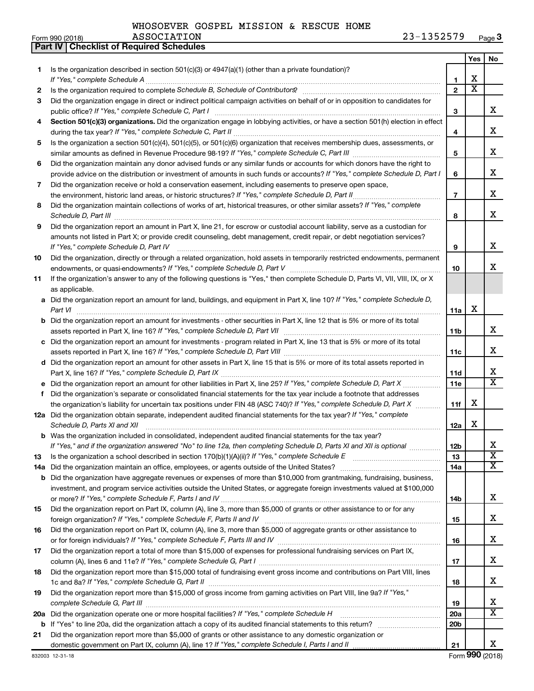| WHOSOEVER GOSPEL MISSION & RESCUE HOME |  |  |  |  |  |
|----------------------------------------|--|--|--|--|--|
|----------------------------------------|--|--|--|--|--|

**Part IV Checklist of Required Schedules**

|     |                                                                                                                                                                                                                                                           |                 | Yes                   | No                      |
|-----|-----------------------------------------------------------------------------------------------------------------------------------------------------------------------------------------------------------------------------------------------------------|-----------------|-----------------------|-------------------------|
| 1   | Is the organization described in section 501(c)(3) or 4947(a)(1) (other than a private foundation)?                                                                                                                                                       |                 |                       |                         |
|     |                                                                                                                                                                                                                                                           | 1               | х                     |                         |
| 2   |                                                                                                                                                                                                                                                           | $\mathbf{2}$    | $\overline{\text{x}}$ |                         |
| 3   | Did the organization engage in direct or indirect political campaign activities on behalf of or in opposition to candidates for                                                                                                                           |                 |                       |                         |
|     | public office? If "Yes," complete Schedule C, Part I                                                                                                                                                                                                      | 3               |                       | x                       |
| 4   | Section 501(c)(3) organizations. Did the organization engage in lobbying activities, or have a section 501(h) election in effect                                                                                                                          | 4               |                       | x                       |
| 5   | Is the organization a section 501(c)(4), 501(c)(5), or 501(c)(6) organization that receives membership dues, assessments, or                                                                                                                              |                 |                       |                         |
|     |                                                                                                                                                                                                                                                           | 5               |                       | x                       |
| 6   | Did the organization maintain any donor advised funds or any similar funds or accounts for which donors have the right to<br>provide advice on the distribution or investment of amounts in such funds or accounts? If "Yes," complete Schedule D, Part I | 6               |                       | x                       |
| 7   | Did the organization receive or hold a conservation easement, including easements to preserve open space,                                                                                                                                                 |                 |                       |                         |
|     |                                                                                                                                                                                                                                                           | $\overline{7}$  |                       | x                       |
| 8   | Did the organization maintain collections of works of art, historical treasures, or other similar assets? If "Yes," complete                                                                                                                              |                 |                       |                         |
|     | Schedule D, Part III                                                                                                                                                                                                                                      | 8               |                       | x                       |
| 9   | Did the organization report an amount in Part X, line 21, for escrow or custodial account liability, serve as a custodian for                                                                                                                             |                 |                       |                         |
|     | amounts not listed in Part X; or provide credit counseling, debt management, credit repair, or debt negotiation services?                                                                                                                                 |                 |                       |                         |
|     | If "Yes," complete Schedule D, Part IV                                                                                                                                                                                                                    | 9               |                       | x                       |
| 10  | Did the organization, directly or through a related organization, hold assets in temporarily restricted endowments, permanent                                                                                                                             |                 |                       |                         |
|     |                                                                                                                                                                                                                                                           | 10              |                       | x                       |
| 11  | If the organization's answer to any of the following questions is "Yes," then complete Schedule D, Parts VI, VII, VIII, IX, or X                                                                                                                          |                 |                       |                         |
|     | as applicable.                                                                                                                                                                                                                                            |                 |                       |                         |
|     | a Did the organization report an amount for land, buildings, and equipment in Part X, line 10? If "Yes," complete Schedule D,                                                                                                                             |                 |                       |                         |
|     |                                                                                                                                                                                                                                                           | 11a             | X                     |                         |
|     | <b>b</b> Did the organization report an amount for investments - other securities in Part X, line 12 that is 5% or more of its total                                                                                                                      |                 |                       | x                       |
|     |                                                                                                                                                                                                                                                           | 11b             |                       |                         |
|     | c Did the organization report an amount for investments - program related in Part X, line 13 that is 5% or more of its total                                                                                                                              | 11c             |                       | х                       |
|     | d Did the organization report an amount for other assets in Part X, line 15 that is 5% or more of its total assets reported in                                                                                                                            |                 |                       |                         |
|     |                                                                                                                                                                                                                                                           | 11d             |                       | х                       |
|     |                                                                                                                                                                                                                                                           | 11e             |                       | $\overline{\mathtt{x}}$ |
| f.  | Did the organization's separate or consolidated financial statements for the tax year include a footnote that addresses                                                                                                                                   |                 |                       |                         |
|     | the organization's liability for uncertain tax positions under FIN 48 (ASC 740)? If "Yes," complete Schedule D, Part X                                                                                                                                    | 11f             | х                     |                         |
|     | 12a Did the organization obtain separate, independent audited financial statements for the tax year? If "Yes," complete                                                                                                                                   |                 |                       |                         |
|     | Schedule D, Parts XI and XII                                                                                                                                                                                                                              | 12a             | х                     |                         |
|     | <b>b</b> Was the organization included in consolidated, independent audited financial statements for the tax year?                                                                                                                                        |                 |                       |                         |
|     | If "Yes," and if the organization answered "No" to line 12a, then completing Schedule D, Parts XI and XII is optional                                                                                                                                     | 12 <sub>b</sub> |                       | х                       |
| 13  | Is the organization a school described in section 170(b)(1)(A)(ii)? If "Yes," complete Schedule E [[[[[[[[[[[[                                                                                                                                            | 13              |                       | $\overline{\textbf{X}}$ |
| 14a |                                                                                                                                                                                                                                                           | 14a             |                       | $\overline{\mathbf{X}}$ |
|     | <b>b</b> Did the organization have aggregate revenues or expenses of more than \$10,000 from grantmaking, fundraising, business,                                                                                                                          |                 |                       |                         |
|     | investment, and program service activities outside the United States, or aggregate foreign investments valued at \$100,000                                                                                                                                |                 |                       | x                       |
| 15  | Did the organization report on Part IX, column (A), line 3, more than \$5,000 of grants or other assistance to or for any                                                                                                                                 | 14b             |                       |                         |
|     |                                                                                                                                                                                                                                                           | 15              |                       | x                       |
| 16  | Did the organization report on Part IX, column (A), line 3, more than \$5,000 of aggregate grants or other assistance to                                                                                                                                  |                 |                       |                         |
|     |                                                                                                                                                                                                                                                           | 16              |                       | x                       |
| 17  | Did the organization report a total of more than \$15,000 of expenses for professional fundraising services on Part IX,                                                                                                                                   |                 |                       |                         |
|     |                                                                                                                                                                                                                                                           | 17              |                       | x                       |
| 18  | Did the organization report more than \$15,000 total of fundraising event gross income and contributions on Part VIII, lines                                                                                                                              |                 |                       |                         |
|     |                                                                                                                                                                                                                                                           | 18              |                       | x                       |
| 19  | Did the organization report more than \$15,000 of gross income from gaming activities on Part VIII, line 9a? If "Yes,"                                                                                                                                    |                 |                       |                         |
|     |                                                                                                                                                                                                                                                           | 19              |                       | х                       |
| 20a |                                                                                                                                                                                                                                                           | 20a             |                       | $\overline{\mathtt{x}}$ |
| b   |                                                                                                                                                                                                                                                           | 20 <sub>b</sub> |                       |                         |
| 21  | Did the organization report more than \$5,000 of grants or other assistance to any domestic organization or                                                                                                                                               |                 |                       |                         |
|     |                                                                                                                                                                                                                                                           | 21              |                       | x                       |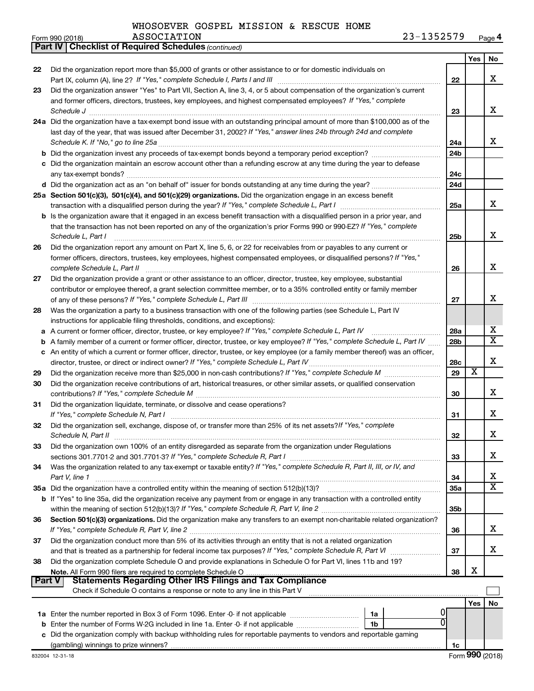*(continued)*

**Part IV Checklist of Required Schedules**

| Did the organization report more than \$5,000 of grants or other assistance to or for domestic individuals on<br>22<br>x<br>22<br>Did the organization answer "Yes" to Part VII, Section A, line 3, 4, or 5 about compensation of the organization's current<br>23<br>and former officers, directors, trustees, key employees, and highest compensated employees? If "Yes," complete<br>x<br>Schedule J <b>[10]</b> [20] <b>Schedule J <i>notified Let the Contract Let the Contract Let the Contract Let the Contract Let the Contract Let the Contract Let the Contract Let the Contract Let the Contract Let the Contract Let t</i></b><br>23<br>24a Did the organization have a tax-exempt bond issue with an outstanding principal amount of more than \$100,000 as of the<br>last day of the year, that was issued after December 31, 2002? If "Yes," answer lines 24b through 24d and complete<br>x<br>24a<br>24 <sub>b</sub><br>c Did the organization maintain an escrow account other than a refunding escrow at any time during the year to defease<br>24c<br>24d<br>25a Section 501(c)(3), 501(c)(4), and 501(c)(29) organizations. Did the organization engage in an excess benefit<br>x<br>25a<br><b>b</b> Is the organization aware that it engaged in an excess benefit transaction with a disqualified person in a prior year, and<br>that the transaction has not been reported on any of the organization's prior Forms 990 or 990-EZ? If "Yes," complete<br>x<br>25 <sub>b</sub><br>Schedule L, Part I<br>Did the organization report any amount on Part X, line 5, 6, or 22 for receivables from or payables to any current or<br>former officers, directors, trustees, key employees, highest compensated employees, or disqualified persons? If "Yes,"<br>x<br>complete Schedule L, Part II<br>26<br>Did the organization provide a grant or other assistance to an officer, director, trustee, key employee, substantial<br>27<br>contributor or employee thereof, a grant selection committee member, or to a 35% controlled entity or family member<br>x<br>27<br>Was the organization a party to a business transaction with one of the following parties (see Schedule L, Part IV<br>28<br>instructions for applicable filing thresholds, conditions, and exceptions):<br>x<br>a A current or former officer, director, trustee, or key employee? If "Yes," complete Schedule L, Part IV<br>28a<br>$\overline{\mathtt{x}}$<br><b>b</b> A family member of a current or former officer, director, trustee, or key employee? If "Yes," complete Schedule L, Part IV<br>28b<br>c An entity of which a current or former officer, director, trustee, or key employee (or a family member thereof) was an officer,<br>х<br>28c<br>$\overline{\textbf{x}}$<br>29<br>29<br>Did the organization receive contributions of art, historical treasures, or other similar assets, or qualified conservation<br>30<br>x<br>30<br>Did the organization liquidate, terminate, or dissolve and cease operations?<br>31<br>x<br>If "Yes," complete Schedule N, Part I<br>31<br>Did the organization sell, exchange, dispose of, or transfer more than 25% of its net assets? If "Yes," complete<br>32<br>x<br>32<br>33<br>Did the organization own 100% of an entity disregarded as separate from the organization under Regulations<br>x.<br>sections 301.7701-2 and 301.7701-3? If "Yes," complete Schedule R, Part I<br>33<br>Was the organization related to any tax-exempt or taxable entity? If "Yes," complete Schedule R, Part II, III, or IV, and<br>34<br>х<br>Part V, line 1<br>34<br>$\overline{\textbf{X}}$<br>35a Did the organization have a controlled entity within the meaning of section 512(b)(13)?<br><b>35a</b><br>b If "Yes" to line 35a, did the organization receive any payment from or engage in any transaction with a controlled entity<br>35 <sub>b</sub><br>Section 501(c)(3) organizations. Did the organization make any transfers to an exempt non-charitable related organization?<br>36<br>x<br>If "Yes," complete Schedule R, Part V, line 2<br>36<br>Did the organization conduct more than 5% of its activities through an entity that is not a related organization<br>37<br>x<br>37<br>Did the organization complete Schedule O and provide explanations in Schedule O for Part VI, lines 11b and 19?<br>38<br>х<br>38<br>Note. All Form 990 filers are required to complete Schedule O.<br>Part V<br>Check if Schedule O contains a response or note to any line in this Part V<br>Yes<br>No<br>U<br>1a<br>0<br>Enter the number of Forms W-2G included in line 1a. Enter -0- if not applicable<br>1b<br>b<br>Did the organization comply with backup withholding rules for reportable payments to vendors and reportable gaming<br>1c |    |  | Yes | No |
|---------------------------------------------------------------------------------------------------------------------------------------------------------------------------------------------------------------------------------------------------------------------------------------------------------------------------------------------------------------------------------------------------------------------------------------------------------------------------------------------------------------------------------------------------------------------------------------------------------------------------------------------------------------------------------------------------------------------------------------------------------------------------------------------------------------------------------------------------------------------------------------------------------------------------------------------------------------------------------------------------------------------------------------------------------------------------------------------------------------------------------------------------------------------------------------------------------------------------------------------------------------------------------------------------------------------------------------------------------------------------------------------------------------------------------------------------------------------------------------------------------------------------------------------------------------------------------------------------------------------------------------------------------------------------------------------------------------------------------------------------------------------------------------------------------------------------------------------------------------------------------------------------------------------------------------------------------------------------------------------------------------------------------------------------------------------------------------------------------------------------------------------------------------------------------------------------------------------------------------------------------------------------------------------------------------------------------------------------------------------------------------------------------------------------------------------------------------------------------------------------------------------------------------------------------------------------------------------------------------------------------------------------------------------------------------------------------------------------------------------------------------------------------------------------------------------------------------------------------------------------------------------------------------------------------------------------------------------------------------------------------------------------------------------------------------------------------------------------------------------------------------------------------------------------------------------------------------------------------------------------------------------------------------------------------------------------------------------------------------------------------------------------------------------------------------------------------------------------------------------------------------------------------------------------------------------------------------------------------------------------------------------------------------------------------------------------------------------------------------------------------------------------------------------------------------------------------------------------------------------------------------------------------------------------------------------------------------------------------------------------------------------------------------------------------------------------------------------------------------------------------------------------------------------------------------------------------------------------------------------------------------------------------------------------------------------------------------------------------------------------------------------------------------------------------------------------------------------------------------------------------------------------------------------------------------------------------------------------------------------------------------------------------------------------------------------------------------------------------------------------------------------------------------------|----|--|-----|----|
|                                                                                                                                                                                                                                                                                                                                                                                                                                                                                                                                                                                                                                                                                                                                                                                                                                                                                                                                                                                                                                                                                                                                                                                                                                                                                                                                                                                                                                                                                                                                                                                                                                                                                                                                                                                                                                                                                                                                                                                                                                                                                                                                                                                                                                                                                                                                                                                                                                                                                                                                                                                                                                                                                                                                                                                                                                                                                                                                                                                                                                                                                                                                                                                                                                                                                                                                                                                                                                                                                                                                                                                                                                                                                                                                                                                                                                                                                                                                                                                                                                                                                                                                                                                                                                                                                                                                                                                                                                                                                                                                                                                                                                                                                                                                                                                             |    |  |     |    |
|                                                                                                                                                                                                                                                                                                                                                                                                                                                                                                                                                                                                                                                                                                                                                                                                                                                                                                                                                                                                                                                                                                                                                                                                                                                                                                                                                                                                                                                                                                                                                                                                                                                                                                                                                                                                                                                                                                                                                                                                                                                                                                                                                                                                                                                                                                                                                                                                                                                                                                                                                                                                                                                                                                                                                                                                                                                                                                                                                                                                                                                                                                                                                                                                                                                                                                                                                                                                                                                                                                                                                                                                                                                                                                                                                                                                                                                                                                                                                                                                                                                                                                                                                                                                                                                                                                                                                                                                                                                                                                                                                                                                                                                                                                                                                                                             |    |  |     |    |
|                                                                                                                                                                                                                                                                                                                                                                                                                                                                                                                                                                                                                                                                                                                                                                                                                                                                                                                                                                                                                                                                                                                                                                                                                                                                                                                                                                                                                                                                                                                                                                                                                                                                                                                                                                                                                                                                                                                                                                                                                                                                                                                                                                                                                                                                                                                                                                                                                                                                                                                                                                                                                                                                                                                                                                                                                                                                                                                                                                                                                                                                                                                                                                                                                                                                                                                                                                                                                                                                                                                                                                                                                                                                                                                                                                                                                                                                                                                                                                                                                                                                                                                                                                                                                                                                                                                                                                                                                                                                                                                                                                                                                                                                                                                                                                                             |    |  |     |    |
|                                                                                                                                                                                                                                                                                                                                                                                                                                                                                                                                                                                                                                                                                                                                                                                                                                                                                                                                                                                                                                                                                                                                                                                                                                                                                                                                                                                                                                                                                                                                                                                                                                                                                                                                                                                                                                                                                                                                                                                                                                                                                                                                                                                                                                                                                                                                                                                                                                                                                                                                                                                                                                                                                                                                                                                                                                                                                                                                                                                                                                                                                                                                                                                                                                                                                                                                                                                                                                                                                                                                                                                                                                                                                                                                                                                                                                                                                                                                                                                                                                                                                                                                                                                                                                                                                                                                                                                                                                                                                                                                                                                                                                                                                                                                                                                             |    |  |     |    |
|                                                                                                                                                                                                                                                                                                                                                                                                                                                                                                                                                                                                                                                                                                                                                                                                                                                                                                                                                                                                                                                                                                                                                                                                                                                                                                                                                                                                                                                                                                                                                                                                                                                                                                                                                                                                                                                                                                                                                                                                                                                                                                                                                                                                                                                                                                                                                                                                                                                                                                                                                                                                                                                                                                                                                                                                                                                                                                                                                                                                                                                                                                                                                                                                                                                                                                                                                                                                                                                                                                                                                                                                                                                                                                                                                                                                                                                                                                                                                                                                                                                                                                                                                                                                                                                                                                                                                                                                                                                                                                                                                                                                                                                                                                                                                                                             |    |  |     |    |
|                                                                                                                                                                                                                                                                                                                                                                                                                                                                                                                                                                                                                                                                                                                                                                                                                                                                                                                                                                                                                                                                                                                                                                                                                                                                                                                                                                                                                                                                                                                                                                                                                                                                                                                                                                                                                                                                                                                                                                                                                                                                                                                                                                                                                                                                                                                                                                                                                                                                                                                                                                                                                                                                                                                                                                                                                                                                                                                                                                                                                                                                                                                                                                                                                                                                                                                                                                                                                                                                                                                                                                                                                                                                                                                                                                                                                                                                                                                                                                                                                                                                                                                                                                                                                                                                                                                                                                                                                                                                                                                                                                                                                                                                                                                                                                                             |    |  |     |    |
|                                                                                                                                                                                                                                                                                                                                                                                                                                                                                                                                                                                                                                                                                                                                                                                                                                                                                                                                                                                                                                                                                                                                                                                                                                                                                                                                                                                                                                                                                                                                                                                                                                                                                                                                                                                                                                                                                                                                                                                                                                                                                                                                                                                                                                                                                                                                                                                                                                                                                                                                                                                                                                                                                                                                                                                                                                                                                                                                                                                                                                                                                                                                                                                                                                                                                                                                                                                                                                                                                                                                                                                                                                                                                                                                                                                                                                                                                                                                                                                                                                                                                                                                                                                                                                                                                                                                                                                                                                                                                                                                                                                                                                                                                                                                                                                             |    |  |     |    |
|                                                                                                                                                                                                                                                                                                                                                                                                                                                                                                                                                                                                                                                                                                                                                                                                                                                                                                                                                                                                                                                                                                                                                                                                                                                                                                                                                                                                                                                                                                                                                                                                                                                                                                                                                                                                                                                                                                                                                                                                                                                                                                                                                                                                                                                                                                                                                                                                                                                                                                                                                                                                                                                                                                                                                                                                                                                                                                                                                                                                                                                                                                                                                                                                                                                                                                                                                                                                                                                                                                                                                                                                                                                                                                                                                                                                                                                                                                                                                                                                                                                                                                                                                                                                                                                                                                                                                                                                                                                                                                                                                                                                                                                                                                                                                                                             |    |  |     |    |
|                                                                                                                                                                                                                                                                                                                                                                                                                                                                                                                                                                                                                                                                                                                                                                                                                                                                                                                                                                                                                                                                                                                                                                                                                                                                                                                                                                                                                                                                                                                                                                                                                                                                                                                                                                                                                                                                                                                                                                                                                                                                                                                                                                                                                                                                                                                                                                                                                                                                                                                                                                                                                                                                                                                                                                                                                                                                                                                                                                                                                                                                                                                                                                                                                                                                                                                                                                                                                                                                                                                                                                                                                                                                                                                                                                                                                                                                                                                                                                                                                                                                                                                                                                                                                                                                                                                                                                                                                                                                                                                                                                                                                                                                                                                                                                                             |    |  |     |    |
|                                                                                                                                                                                                                                                                                                                                                                                                                                                                                                                                                                                                                                                                                                                                                                                                                                                                                                                                                                                                                                                                                                                                                                                                                                                                                                                                                                                                                                                                                                                                                                                                                                                                                                                                                                                                                                                                                                                                                                                                                                                                                                                                                                                                                                                                                                                                                                                                                                                                                                                                                                                                                                                                                                                                                                                                                                                                                                                                                                                                                                                                                                                                                                                                                                                                                                                                                                                                                                                                                                                                                                                                                                                                                                                                                                                                                                                                                                                                                                                                                                                                                                                                                                                                                                                                                                                                                                                                                                                                                                                                                                                                                                                                                                                                                                                             |    |  |     |    |
|                                                                                                                                                                                                                                                                                                                                                                                                                                                                                                                                                                                                                                                                                                                                                                                                                                                                                                                                                                                                                                                                                                                                                                                                                                                                                                                                                                                                                                                                                                                                                                                                                                                                                                                                                                                                                                                                                                                                                                                                                                                                                                                                                                                                                                                                                                                                                                                                                                                                                                                                                                                                                                                                                                                                                                                                                                                                                                                                                                                                                                                                                                                                                                                                                                                                                                                                                                                                                                                                                                                                                                                                                                                                                                                                                                                                                                                                                                                                                                                                                                                                                                                                                                                                                                                                                                                                                                                                                                                                                                                                                                                                                                                                                                                                                                                             |    |  |     |    |
|                                                                                                                                                                                                                                                                                                                                                                                                                                                                                                                                                                                                                                                                                                                                                                                                                                                                                                                                                                                                                                                                                                                                                                                                                                                                                                                                                                                                                                                                                                                                                                                                                                                                                                                                                                                                                                                                                                                                                                                                                                                                                                                                                                                                                                                                                                                                                                                                                                                                                                                                                                                                                                                                                                                                                                                                                                                                                                                                                                                                                                                                                                                                                                                                                                                                                                                                                                                                                                                                                                                                                                                                                                                                                                                                                                                                                                                                                                                                                                                                                                                                                                                                                                                                                                                                                                                                                                                                                                                                                                                                                                                                                                                                                                                                                                                             |    |  |     |    |
|                                                                                                                                                                                                                                                                                                                                                                                                                                                                                                                                                                                                                                                                                                                                                                                                                                                                                                                                                                                                                                                                                                                                                                                                                                                                                                                                                                                                                                                                                                                                                                                                                                                                                                                                                                                                                                                                                                                                                                                                                                                                                                                                                                                                                                                                                                                                                                                                                                                                                                                                                                                                                                                                                                                                                                                                                                                                                                                                                                                                                                                                                                                                                                                                                                                                                                                                                                                                                                                                                                                                                                                                                                                                                                                                                                                                                                                                                                                                                                                                                                                                                                                                                                                                                                                                                                                                                                                                                                                                                                                                                                                                                                                                                                                                                                                             |    |  |     |    |
|                                                                                                                                                                                                                                                                                                                                                                                                                                                                                                                                                                                                                                                                                                                                                                                                                                                                                                                                                                                                                                                                                                                                                                                                                                                                                                                                                                                                                                                                                                                                                                                                                                                                                                                                                                                                                                                                                                                                                                                                                                                                                                                                                                                                                                                                                                                                                                                                                                                                                                                                                                                                                                                                                                                                                                                                                                                                                                                                                                                                                                                                                                                                                                                                                                                                                                                                                                                                                                                                                                                                                                                                                                                                                                                                                                                                                                                                                                                                                                                                                                                                                                                                                                                                                                                                                                                                                                                                                                                                                                                                                                                                                                                                                                                                                                                             |    |  |     |    |
|                                                                                                                                                                                                                                                                                                                                                                                                                                                                                                                                                                                                                                                                                                                                                                                                                                                                                                                                                                                                                                                                                                                                                                                                                                                                                                                                                                                                                                                                                                                                                                                                                                                                                                                                                                                                                                                                                                                                                                                                                                                                                                                                                                                                                                                                                                                                                                                                                                                                                                                                                                                                                                                                                                                                                                                                                                                                                                                                                                                                                                                                                                                                                                                                                                                                                                                                                                                                                                                                                                                                                                                                                                                                                                                                                                                                                                                                                                                                                                                                                                                                                                                                                                                                                                                                                                                                                                                                                                                                                                                                                                                                                                                                                                                                                                                             |    |  |     |    |
|                                                                                                                                                                                                                                                                                                                                                                                                                                                                                                                                                                                                                                                                                                                                                                                                                                                                                                                                                                                                                                                                                                                                                                                                                                                                                                                                                                                                                                                                                                                                                                                                                                                                                                                                                                                                                                                                                                                                                                                                                                                                                                                                                                                                                                                                                                                                                                                                                                                                                                                                                                                                                                                                                                                                                                                                                                                                                                                                                                                                                                                                                                                                                                                                                                                                                                                                                                                                                                                                                                                                                                                                                                                                                                                                                                                                                                                                                                                                                                                                                                                                                                                                                                                                                                                                                                                                                                                                                                                                                                                                                                                                                                                                                                                                                                                             |    |  |     |    |
|                                                                                                                                                                                                                                                                                                                                                                                                                                                                                                                                                                                                                                                                                                                                                                                                                                                                                                                                                                                                                                                                                                                                                                                                                                                                                                                                                                                                                                                                                                                                                                                                                                                                                                                                                                                                                                                                                                                                                                                                                                                                                                                                                                                                                                                                                                                                                                                                                                                                                                                                                                                                                                                                                                                                                                                                                                                                                                                                                                                                                                                                                                                                                                                                                                                                                                                                                                                                                                                                                                                                                                                                                                                                                                                                                                                                                                                                                                                                                                                                                                                                                                                                                                                                                                                                                                                                                                                                                                                                                                                                                                                                                                                                                                                                                                                             | 26 |  |     |    |
|                                                                                                                                                                                                                                                                                                                                                                                                                                                                                                                                                                                                                                                                                                                                                                                                                                                                                                                                                                                                                                                                                                                                                                                                                                                                                                                                                                                                                                                                                                                                                                                                                                                                                                                                                                                                                                                                                                                                                                                                                                                                                                                                                                                                                                                                                                                                                                                                                                                                                                                                                                                                                                                                                                                                                                                                                                                                                                                                                                                                                                                                                                                                                                                                                                                                                                                                                                                                                                                                                                                                                                                                                                                                                                                                                                                                                                                                                                                                                                                                                                                                                                                                                                                                                                                                                                                                                                                                                                                                                                                                                                                                                                                                                                                                                                                             |    |  |     |    |
|                                                                                                                                                                                                                                                                                                                                                                                                                                                                                                                                                                                                                                                                                                                                                                                                                                                                                                                                                                                                                                                                                                                                                                                                                                                                                                                                                                                                                                                                                                                                                                                                                                                                                                                                                                                                                                                                                                                                                                                                                                                                                                                                                                                                                                                                                                                                                                                                                                                                                                                                                                                                                                                                                                                                                                                                                                                                                                                                                                                                                                                                                                                                                                                                                                                                                                                                                                                                                                                                                                                                                                                                                                                                                                                                                                                                                                                                                                                                                                                                                                                                                                                                                                                                                                                                                                                                                                                                                                                                                                                                                                                                                                                                                                                                                                                             |    |  |     |    |
|                                                                                                                                                                                                                                                                                                                                                                                                                                                                                                                                                                                                                                                                                                                                                                                                                                                                                                                                                                                                                                                                                                                                                                                                                                                                                                                                                                                                                                                                                                                                                                                                                                                                                                                                                                                                                                                                                                                                                                                                                                                                                                                                                                                                                                                                                                                                                                                                                                                                                                                                                                                                                                                                                                                                                                                                                                                                                                                                                                                                                                                                                                                                                                                                                                                                                                                                                                                                                                                                                                                                                                                                                                                                                                                                                                                                                                                                                                                                                                                                                                                                                                                                                                                                                                                                                                                                                                                                                                                                                                                                                                                                                                                                                                                                                                                             |    |  |     |    |
|                                                                                                                                                                                                                                                                                                                                                                                                                                                                                                                                                                                                                                                                                                                                                                                                                                                                                                                                                                                                                                                                                                                                                                                                                                                                                                                                                                                                                                                                                                                                                                                                                                                                                                                                                                                                                                                                                                                                                                                                                                                                                                                                                                                                                                                                                                                                                                                                                                                                                                                                                                                                                                                                                                                                                                                                                                                                                                                                                                                                                                                                                                                                                                                                                                                                                                                                                                                                                                                                                                                                                                                                                                                                                                                                                                                                                                                                                                                                                                                                                                                                                                                                                                                                                                                                                                                                                                                                                                                                                                                                                                                                                                                                                                                                                                                             |    |  |     |    |
|                                                                                                                                                                                                                                                                                                                                                                                                                                                                                                                                                                                                                                                                                                                                                                                                                                                                                                                                                                                                                                                                                                                                                                                                                                                                                                                                                                                                                                                                                                                                                                                                                                                                                                                                                                                                                                                                                                                                                                                                                                                                                                                                                                                                                                                                                                                                                                                                                                                                                                                                                                                                                                                                                                                                                                                                                                                                                                                                                                                                                                                                                                                                                                                                                                                                                                                                                                                                                                                                                                                                                                                                                                                                                                                                                                                                                                                                                                                                                                                                                                                                                                                                                                                                                                                                                                                                                                                                                                                                                                                                                                                                                                                                                                                                                                                             |    |  |     |    |
|                                                                                                                                                                                                                                                                                                                                                                                                                                                                                                                                                                                                                                                                                                                                                                                                                                                                                                                                                                                                                                                                                                                                                                                                                                                                                                                                                                                                                                                                                                                                                                                                                                                                                                                                                                                                                                                                                                                                                                                                                                                                                                                                                                                                                                                                                                                                                                                                                                                                                                                                                                                                                                                                                                                                                                                                                                                                                                                                                                                                                                                                                                                                                                                                                                                                                                                                                                                                                                                                                                                                                                                                                                                                                                                                                                                                                                                                                                                                                                                                                                                                                                                                                                                                                                                                                                                                                                                                                                                                                                                                                                                                                                                                                                                                                                                             |    |  |     |    |
|                                                                                                                                                                                                                                                                                                                                                                                                                                                                                                                                                                                                                                                                                                                                                                                                                                                                                                                                                                                                                                                                                                                                                                                                                                                                                                                                                                                                                                                                                                                                                                                                                                                                                                                                                                                                                                                                                                                                                                                                                                                                                                                                                                                                                                                                                                                                                                                                                                                                                                                                                                                                                                                                                                                                                                                                                                                                                                                                                                                                                                                                                                                                                                                                                                                                                                                                                                                                                                                                                                                                                                                                                                                                                                                                                                                                                                                                                                                                                                                                                                                                                                                                                                                                                                                                                                                                                                                                                                                                                                                                                                                                                                                                                                                                                                                             |    |  |     |    |
|                                                                                                                                                                                                                                                                                                                                                                                                                                                                                                                                                                                                                                                                                                                                                                                                                                                                                                                                                                                                                                                                                                                                                                                                                                                                                                                                                                                                                                                                                                                                                                                                                                                                                                                                                                                                                                                                                                                                                                                                                                                                                                                                                                                                                                                                                                                                                                                                                                                                                                                                                                                                                                                                                                                                                                                                                                                                                                                                                                                                                                                                                                                                                                                                                                                                                                                                                                                                                                                                                                                                                                                                                                                                                                                                                                                                                                                                                                                                                                                                                                                                                                                                                                                                                                                                                                                                                                                                                                                                                                                                                                                                                                                                                                                                                                                             |    |  |     |    |
|                                                                                                                                                                                                                                                                                                                                                                                                                                                                                                                                                                                                                                                                                                                                                                                                                                                                                                                                                                                                                                                                                                                                                                                                                                                                                                                                                                                                                                                                                                                                                                                                                                                                                                                                                                                                                                                                                                                                                                                                                                                                                                                                                                                                                                                                                                                                                                                                                                                                                                                                                                                                                                                                                                                                                                                                                                                                                                                                                                                                                                                                                                                                                                                                                                                                                                                                                                                                                                                                                                                                                                                                                                                                                                                                                                                                                                                                                                                                                                                                                                                                                                                                                                                                                                                                                                                                                                                                                                                                                                                                                                                                                                                                                                                                                                                             |    |  |     |    |
|                                                                                                                                                                                                                                                                                                                                                                                                                                                                                                                                                                                                                                                                                                                                                                                                                                                                                                                                                                                                                                                                                                                                                                                                                                                                                                                                                                                                                                                                                                                                                                                                                                                                                                                                                                                                                                                                                                                                                                                                                                                                                                                                                                                                                                                                                                                                                                                                                                                                                                                                                                                                                                                                                                                                                                                                                                                                                                                                                                                                                                                                                                                                                                                                                                                                                                                                                                                                                                                                                                                                                                                                                                                                                                                                                                                                                                                                                                                                                                                                                                                                                                                                                                                                                                                                                                                                                                                                                                                                                                                                                                                                                                                                                                                                                                                             |    |  |     |    |
|                                                                                                                                                                                                                                                                                                                                                                                                                                                                                                                                                                                                                                                                                                                                                                                                                                                                                                                                                                                                                                                                                                                                                                                                                                                                                                                                                                                                                                                                                                                                                                                                                                                                                                                                                                                                                                                                                                                                                                                                                                                                                                                                                                                                                                                                                                                                                                                                                                                                                                                                                                                                                                                                                                                                                                                                                                                                                                                                                                                                                                                                                                                                                                                                                                                                                                                                                                                                                                                                                                                                                                                                                                                                                                                                                                                                                                                                                                                                                                                                                                                                                                                                                                                                                                                                                                                                                                                                                                                                                                                                                                                                                                                                                                                                                                                             |    |  |     |    |
|                                                                                                                                                                                                                                                                                                                                                                                                                                                                                                                                                                                                                                                                                                                                                                                                                                                                                                                                                                                                                                                                                                                                                                                                                                                                                                                                                                                                                                                                                                                                                                                                                                                                                                                                                                                                                                                                                                                                                                                                                                                                                                                                                                                                                                                                                                                                                                                                                                                                                                                                                                                                                                                                                                                                                                                                                                                                                                                                                                                                                                                                                                                                                                                                                                                                                                                                                                                                                                                                                                                                                                                                                                                                                                                                                                                                                                                                                                                                                                                                                                                                                                                                                                                                                                                                                                                                                                                                                                                                                                                                                                                                                                                                                                                                                                                             |    |  |     |    |
|                                                                                                                                                                                                                                                                                                                                                                                                                                                                                                                                                                                                                                                                                                                                                                                                                                                                                                                                                                                                                                                                                                                                                                                                                                                                                                                                                                                                                                                                                                                                                                                                                                                                                                                                                                                                                                                                                                                                                                                                                                                                                                                                                                                                                                                                                                                                                                                                                                                                                                                                                                                                                                                                                                                                                                                                                                                                                                                                                                                                                                                                                                                                                                                                                                                                                                                                                                                                                                                                                                                                                                                                                                                                                                                                                                                                                                                                                                                                                                                                                                                                                                                                                                                                                                                                                                                                                                                                                                                                                                                                                                                                                                                                                                                                                                                             |    |  |     |    |
|                                                                                                                                                                                                                                                                                                                                                                                                                                                                                                                                                                                                                                                                                                                                                                                                                                                                                                                                                                                                                                                                                                                                                                                                                                                                                                                                                                                                                                                                                                                                                                                                                                                                                                                                                                                                                                                                                                                                                                                                                                                                                                                                                                                                                                                                                                                                                                                                                                                                                                                                                                                                                                                                                                                                                                                                                                                                                                                                                                                                                                                                                                                                                                                                                                                                                                                                                                                                                                                                                                                                                                                                                                                                                                                                                                                                                                                                                                                                                                                                                                                                                                                                                                                                                                                                                                                                                                                                                                                                                                                                                                                                                                                                                                                                                                                             |    |  |     |    |
|                                                                                                                                                                                                                                                                                                                                                                                                                                                                                                                                                                                                                                                                                                                                                                                                                                                                                                                                                                                                                                                                                                                                                                                                                                                                                                                                                                                                                                                                                                                                                                                                                                                                                                                                                                                                                                                                                                                                                                                                                                                                                                                                                                                                                                                                                                                                                                                                                                                                                                                                                                                                                                                                                                                                                                                                                                                                                                                                                                                                                                                                                                                                                                                                                                                                                                                                                                                                                                                                                                                                                                                                                                                                                                                                                                                                                                                                                                                                                                                                                                                                                                                                                                                                                                                                                                                                                                                                                                                                                                                                                                                                                                                                                                                                                                                             |    |  |     |    |
|                                                                                                                                                                                                                                                                                                                                                                                                                                                                                                                                                                                                                                                                                                                                                                                                                                                                                                                                                                                                                                                                                                                                                                                                                                                                                                                                                                                                                                                                                                                                                                                                                                                                                                                                                                                                                                                                                                                                                                                                                                                                                                                                                                                                                                                                                                                                                                                                                                                                                                                                                                                                                                                                                                                                                                                                                                                                                                                                                                                                                                                                                                                                                                                                                                                                                                                                                                                                                                                                                                                                                                                                                                                                                                                                                                                                                                                                                                                                                                                                                                                                                                                                                                                                                                                                                                                                                                                                                                                                                                                                                                                                                                                                                                                                                                                             |    |  |     |    |
|                                                                                                                                                                                                                                                                                                                                                                                                                                                                                                                                                                                                                                                                                                                                                                                                                                                                                                                                                                                                                                                                                                                                                                                                                                                                                                                                                                                                                                                                                                                                                                                                                                                                                                                                                                                                                                                                                                                                                                                                                                                                                                                                                                                                                                                                                                                                                                                                                                                                                                                                                                                                                                                                                                                                                                                                                                                                                                                                                                                                                                                                                                                                                                                                                                                                                                                                                                                                                                                                                                                                                                                                                                                                                                                                                                                                                                                                                                                                                                                                                                                                                                                                                                                                                                                                                                                                                                                                                                                                                                                                                                                                                                                                                                                                                                                             |    |  |     |    |
|                                                                                                                                                                                                                                                                                                                                                                                                                                                                                                                                                                                                                                                                                                                                                                                                                                                                                                                                                                                                                                                                                                                                                                                                                                                                                                                                                                                                                                                                                                                                                                                                                                                                                                                                                                                                                                                                                                                                                                                                                                                                                                                                                                                                                                                                                                                                                                                                                                                                                                                                                                                                                                                                                                                                                                                                                                                                                                                                                                                                                                                                                                                                                                                                                                                                                                                                                                                                                                                                                                                                                                                                                                                                                                                                                                                                                                                                                                                                                                                                                                                                                                                                                                                                                                                                                                                                                                                                                                                                                                                                                                                                                                                                                                                                                                                             |    |  |     |    |
|                                                                                                                                                                                                                                                                                                                                                                                                                                                                                                                                                                                                                                                                                                                                                                                                                                                                                                                                                                                                                                                                                                                                                                                                                                                                                                                                                                                                                                                                                                                                                                                                                                                                                                                                                                                                                                                                                                                                                                                                                                                                                                                                                                                                                                                                                                                                                                                                                                                                                                                                                                                                                                                                                                                                                                                                                                                                                                                                                                                                                                                                                                                                                                                                                                                                                                                                                                                                                                                                                                                                                                                                                                                                                                                                                                                                                                                                                                                                                                                                                                                                                                                                                                                                                                                                                                                                                                                                                                                                                                                                                                                                                                                                                                                                                                                             |    |  |     |    |
|                                                                                                                                                                                                                                                                                                                                                                                                                                                                                                                                                                                                                                                                                                                                                                                                                                                                                                                                                                                                                                                                                                                                                                                                                                                                                                                                                                                                                                                                                                                                                                                                                                                                                                                                                                                                                                                                                                                                                                                                                                                                                                                                                                                                                                                                                                                                                                                                                                                                                                                                                                                                                                                                                                                                                                                                                                                                                                                                                                                                                                                                                                                                                                                                                                                                                                                                                                                                                                                                                                                                                                                                                                                                                                                                                                                                                                                                                                                                                                                                                                                                                                                                                                                                                                                                                                                                                                                                                                                                                                                                                                                                                                                                                                                                                                                             |    |  |     |    |
|                                                                                                                                                                                                                                                                                                                                                                                                                                                                                                                                                                                                                                                                                                                                                                                                                                                                                                                                                                                                                                                                                                                                                                                                                                                                                                                                                                                                                                                                                                                                                                                                                                                                                                                                                                                                                                                                                                                                                                                                                                                                                                                                                                                                                                                                                                                                                                                                                                                                                                                                                                                                                                                                                                                                                                                                                                                                                                                                                                                                                                                                                                                                                                                                                                                                                                                                                                                                                                                                                                                                                                                                                                                                                                                                                                                                                                                                                                                                                                                                                                                                                                                                                                                                                                                                                                                                                                                                                                                                                                                                                                                                                                                                                                                                                                                             |    |  |     |    |
|                                                                                                                                                                                                                                                                                                                                                                                                                                                                                                                                                                                                                                                                                                                                                                                                                                                                                                                                                                                                                                                                                                                                                                                                                                                                                                                                                                                                                                                                                                                                                                                                                                                                                                                                                                                                                                                                                                                                                                                                                                                                                                                                                                                                                                                                                                                                                                                                                                                                                                                                                                                                                                                                                                                                                                                                                                                                                                                                                                                                                                                                                                                                                                                                                                                                                                                                                                                                                                                                                                                                                                                                                                                                                                                                                                                                                                                                                                                                                                                                                                                                                                                                                                                                                                                                                                                                                                                                                                                                                                                                                                                                                                                                                                                                                                                             |    |  |     |    |
|                                                                                                                                                                                                                                                                                                                                                                                                                                                                                                                                                                                                                                                                                                                                                                                                                                                                                                                                                                                                                                                                                                                                                                                                                                                                                                                                                                                                                                                                                                                                                                                                                                                                                                                                                                                                                                                                                                                                                                                                                                                                                                                                                                                                                                                                                                                                                                                                                                                                                                                                                                                                                                                                                                                                                                                                                                                                                                                                                                                                                                                                                                                                                                                                                                                                                                                                                                                                                                                                                                                                                                                                                                                                                                                                                                                                                                                                                                                                                                                                                                                                                                                                                                                                                                                                                                                                                                                                                                                                                                                                                                                                                                                                                                                                                                                             |    |  |     |    |
|                                                                                                                                                                                                                                                                                                                                                                                                                                                                                                                                                                                                                                                                                                                                                                                                                                                                                                                                                                                                                                                                                                                                                                                                                                                                                                                                                                                                                                                                                                                                                                                                                                                                                                                                                                                                                                                                                                                                                                                                                                                                                                                                                                                                                                                                                                                                                                                                                                                                                                                                                                                                                                                                                                                                                                                                                                                                                                                                                                                                                                                                                                                                                                                                                                                                                                                                                                                                                                                                                                                                                                                                                                                                                                                                                                                                                                                                                                                                                                                                                                                                                                                                                                                                                                                                                                                                                                                                                                                                                                                                                                                                                                                                                                                                                                                             |    |  |     |    |
|                                                                                                                                                                                                                                                                                                                                                                                                                                                                                                                                                                                                                                                                                                                                                                                                                                                                                                                                                                                                                                                                                                                                                                                                                                                                                                                                                                                                                                                                                                                                                                                                                                                                                                                                                                                                                                                                                                                                                                                                                                                                                                                                                                                                                                                                                                                                                                                                                                                                                                                                                                                                                                                                                                                                                                                                                                                                                                                                                                                                                                                                                                                                                                                                                                                                                                                                                                                                                                                                                                                                                                                                                                                                                                                                                                                                                                                                                                                                                                                                                                                                                                                                                                                                                                                                                                                                                                                                                                                                                                                                                                                                                                                                                                                                                                                             |    |  |     |    |
|                                                                                                                                                                                                                                                                                                                                                                                                                                                                                                                                                                                                                                                                                                                                                                                                                                                                                                                                                                                                                                                                                                                                                                                                                                                                                                                                                                                                                                                                                                                                                                                                                                                                                                                                                                                                                                                                                                                                                                                                                                                                                                                                                                                                                                                                                                                                                                                                                                                                                                                                                                                                                                                                                                                                                                                                                                                                                                                                                                                                                                                                                                                                                                                                                                                                                                                                                                                                                                                                                                                                                                                                                                                                                                                                                                                                                                                                                                                                                                                                                                                                                                                                                                                                                                                                                                                                                                                                                                                                                                                                                                                                                                                                                                                                                                                             |    |  |     |    |
|                                                                                                                                                                                                                                                                                                                                                                                                                                                                                                                                                                                                                                                                                                                                                                                                                                                                                                                                                                                                                                                                                                                                                                                                                                                                                                                                                                                                                                                                                                                                                                                                                                                                                                                                                                                                                                                                                                                                                                                                                                                                                                                                                                                                                                                                                                                                                                                                                                                                                                                                                                                                                                                                                                                                                                                                                                                                                                                                                                                                                                                                                                                                                                                                                                                                                                                                                                                                                                                                                                                                                                                                                                                                                                                                                                                                                                                                                                                                                                                                                                                                                                                                                                                                                                                                                                                                                                                                                                                                                                                                                                                                                                                                                                                                                                                             |    |  |     |    |
|                                                                                                                                                                                                                                                                                                                                                                                                                                                                                                                                                                                                                                                                                                                                                                                                                                                                                                                                                                                                                                                                                                                                                                                                                                                                                                                                                                                                                                                                                                                                                                                                                                                                                                                                                                                                                                                                                                                                                                                                                                                                                                                                                                                                                                                                                                                                                                                                                                                                                                                                                                                                                                                                                                                                                                                                                                                                                                                                                                                                                                                                                                                                                                                                                                                                                                                                                                                                                                                                                                                                                                                                                                                                                                                                                                                                                                                                                                                                                                                                                                                                                                                                                                                                                                                                                                                                                                                                                                                                                                                                                                                                                                                                                                                                                                                             |    |  |     |    |
|                                                                                                                                                                                                                                                                                                                                                                                                                                                                                                                                                                                                                                                                                                                                                                                                                                                                                                                                                                                                                                                                                                                                                                                                                                                                                                                                                                                                                                                                                                                                                                                                                                                                                                                                                                                                                                                                                                                                                                                                                                                                                                                                                                                                                                                                                                                                                                                                                                                                                                                                                                                                                                                                                                                                                                                                                                                                                                                                                                                                                                                                                                                                                                                                                                                                                                                                                                                                                                                                                                                                                                                                                                                                                                                                                                                                                                                                                                                                                                                                                                                                                                                                                                                                                                                                                                                                                                                                                                                                                                                                                                                                                                                                                                                                                                                             |    |  |     |    |
|                                                                                                                                                                                                                                                                                                                                                                                                                                                                                                                                                                                                                                                                                                                                                                                                                                                                                                                                                                                                                                                                                                                                                                                                                                                                                                                                                                                                                                                                                                                                                                                                                                                                                                                                                                                                                                                                                                                                                                                                                                                                                                                                                                                                                                                                                                                                                                                                                                                                                                                                                                                                                                                                                                                                                                                                                                                                                                                                                                                                                                                                                                                                                                                                                                                                                                                                                                                                                                                                                                                                                                                                                                                                                                                                                                                                                                                                                                                                                                                                                                                                                                                                                                                                                                                                                                                                                                                                                                                                                                                                                                                                                                                                                                                                                                                             |    |  |     |    |
|                                                                                                                                                                                                                                                                                                                                                                                                                                                                                                                                                                                                                                                                                                                                                                                                                                                                                                                                                                                                                                                                                                                                                                                                                                                                                                                                                                                                                                                                                                                                                                                                                                                                                                                                                                                                                                                                                                                                                                                                                                                                                                                                                                                                                                                                                                                                                                                                                                                                                                                                                                                                                                                                                                                                                                                                                                                                                                                                                                                                                                                                                                                                                                                                                                                                                                                                                                                                                                                                                                                                                                                                                                                                                                                                                                                                                                                                                                                                                                                                                                                                                                                                                                                                                                                                                                                                                                                                                                                                                                                                                                                                                                                                                                                                                                                             |    |  |     |    |
|                                                                                                                                                                                                                                                                                                                                                                                                                                                                                                                                                                                                                                                                                                                                                                                                                                                                                                                                                                                                                                                                                                                                                                                                                                                                                                                                                                                                                                                                                                                                                                                                                                                                                                                                                                                                                                                                                                                                                                                                                                                                                                                                                                                                                                                                                                                                                                                                                                                                                                                                                                                                                                                                                                                                                                                                                                                                                                                                                                                                                                                                                                                                                                                                                                                                                                                                                                                                                                                                                                                                                                                                                                                                                                                                                                                                                                                                                                                                                                                                                                                                                                                                                                                                                                                                                                                                                                                                                                                                                                                                                                                                                                                                                                                                                                                             |    |  |     |    |
|                                                                                                                                                                                                                                                                                                                                                                                                                                                                                                                                                                                                                                                                                                                                                                                                                                                                                                                                                                                                                                                                                                                                                                                                                                                                                                                                                                                                                                                                                                                                                                                                                                                                                                                                                                                                                                                                                                                                                                                                                                                                                                                                                                                                                                                                                                                                                                                                                                                                                                                                                                                                                                                                                                                                                                                                                                                                                                                                                                                                                                                                                                                                                                                                                                                                                                                                                                                                                                                                                                                                                                                                                                                                                                                                                                                                                                                                                                                                                                                                                                                                                                                                                                                                                                                                                                                                                                                                                                                                                                                                                                                                                                                                                                                                                                                             |    |  |     |    |
|                                                                                                                                                                                                                                                                                                                                                                                                                                                                                                                                                                                                                                                                                                                                                                                                                                                                                                                                                                                                                                                                                                                                                                                                                                                                                                                                                                                                                                                                                                                                                                                                                                                                                                                                                                                                                                                                                                                                                                                                                                                                                                                                                                                                                                                                                                                                                                                                                                                                                                                                                                                                                                                                                                                                                                                                                                                                                                                                                                                                                                                                                                                                                                                                                                                                                                                                                                                                                                                                                                                                                                                                                                                                                                                                                                                                                                                                                                                                                                                                                                                                                                                                                                                                                                                                                                                                                                                                                                                                                                                                                                                                                                                                                                                                                                                             |    |  |     |    |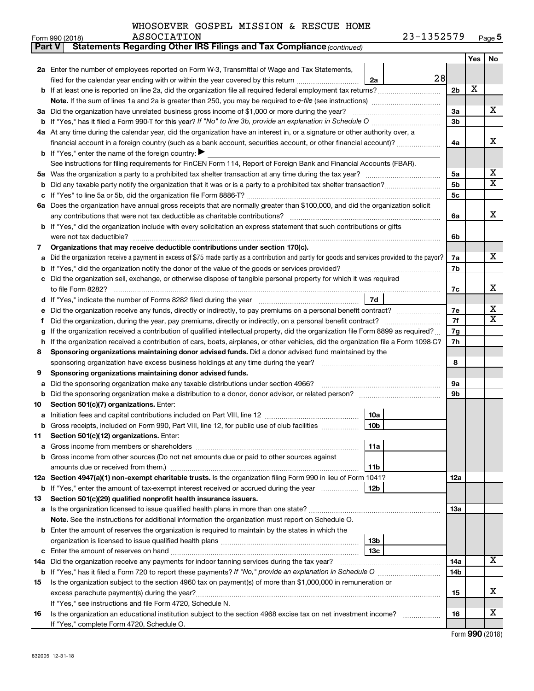| <b>Part V</b> | Statements Regarding Other IRS Filings and Tax Compliance (continued)                                                                           |                |     |    |
|---------------|-------------------------------------------------------------------------------------------------------------------------------------------------|----------------|-----|----|
|               |                                                                                                                                                 |                | Yes | No |
|               | 2a Enter the number of employees reported on Form W-3, Transmittal of Wage and Tax Statements,                                                  |                |     |    |
|               | 28<br>filed for the calendar year ending with or within the year covered by this return<br>2a                                                   |                |     |    |
| b             | If at least one is reported on line 2a, did the organization file all required federal employment tax returns?                                  | 2 <sub>b</sub> | х   |    |
|               | Note. If the sum of lines 1a and 2a is greater than 250, you may be required to e-file (see instructions) <i></i>                               |                |     |    |
|               | 3a Did the organization have unrelated business gross income of \$1,000 or more during the year?                                                | За             |     | x  |
| b             |                                                                                                                                                 | 3 <sub>b</sub> |     |    |
|               | 4a At any time during the calendar year, did the organization have an interest in, or a signature or other authority over, a                    |                |     |    |
|               | financial account in a foreign country (such as a bank account, securities account, or other financial account)?                                | 4a             |     | х  |
|               | <b>b</b> If "Yes," enter the name of the foreign country: $\blacktriangleright$                                                                 |                |     |    |
|               | See instructions for filing requirements for FinCEN Form 114, Report of Foreign Bank and Financial Accounts (FBAR).                             |                |     |    |
| 5a            |                                                                                                                                                 | 5a             |     | x  |
| b             |                                                                                                                                                 | 5 <sub>b</sub> |     | X  |
|               |                                                                                                                                                 | 5c             |     |    |
| 6а            | Does the organization have annual gross receipts that are normally greater than \$100,000, and did the organization solicit                     |                |     |    |
|               | any contributions that were not tax deductible as charitable contributions?                                                                     | 6a             |     | x  |
| b             | If "Yes," did the organization include with every solicitation an express statement that such contributions or gifts                            |                |     |    |
|               |                                                                                                                                                 | 6b             |     |    |
| 7             | Organizations that may receive deductible contributions under section 170(c).                                                                   |                |     |    |
| a             | Did the organization receive a payment in excess of \$75 made partly as a contribution and partly for goods and services provided to the payor? | 7a             |     | x  |
| b             |                                                                                                                                                 | 7b             |     |    |
|               | Did the organization sell, exchange, or otherwise dispose of tangible personal property for which it was required                               |                |     | х  |
|               |                                                                                                                                                 | 7c             |     |    |
| d             | 7d                                                                                                                                              |                |     | х  |
|               | Did the organization receive any funds, directly or indirectly, to pay premiums on a personal benefit contract?                                 | 7е<br>7f       |     | X  |
| f             | If the organization received a contribution of qualified intellectual property, did the organization file Form 8899 as required?                | 7g             |     |    |
| g<br>h        | If the organization received a contribution of cars, boats, airplanes, or other vehicles, did the organization file a Form 1098-C?              | 7h             |     |    |
| 8             | Sponsoring organizations maintaining donor advised funds. Did a donor advised fund maintained by the                                            |                |     |    |
|               |                                                                                                                                                 | 8              |     |    |
| 9             | Sponsoring organizations maintaining donor advised funds.                                                                                       |                |     |    |
| а             | Did the sponsoring organization make any taxable distributions under section 4966?                                                              | <b>9a</b>      |     |    |
| b             |                                                                                                                                                 | 9b             |     |    |
| 10            | Section 501(c)(7) organizations. Enter:                                                                                                         |                |     |    |
| а             | 10a                                                                                                                                             |                |     |    |
|               | 10 <sub>b</sub><br>Gross receipts, included on Form 990, Part VIII, line 12, for public use of club facilities                                  |                |     |    |
| 11            | Section 501(c)(12) organizations. Enter:                                                                                                        |                |     |    |
| а             | 11a                                                                                                                                             |                |     |    |
| b             | Gross income from other sources (Do not net amounts due or paid to other sources against                                                        |                |     |    |
|               | amounts due or received from them.)<br>11b                                                                                                      |                |     |    |
|               | 12a Section 4947(a)(1) non-exempt charitable trusts. Is the organization filing Form 990 in lieu of Form 1041?                                  | 12a            |     |    |
|               | b If "Yes," enter the amount of tax-exempt interest received or accrued during the year<br>12b                                                  |                |     |    |
| 13            | Section 501(c)(29) qualified nonprofit health insurance issuers.                                                                                |                |     |    |
| а             | Is the organization licensed to issue qualified health plans in more than one state?                                                            | 13a            |     |    |
|               | Note. See the instructions for additional information the organization must report on Schedule O.                                               |                |     |    |
| b             | Enter the amount of reserves the organization is required to maintain by the states in which the                                                |                |     |    |
|               | 13 <sub>b</sub>                                                                                                                                 |                |     |    |
| с             | 13 <sub>c</sub>                                                                                                                                 |                |     |    |
|               | 14a Did the organization receive any payments for indoor tanning services during the tax year?                                                  | 14a            |     | х  |
|               |                                                                                                                                                 | 14b            |     |    |
| 15            | Is the organization subject to the section 4960 tax on payment(s) of more than \$1,000,000 in remuneration or                                   |                |     |    |
|               | excess parachute payment(s) during the year?                                                                                                    | 15             |     | x  |
|               | If "Yes," see instructions and file Form 4720, Schedule N.                                                                                      |                |     | x  |
| 16            | Is the organization an educational institution subject to the section 4968 excise tax on net investment income?                                 | 16             |     |    |
|               | If "Yes," complete Form 4720, Schedule O.                                                                                                       |                |     |    |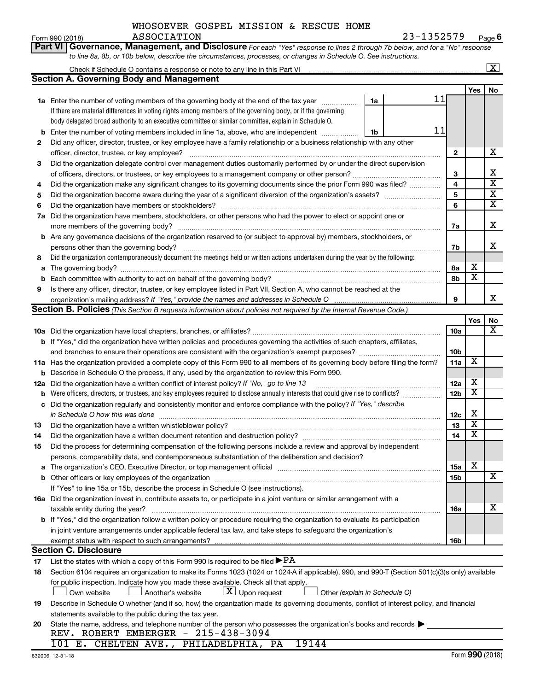Form 990 (2018) ASSOCIATION 2 3-I 3 5 2 5 7 9 Page **6** ASSOCIATION 23-1352579

|    | Part VI   Governance, Management, and Disclosure For each "Yes" response to lines 2 through 7b below, and for a "No" response                                                         |                 |                         |                         |
|----|---------------------------------------------------------------------------------------------------------------------------------------------------------------------------------------|-----------------|-------------------------|-------------------------|
|    | to line 8a, 8b, or 10b below, describe the circumstances, processes, or changes in Schedule O. See instructions.                                                                      |                 |                         |                         |
|    | Check if Schedule O contains a response or note to any line in this Part VI [11] [12] [2] [2] [2] [2] [3] Check if Schedule O contains a response or note to any line in this Part VI |                 |                         | $\boxed{\textbf{X}}$    |
|    | <b>Section A. Governing Body and Management</b>                                                                                                                                       |                 |                         |                         |
|    |                                                                                                                                                                                       |                 | Yes                     | No                      |
|    | 11<br>1a Enter the number of voting members of the governing body at the end of the tax year<br>1a                                                                                    |                 |                         |                         |
|    | If there are material differences in voting rights among members of the governing body, or if the governing                                                                           |                 |                         |                         |
|    | body delegated broad authority to an executive committee or similar committee, explain in Schedule O.                                                                                 |                 |                         |                         |
| b  | 11<br>Enter the number of voting members included in line 1a, above, who are independent<br>1b                                                                                        |                 |                         |                         |
| 2  | Did any officer, director, trustee, or key employee have a family relationship or a business relationship with any other                                                              |                 |                         |                         |
|    | officer, director, trustee, or key employee?                                                                                                                                          | $\mathbf{2}$    |                         | x                       |
| 3  | Did the organization delegate control over management duties customarily performed by or under the direct supervision                                                                 |                 |                         |                         |
|    |                                                                                                                                                                                       | 3               |                         | х                       |
| 4  | Did the organization make any significant changes to its governing documents since the prior Form 990 was filed?                                                                      | 4               |                         | $\overline{\mathbf{x}}$ |
| 5  |                                                                                                                                                                                       | 5               |                         | $\overline{\mathbf{X}}$ |
| 6  |                                                                                                                                                                                       | 6               |                         | $\overline{\mathbf{X}}$ |
| 7a | Did the organization have members, stockholders, or other persons who had the power to elect or appoint one or                                                                        |                 |                         |                         |
|    |                                                                                                                                                                                       | 7a              |                         | х                       |
|    | b Are any governance decisions of the organization reserved to (or subject to approval by) members, stockholders, or                                                                  |                 |                         |                         |
|    | persons other than the governing body?                                                                                                                                                | 7b              |                         | x                       |
| 8  | Did the organization contemporaneously document the meetings held or written actions undertaken during the year by the following:                                                     |                 |                         |                         |
| а  |                                                                                                                                                                                       | 8а              | х                       |                         |
| b  |                                                                                                                                                                                       | 8b              | $\overline{\mathbf{x}}$ |                         |
| 9  | Is there any officer, director, trustee, or key employee listed in Part VII, Section A, who cannot be reached at the                                                                  |                 |                         |                         |
|    |                                                                                                                                                                                       | 9               |                         | x                       |
|    | Section B. Policies (This Section B requests information about policies not required by the Internal Revenue Code.)                                                                   |                 |                         |                         |
|    |                                                                                                                                                                                       |                 | Yes                     | No                      |
|    |                                                                                                                                                                                       | <b>10a</b>      |                         | x                       |
|    | b If "Yes," did the organization have written policies and procedures governing the activities of such chapters, affiliates,                                                          |                 |                         |                         |
|    | and branches to ensure their operations are consistent with the organization's exempt purposes? www.www.www.www.                                                                      | 10 <sub>b</sub> |                         |                         |
|    | 11a Has the organization provided a complete copy of this Form 990 to all members of its governing body before filing the form?                                                       | 11a             | X                       |                         |
|    | <b>b</b> Describe in Schedule O the process, if any, used by the organization to review this Form 990.                                                                                |                 |                         |                         |
|    | 12a Did the organization have a written conflict of interest policy? If "No," go to line 13                                                                                           | 12a             | х                       |                         |
| b  | Were officers, directors, or trustees, and key employees required to disclose annually interests that could give rise to conflicts?                                                   | 12 <sub>b</sub> | $\overline{\textbf{x}}$ |                         |
|    | c Did the organization regularly and consistently monitor and enforce compliance with the policy? If "Yes," describe                                                                  |                 |                         |                         |
|    |                                                                                                                                                                                       | 12c             | х                       |                         |
| 13 |                                                                                                                                                                                       | 13              | $\overline{\mathbf{X}}$ |                         |
| 14 | Did the organization have a written document retention and destruction policy? [111] [12] manument contains an                                                                        | 14              | $\overline{\mathtt{x}}$ |                         |
| 15 | Did the process for determining compensation of the following persons include a review and approval by independent                                                                    |                 |                         |                         |
|    | persons, comparability data, and contemporaneous substantiation of the deliberation and decision?                                                                                     |                 |                         |                         |
| а  |                                                                                                                                                                                       | 15a             | X                       |                         |
|    |                                                                                                                                                                                       | 15b             |                         | X                       |
|    | If "Yes" to line 15a or 15b, describe the process in Schedule O (see instructions).                                                                                                   |                 |                         |                         |
|    | 16a Did the organization invest in, contribute assets to, or participate in a joint venture or similar arrangement with a                                                             |                 |                         |                         |
|    | taxable entity during the year?                                                                                                                                                       | 16a             |                         | x                       |
|    | <b>b</b> If "Yes," did the organization follow a written policy or procedure requiring the organization to evaluate its participation                                                 |                 |                         |                         |
|    | in joint venture arrangements under applicable federal tax law, and take steps to safeguard the organization's                                                                        |                 |                         |                         |
|    | exempt status with respect to such arrangements?                                                                                                                                      | 16b             |                         |                         |
|    | <b>Section C. Disclosure</b>                                                                                                                                                          |                 |                         |                         |
| 17 | List the states with which a copy of this Form 990 is required to be filed $\blacktriangleright$ PA                                                                                   |                 |                         |                         |
| 18 | Section 6104 requires an organization to make its Forms 1023 (1024 or 1024-A if applicable), 990, and 990-T (Section 501(c)(3)s only) available                                       |                 |                         |                         |
|    | for public inspection. Indicate how you made these available. Check all that apply.                                                                                                   |                 |                         |                         |
|    | $\lfloor \underline{X} \rfloor$ Upon request<br>Another's website<br>Other (explain in Schedule O)<br>Own website                                                                     |                 |                         |                         |
| 19 | Describe in Schedule O whether (and if so, how) the organization made its governing documents, conflict of interest policy, and financial                                             |                 |                         |                         |
|    | statements available to the public during the tax year.                                                                                                                               |                 |                         |                         |
| 20 | State the name, address, and telephone number of the person who possesses the organization's books and records                                                                        |                 |                         |                         |
|    | REV. ROBERT EMBERGER - 215-438-3094                                                                                                                                                   |                 |                         |                         |
|    | 101 E. CHELTEN AVE., PHILADELPHIA, PA<br>19144                                                                                                                                        |                 |                         |                         |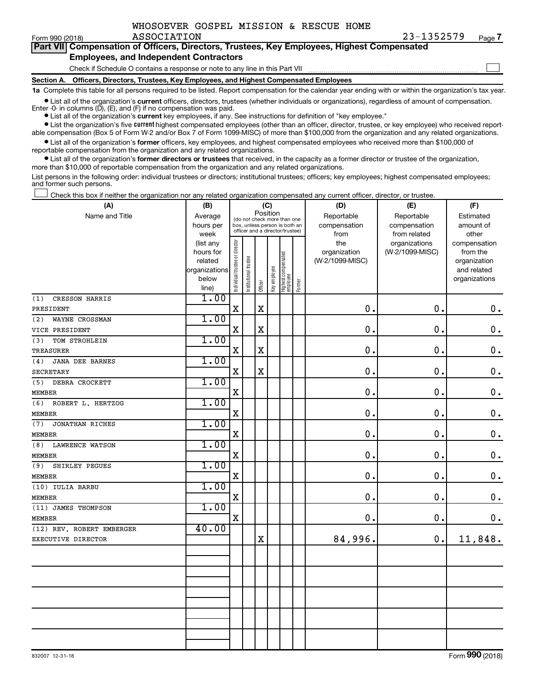$\Box$ 

| Part VII Compensation of Officers, Directors, Trustees, Key Employees, Highest Compensated |
|--------------------------------------------------------------------------------------------|
| <b>Employees, and Independent Contractors</b>                                              |

Check if Schedule O contains a response or note to any line in this Part VII

**Section A. Officers, Directors, Trustees, Key Employees, and Highest Compensated Employees**

**1a**  Complete this table for all persons required to be listed. Report compensation for the calendar year ending with or within the organization's tax year.

**•** List all of the organization's current officers, directors, trustees (whether individuals or organizations), regardless of amount of compensation. Enter  $-0$ - in columns  $(D)$ ,  $(E)$ , and  $(F)$  if no compensation was paid.

**•** List all of the organization's **current** key employees, if any. See instructions for definition of "key employee."

**•** List the organization's five current highest compensated employees (other than an officer, director, trustee, or key employee) who received reportable compensation (Box 5 of Form W-2 and/or Box 7 of Form 1099-MISC) of more than \$100,000 from the organization and any related organizations.

**•** List all of the organization's former officers, key employees, and highest compensated employees who received more than \$100,000 of reportable compensation from the organization and any related organizations.

**•** List all of the organization's former directors or trustees that received, in the capacity as a former director or trustee of the organization, more than \$10,000 of reportable compensation from the organization and any related organizations.

List persons in the following order: individual trustees or directors; institutional trustees; officers; key employees; highest compensated employees; and former such persons.

Check this box if neither the organization nor any related organization compensated any current officer, director, or trustee.  $\Box$ 

| (A)                           | (B)           |                                |                                                                  |             | (C)          |                                 |        | (D)             | (E)             | (F)           |
|-------------------------------|---------------|--------------------------------|------------------------------------------------------------------|-------------|--------------|---------------------------------|--------|-----------------|-----------------|---------------|
| Name and Title                | Average       |                                | (do not check more than one                                      | Position    |              |                                 |        | Reportable      | Reportable      | Estimated     |
|                               | hours per     |                                | box, unless person is both an<br>officer and a director/trustee) |             |              |                                 |        | compensation    | compensation    | amount of     |
|                               | week          |                                |                                                                  |             |              |                                 |        | from            | from related    | other         |
|                               | (list any     |                                |                                                                  |             |              |                                 |        | the             | organizations   | compensation  |
|                               | hours for     |                                |                                                                  |             |              |                                 |        | organization    | (W-2/1099-MISC) | from the      |
|                               | related       |                                |                                                                  |             |              |                                 |        | (W-2/1099-MISC) |                 | organization  |
|                               | organizations |                                |                                                                  |             |              |                                 |        |                 |                 | and related   |
|                               | below         | Individual trustee or director | Institutional trustee                                            | Officer     | Key employee | Highest compensated<br>employee | Former |                 |                 | organizations |
|                               | line)<br>1.00 |                                |                                                                  |             |              |                                 |        |                 |                 |               |
| CRESSON HARRIS<br>(1)         |               |                                |                                                                  | $\mathbf X$ |              |                                 |        | $\mathbf 0$ .   | $\mathbf 0$ .   |               |
| PRESIDENT                     |               | X                              |                                                                  |             |              |                                 |        |                 |                 | $\mathbf 0$ . |
| (2)<br>WAYNE CROSSMAN         | 1.00          |                                |                                                                  |             |              |                                 |        |                 |                 |               |
| VICE PRESIDENT                |               | $\mathbf X$                    |                                                                  | $\mathbf X$ |              |                                 |        | 0.              | $\mathbf 0$ .   | $\mathbf 0$ . |
| TOM STROHLEIN<br>(3)          | 1.00          |                                |                                                                  |             |              |                                 |        |                 |                 |               |
| <b>TREASURER</b>              |               | $\mathbf x$                    |                                                                  | $\mathbf x$ |              |                                 |        | 0.              | $\mathbf 0$ .   | $\mathbf 0$ . |
| <b>JANA DEE BARNES</b><br>(4) | 1.00          |                                |                                                                  |             |              |                                 |        |                 |                 |               |
| <b>SECRETARY</b>              |               | $\mathbf X$                    |                                                                  | $\mathbf X$ |              |                                 |        | 0.              | 0.              | $\mathbf 0$ . |
| DEBRA CROCKETT<br>(5)         | 1.00          |                                |                                                                  |             |              |                                 |        |                 |                 |               |
| <b>MEMBER</b>                 |               | $\mathbf X$                    |                                                                  |             |              |                                 |        | 0.              | 0.              | $\mathbf 0$ . |
| (6)<br>ROBERT L. HERTZOG      | 1.00          |                                |                                                                  |             |              |                                 |        |                 |                 |               |
| <b>MEMBER</b>                 |               | $\mathbf X$                    |                                                                  |             |              |                                 |        | $\mathbf 0$     | 0.              | $\mathbf 0$ . |
| (7)<br><b>JONATHAN RICHES</b> | 1.00          |                                |                                                                  |             |              |                                 |        |                 |                 |               |
| <b>MEMBER</b>                 |               | $\mathbf X$                    |                                                                  |             |              |                                 |        | $\mathbf 0$ .   | $\mathbf 0$ .   | $\mathbf 0$ . |
| (8)<br><b>LAWRENCE WATSON</b> | 1.00          |                                |                                                                  |             |              |                                 |        |                 |                 |               |
| <b>MEMBER</b>                 |               | $\mathbf X$                    |                                                                  |             |              |                                 |        | 0.              | 0.              | $\mathbf 0$ . |
| (9)<br>SHIRLEY PEGUES         | 1.00          |                                |                                                                  |             |              |                                 |        |                 |                 |               |
| <b>MEMBER</b>                 |               | $\mathbf X$                    |                                                                  |             |              |                                 |        | 0.              | $\mathbf 0$ .   | $\mathbf 0$ . |
| (10) IULIA BARBU              | 1.00          |                                |                                                                  |             |              |                                 |        |                 |                 |               |
| <b>MEMBER</b>                 |               | $\mathbf X$                    |                                                                  |             |              |                                 |        | $\mathbf 0$     | $\mathbf 0$ .   | $\mathbf 0$ . |
| (11) JAMES THOMPSON           | 1.00          |                                |                                                                  |             |              |                                 |        |                 |                 |               |
| <b>MEMBER</b>                 |               | $\mathbf X$                    |                                                                  |             |              |                                 |        | $\mathbf 0$ .   | $\mathbf 0$ .   | $0$ .         |
| (12) REV. ROBERT EMBERGER     | 40.00         |                                |                                                                  |             |              |                                 |        |                 |                 |               |
| EXECUTIVE DIRECTOR            |               |                                |                                                                  | $\mathbf X$ |              |                                 |        | 84,996.         | $\mathbf 0$ .   | 11,848.       |
|                               |               |                                |                                                                  |             |              |                                 |        |                 |                 |               |
|                               |               |                                |                                                                  |             |              |                                 |        |                 |                 |               |
|                               |               |                                |                                                                  |             |              |                                 |        |                 |                 |               |
|                               |               |                                |                                                                  |             |              |                                 |        |                 |                 |               |
|                               |               |                                |                                                                  |             |              |                                 |        |                 |                 |               |
|                               |               |                                |                                                                  |             |              |                                 |        |                 |                 |               |
|                               |               |                                |                                                                  |             |              |                                 |        |                 |                 |               |
|                               |               |                                |                                                                  |             |              |                                 |        |                 |                 |               |
|                               |               |                                |                                                                  |             |              |                                 |        |                 |                 |               |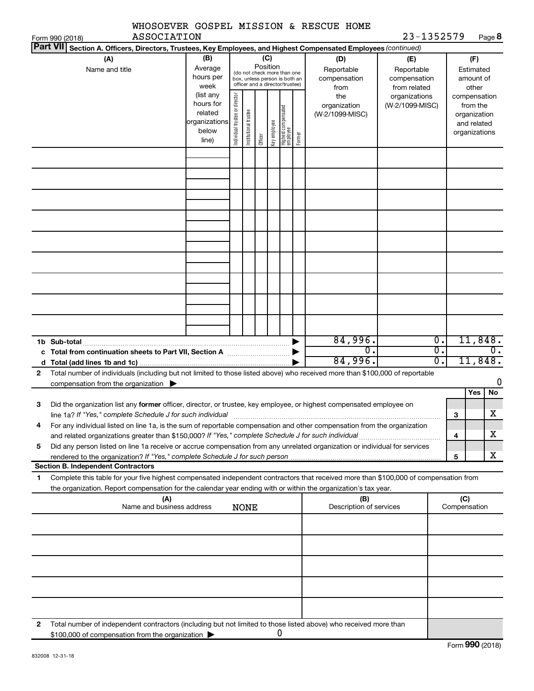|              |                                                                                                                                      |                        |                               |                       |                 |              |                                                              |        | WHOSOEVER GOSPEL MISSION & RESCUE HOME |                            |                  |              |                        |         |
|--------------|--------------------------------------------------------------------------------------------------------------------------------------|------------------------|-------------------------------|-----------------------|-----------------|--------------|--------------------------------------------------------------|--------|----------------------------------------|----------------------------|------------------|--------------|------------------------|---------|
|              | <b>ASSOCIATION</b><br>Form 990 (2018)                                                                                                |                        |                               |                       |                 |              |                                                              |        |                                        | 23-1352579                 |                  |              |                        | Page 8  |
|              | Part VII Section A. Officers, Directors, Trustees, Key Employees, and Highest Compensated Employees (continued)                      |                        |                               |                       |                 |              |                                                              |        |                                        |                            |                  |              |                        |         |
|              | (A)                                                                                                                                  | (B)<br>Average         |                               |                       | (C)<br>Position |              |                                                              |        | (D)                                    | (E)                        |                  |              | (F)                    |         |
|              | Name and title                                                                                                                       | hours per              |                               |                       |                 |              | (do not check more than one<br>box, unless person is both an |        | Reportable<br>compensation             | Reportable<br>compensation |                  |              | Estimated<br>amount of |         |
|              |                                                                                                                                      | week                   |                               |                       |                 |              | officer and a director/trustee)                              |        | from                                   | from related               |                  |              | other                  |         |
|              |                                                                                                                                      | (list any              |                               |                       |                 |              |                                                              |        | the                                    | organizations              |                  |              | compensation           |         |
|              |                                                                                                                                      | hours for              | ndividual trustee or director |                       |                 |              |                                                              |        | organization                           | (W-2/1099-MISC)            |                  |              | from the               |         |
|              |                                                                                                                                      | related                |                               |                       |                 |              |                                                              |        | (W-2/1099-MISC)                        |                            |                  |              | organization           |         |
|              |                                                                                                                                      | organizations<br>below |                               | Institutional trustee |                 | Key employee | Highest compensated<br>employee                              |        |                                        |                            |                  |              | and related            |         |
|              |                                                                                                                                      | line)                  |                               |                       | Officer         |              |                                                              | Former |                                        |                            |                  |              | organizations          |         |
|              |                                                                                                                                      |                        |                               |                       |                 |              |                                                              |        |                                        |                            |                  |              |                        |         |
|              |                                                                                                                                      |                        |                               |                       |                 |              |                                                              |        |                                        |                            |                  |              |                        |         |
|              |                                                                                                                                      |                        |                               |                       |                 |              |                                                              |        |                                        |                            |                  |              |                        |         |
|              |                                                                                                                                      |                        |                               |                       |                 |              |                                                              |        |                                        |                            |                  |              |                        |         |
|              |                                                                                                                                      |                        |                               |                       |                 |              |                                                              |        |                                        |                            |                  |              |                        |         |
|              |                                                                                                                                      |                        |                               |                       |                 |              |                                                              |        |                                        |                            |                  |              |                        |         |
|              |                                                                                                                                      |                        |                               |                       |                 |              |                                                              |        |                                        |                            |                  |              |                        |         |
|              |                                                                                                                                      |                        |                               |                       |                 |              |                                                              |        |                                        |                            |                  |              |                        |         |
|              |                                                                                                                                      |                        |                               |                       |                 |              |                                                              |        |                                        |                            |                  |              |                        |         |
|              |                                                                                                                                      |                        |                               |                       |                 |              |                                                              |        |                                        |                            |                  |              |                        |         |
|              |                                                                                                                                      |                        |                               |                       |                 |              |                                                              |        |                                        |                            |                  |              |                        |         |
|              |                                                                                                                                      |                        |                               |                       |                 |              |                                                              |        |                                        |                            |                  |              |                        |         |
|              |                                                                                                                                      |                        |                               |                       |                 |              |                                                              |        |                                        |                            |                  |              |                        |         |
|              |                                                                                                                                      |                        |                               |                       |                 |              |                                                              |        |                                        |                            |                  |              |                        |         |
|              |                                                                                                                                      |                        |                               |                       |                 |              |                                                              |        |                                        |                            |                  |              |                        |         |
|              |                                                                                                                                      |                        |                               |                       |                 |              |                                                              |        |                                        |                            |                  |              |                        |         |
|              |                                                                                                                                      |                        |                               |                       |                 |              |                                                              |        |                                        |                            |                  |              |                        |         |
|              |                                                                                                                                      |                        |                               |                       |                 |              |                                                              |        |                                        |                            |                  |              |                        |         |
|              |                                                                                                                                      |                        |                               |                       |                 |              |                                                              |        | 84,996.                                |                            | Ο.               |              |                        | 11,848. |
|              |                                                                                                                                      |                        |                               |                       |                 |              |                                                              |        | 0.                                     |                            | $\overline{0}$ . |              |                        | 0.      |
|              |                                                                                                                                      |                        |                               |                       |                 |              |                                                              |        | 84,996.                                |                            | σ.               |              |                        | 11,848. |
| $\mathbf{2}$ | Total number of individuals (including but not limited to those listed above) who received more than \$100,000 of reportable         |                        |                               |                       |                 |              |                                                              |        |                                        |                            |                  |              |                        |         |
|              | compensation from the organization $\blacktriangleright$                                                                             |                        |                               |                       |                 |              |                                                              |        |                                        |                            |                  |              |                        | 0       |
|              |                                                                                                                                      |                        |                               |                       |                 |              |                                                              |        |                                        |                            |                  |              | Yes                    | No      |
| З            | Did the organization list any former officer, director, or trustee, key employee, or highest compensated employee on                 |                        |                               |                       |                 |              |                                                              |        |                                        |                            |                  |              |                        |         |
|              | line 1a? If "Yes," complete Schedule J for such individual                                                                           |                        |                               |                       |                 |              |                                                              |        |                                        |                            |                  | 3            |                        | x       |
| 4            | For any individual listed on line 1a, is the sum of reportable compensation and other compensation from the organization             |                        |                               |                       |                 |              |                                                              |        |                                        |                            |                  |              |                        |         |
|              |                                                                                                                                      |                        |                               |                       |                 |              |                                                              |        |                                        |                            |                  | 4            |                        | x       |
| 5            | Did any person listed on line 1a receive or accrue compensation from any unrelated organization or individual for services           |                        |                               |                       |                 |              |                                                              |        |                                        |                            |                  |              |                        |         |
|              |                                                                                                                                      |                        |                               |                       |                 |              |                                                              |        |                                        |                            |                  | 5            |                        | x       |
|              | <b>Section B. Independent Contractors</b>                                                                                            |                        |                               |                       |                 |              |                                                              |        |                                        |                            |                  |              |                        |         |
| 1            | Complete this table for your five highest compensated independent contractors that received more than \$100,000 of compensation from |                        |                               |                       |                 |              |                                                              |        |                                        |                            |                  |              |                        |         |
|              | the organization. Report compensation for the calendar year ending with or within the organization's tax year.                       |                        |                               |                       |                 |              |                                                              |        |                                        |                            |                  |              |                        |         |
|              | (A)                                                                                                                                  |                        |                               |                       |                 |              |                                                              |        | (B)                                    |                            |                  | (C)          |                        |         |
|              | Name and business address                                                                                                            |                        |                               | <b>NONE</b>           |                 |              |                                                              |        | Description of services                |                            |                  | Compensation |                        |         |
|              |                                                                                                                                      |                        |                               |                       |                 |              |                                                              |        |                                        |                            |                  |              |                        |         |
|              |                                                                                                                                      |                        |                               |                       |                 |              |                                                              |        |                                        |                            |                  |              |                        |         |
|              |                                                                                                                                      |                        |                               |                       |                 |              |                                                              |        |                                        |                            |                  |              |                        |         |
|              |                                                                                                                                      |                        |                               |                       |                 |              |                                                              |        |                                        |                            |                  |              |                        |         |
|              |                                                                                                                                      |                        |                               |                       |                 |              |                                                              |        |                                        |                            |                  |              |                        |         |
|              |                                                                                                                                      |                        |                               |                       |                 |              |                                                              |        |                                        |                            |                  |              |                        |         |
|              |                                                                                                                                      |                        |                               |                       |                 |              |                                                              |        |                                        |                            |                  |              |                        |         |
|              |                                                                                                                                      |                        |                               |                       |                 |              |                                                              |        |                                        |                            |                  |              |                        |         |
|              |                                                                                                                                      |                        |                               |                       |                 |              |                                                              |        |                                        |                            |                  |              |                        |         |
|              |                                                                                                                                      |                        |                               |                       |                 |              |                                                              |        |                                        |                            |                  |              |                        |         |
| 2            | Total number of independent contractors (including but not limited to those listed above) who received more than                     |                        |                               |                       |                 |              | 0                                                            |        |                                        |                            |                  |              |                        |         |
|              | \$100,000 of compensation from the organization                                                                                      |                        |                               |                       |                 |              |                                                              |        |                                        |                            |                  |              |                        |         |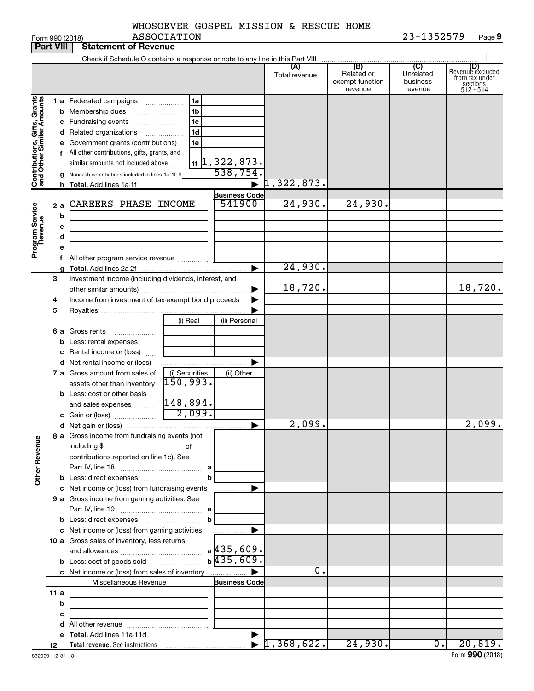| WHOSOEVER GOSPEL MISSION & RESCUE HOME |  |  |            |
|----------------------------------------|--|--|------------|
| <b>ASSOCIATION</b>                     |  |  | 23-1352579 |

| (B)<br>(C)<br>(A)<br>(D)<br>Revenue excluded<br>Related or<br>Unrelated<br>Total revenue<br>from tax under<br>exempt function<br>business<br>sections<br>$512 - 514$<br>revenue<br>revenue<br>Contributions, Gifts, Grants<br>and Other Similar Amounts<br>1 a Federated campaigns<br>1a<br>1b<br><b>b</b> Membership dues<br>1c<br>c Fundraising events<br>1 <sub>d</sub><br>d Related organizations<br>.<br>e Government grants (contributions)<br>1e<br>f All other contributions, gifts, grants, and<br>$\frac{11}{16}$ , 322, 873.<br>538, 754.<br>similar amounts not included above<br>g Noncash contributions included in lines 1a-1f: \$<br>1,322,873.<br><b>Business Code</b><br>24,930.<br>24,930.<br>541900<br>CAREERS PHASE INCOME<br>Program Service<br>Revenue<br>2a<br>b<br><u> 1989 - Johann Barbara, martxa al</u><br>c<br>the control of the control of the control of the control of the control of<br>d<br>the control of the control of the control of the control of<br>All other program service revenue<br>24,930.<br>▶<br>3<br>Investment income (including dividends, interest, and<br>18,720.<br>Income from investment of tax-exempt bond proceeds<br>4<br>5<br>(i) Real<br>(ii) Personal<br>6 a Gross rents<br><b>b</b> Less: rental expenses<br>c Rental income or (loss)<br><b>d</b> Net rental income or (loss)<br>7 a Gross amount from sales of<br>(i) Securities<br>(ii) Other<br>150,993.<br>assets other than inventory<br><b>b</b> Less: cost or other basis<br>148,894.<br>and sales expenses<br>$\overline{2,099}$ .<br>c Gain or (loss)<br>2,099.<br>2,099.<br>▶<br>8 a Gross income from fundraising events (not<br><b>Other Revenue</b><br>including \$<br>of<br>contributions reported on line 1c). See<br>b<br>c Net income or (loss) from fundraising events<br>.<br>9 a Gross income from gaming activities. See<br>b<br>10 a Gross sales of inventory, less returns<br>$a$ 435,609.<br>$b\sqrt{435,609}$ .<br>0.<br>c Net income or (loss) from sales of inventory<br>Miscellaneous Revenue<br><b>Business Code</b><br>11a<br><u> 1989 - Johann Barbara, martin a bhann an t-Alban an t-Alban an t-Alban an t-Alban an t-Alban an t-Alban an t-</u><br>b<br><u> 1989 - Johann John Stone, markin film ar yn y brenin y brenin y brenin y brenin y brenin y brenin y brenin y</u> |  | <b>Part VIII</b> | <b>Statement of Revenue</b> |  |  |         |
|-----------------------------------------------------------------------------------------------------------------------------------------------------------------------------------------------------------------------------------------------------------------------------------------------------------------------------------------------------------------------------------------------------------------------------------------------------------------------------------------------------------------------------------------------------------------------------------------------------------------------------------------------------------------------------------------------------------------------------------------------------------------------------------------------------------------------------------------------------------------------------------------------------------------------------------------------------------------------------------------------------------------------------------------------------------------------------------------------------------------------------------------------------------------------------------------------------------------------------------------------------------------------------------------------------------------------------------------------------------------------------------------------------------------------------------------------------------------------------------------------------------------------------------------------------------------------------------------------------------------------------------------------------------------------------------------------------------------------------------------------------------------------------------------------------------------------------------------------------------------------------------------------------------------------------------------------------------------------------------------------------------------------------------------------------------------------------------------------------------------------------------------------------------------------------------------------------------------------------------------------------------------------------------------------------------------------------------|--|------------------|-----------------------------|--|--|---------|
|                                                                                                                                                                                                                                                                                                                                                                                                                                                                                                                                                                                                                                                                                                                                                                                                                                                                                                                                                                                                                                                                                                                                                                                                                                                                                                                                                                                                                                                                                                                                                                                                                                                                                                                                                                                                                                                                                                                                                                                                                                                                                                                                                                                                                                                                                                                                   |  |                  |                             |  |  |         |
|                                                                                                                                                                                                                                                                                                                                                                                                                                                                                                                                                                                                                                                                                                                                                                                                                                                                                                                                                                                                                                                                                                                                                                                                                                                                                                                                                                                                                                                                                                                                                                                                                                                                                                                                                                                                                                                                                                                                                                                                                                                                                                                                                                                                                                                                                                                                   |  |                  |                             |  |  |         |
|                                                                                                                                                                                                                                                                                                                                                                                                                                                                                                                                                                                                                                                                                                                                                                                                                                                                                                                                                                                                                                                                                                                                                                                                                                                                                                                                                                                                                                                                                                                                                                                                                                                                                                                                                                                                                                                                                                                                                                                                                                                                                                                                                                                                                                                                                                                                   |  |                  |                             |  |  |         |
|                                                                                                                                                                                                                                                                                                                                                                                                                                                                                                                                                                                                                                                                                                                                                                                                                                                                                                                                                                                                                                                                                                                                                                                                                                                                                                                                                                                                                                                                                                                                                                                                                                                                                                                                                                                                                                                                                                                                                                                                                                                                                                                                                                                                                                                                                                                                   |  |                  |                             |  |  |         |
|                                                                                                                                                                                                                                                                                                                                                                                                                                                                                                                                                                                                                                                                                                                                                                                                                                                                                                                                                                                                                                                                                                                                                                                                                                                                                                                                                                                                                                                                                                                                                                                                                                                                                                                                                                                                                                                                                                                                                                                                                                                                                                                                                                                                                                                                                                                                   |  |                  |                             |  |  |         |
|                                                                                                                                                                                                                                                                                                                                                                                                                                                                                                                                                                                                                                                                                                                                                                                                                                                                                                                                                                                                                                                                                                                                                                                                                                                                                                                                                                                                                                                                                                                                                                                                                                                                                                                                                                                                                                                                                                                                                                                                                                                                                                                                                                                                                                                                                                                                   |  |                  |                             |  |  |         |
|                                                                                                                                                                                                                                                                                                                                                                                                                                                                                                                                                                                                                                                                                                                                                                                                                                                                                                                                                                                                                                                                                                                                                                                                                                                                                                                                                                                                                                                                                                                                                                                                                                                                                                                                                                                                                                                                                                                                                                                                                                                                                                                                                                                                                                                                                                                                   |  |                  |                             |  |  |         |
|                                                                                                                                                                                                                                                                                                                                                                                                                                                                                                                                                                                                                                                                                                                                                                                                                                                                                                                                                                                                                                                                                                                                                                                                                                                                                                                                                                                                                                                                                                                                                                                                                                                                                                                                                                                                                                                                                                                                                                                                                                                                                                                                                                                                                                                                                                                                   |  |                  |                             |  |  |         |
|                                                                                                                                                                                                                                                                                                                                                                                                                                                                                                                                                                                                                                                                                                                                                                                                                                                                                                                                                                                                                                                                                                                                                                                                                                                                                                                                                                                                                                                                                                                                                                                                                                                                                                                                                                                                                                                                                                                                                                                                                                                                                                                                                                                                                                                                                                                                   |  |                  |                             |  |  |         |
|                                                                                                                                                                                                                                                                                                                                                                                                                                                                                                                                                                                                                                                                                                                                                                                                                                                                                                                                                                                                                                                                                                                                                                                                                                                                                                                                                                                                                                                                                                                                                                                                                                                                                                                                                                                                                                                                                                                                                                                                                                                                                                                                                                                                                                                                                                                                   |  |                  |                             |  |  | 18,720. |
|                                                                                                                                                                                                                                                                                                                                                                                                                                                                                                                                                                                                                                                                                                                                                                                                                                                                                                                                                                                                                                                                                                                                                                                                                                                                                                                                                                                                                                                                                                                                                                                                                                                                                                                                                                                                                                                                                                                                                                                                                                                                                                                                                                                                                                                                                                                                   |  |                  |                             |  |  |         |
|                                                                                                                                                                                                                                                                                                                                                                                                                                                                                                                                                                                                                                                                                                                                                                                                                                                                                                                                                                                                                                                                                                                                                                                                                                                                                                                                                                                                                                                                                                                                                                                                                                                                                                                                                                                                                                                                                                                                                                                                                                                                                                                                                                                                                                                                                                                                   |  |                  |                             |  |  |         |
|                                                                                                                                                                                                                                                                                                                                                                                                                                                                                                                                                                                                                                                                                                                                                                                                                                                                                                                                                                                                                                                                                                                                                                                                                                                                                                                                                                                                                                                                                                                                                                                                                                                                                                                                                                                                                                                                                                                                                                                                                                                                                                                                                                                                                                                                                                                                   |  |                  |                             |  |  |         |
|                                                                                                                                                                                                                                                                                                                                                                                                                                                                                                                                                                                                                                                                                                                                                                                                                                                                                                                                                                                                                                                                                                                                                                                                                                                                                                                                                                                                                                                                                                                                                                                                                                                                                                                                                                                                                                                                                                                                                                                                                                                                                                                                                                                                                                                                                                                                   |  |                  |                             |  |  |         |
|                                                                                                                                                                                                                                                                                                                                                                                                                                                                                                                                                                                                                                                                                                                                                                                                                                                                                                                                                                                                                                                                                                                                                                                                                                                                                                                                                                                                                                                                                                                                                                                                                                                                                                                                                                                                                                                                                                                                                                                                                                                                                                                                                                                                                                                                                                                                   |  |                  |                             |  |  |         |
|                                                                                                                                                                                                                                                                                                                                                                                                                                                                                                                                                                                                                                                                                                                                                                                                                                                                                                                                                                                                                                                                                                                                                                                                                                                                                                                                                                                                                                                                                                                                                                                                                                                                                                                                                                                                                                                                                                                                                                                                                                                                                                                                                                                                                                                                                                                                   |  |                  |                             |  |  |         |
|                                                                                                                                                                                                                                                                                                                                                                                                                                                                                                                                                                                                                                                                                                                                                                                                                                                                                                                                                                                                                                                                                                                                                                                                                                                                                                                                                                                                                                                                                                                                                                                                                                                                                                                                                                                                                                                                                                                                                                                                                                                                                                                                                                                                                                                                                                                                   |  |                  |                             |  |  |         |
|                                                                                                                                                                                                                                                                                                                                                                                                                                                                                                                                                                                                                                                                                                                                                                                                                                                                                                                                                                                                                                                                                                                                                                                                                                                                                                                                                                                                                                                                                                                                                                                                                                                                                                                                                                                                                                                                                                                                                                                                                                                                                                                                                                                                                                                                                                                                   |  |                  |                             |  |  |         |
|                                                                                                                                                                                                                                                                                                                                                                                                                                                                                                                                                                                                                                                                                                                                                                                                                                                                                                                                                                                                                                                                                                                                                                                                                                                                                                                                                                                                                                                                                                                                                                                                                                                                                                                                                                                                                                                                                                                                                                                                                                                                                                                                                                                                                                                                                                                                   |  |                  |                             |  |  |         |
|                                                                                                                                                                                                                                                                                                                                                                                                                                                                                                                                                                                                                                                                                                                                                                                                                                                                                                                                                                                                                                                                                                                                                                                                                                                                                                                                                                                                                                                                                                                                                                                                                                                                                                                                                                                                                                                                                                                                                                                                                                                                                                                                                                                                                                                                                                                                   |  |                  |                             |  |  |         |
|                                                                                                                                                                                                                                                                                                                                                                                                                                                                                                                                                                                                                                                                                                                                                                                                                                                                                                                                                                                                                                                                                                                                                                                                                                                                                                                                                                                                                                                                                                                                                                                                                                                                                                                                                                                                                                                                                                                                                                                                                                                                                                                                                                                                                                                                                                                                   |  |                  |                             |  |  |         |
|                                                                                                                                                                                                                                                                                                                                                                                                                                                                                                                                                                                                                                                                                                                                                                                                                                                                                                                                                                                                                                                                                                                                                                                                                                                                                                                                                                                                                                                                                                                                                                                                                                                                                                                                                                                                                                                                                                                                                                                                                                                                                                                                                                                                                                                                                                                                   |  |                  |                             |  |  |         |
|                                                                                                                                                                                                                                                                                                                                                                                                                                                                                                                                                                                                                                                                                                                                                                                                                                                                                                                                                                                                                                                                                                                                                                                                                                                                                                                                                                                                                                                                                                                                                                                                                                                                                                                                                                                                                                                                                                                                                                                                                                                                                                                                                                                                                                                                                                                                   |  |                  |                             |  |  |         |
|                                                                                                                                                                                                                                                                                                                                                                                                                                                                                                                                                                                                                                                                                                                                                                                                                                                                                                                                                                                                                                                                                                                                                                                                                                                                                                                                                                                                                                                                                                                                                                                                                                                                                                                                                                                                                                                                                                                                                                                                                                                                                                                                                                                                                                                                                                                                   |  |                  |                             |  |  |         |
|                                                                                                                                                                                                                                                                                                                                                                                                                                                                                                                                                                                                                                                                                                                                                                                                                                                                                                                                                                                                                                                                                                                                                                                                                                                                                                                                                                                                                                                                                                                                                                                                                                                                                                                                                                                                                                                                                                                                                                                                                                                                                                                                                                                                                                                                                                                                   |  |                  |                             |  |  |         |
|                                                                                                                                                                                                                                                                                                                                                                                                                                                                                                                                                                                                                                                                                                                                                                                                                                                                                                                                                                                                                                                                                                                                                                                                                                                                                                                                                                                                                                                                                                                                                                                                                                                                                                                                                                                                                                                                                                                                                                                                                                                                                                                                                                                                                                                                                                                                   |  |                  |                             |  |  |         |
|                                                                                                                                                                                                                                                                                                                                                                                                                                                                                                                                                                                                                                                                                                                                                                                                                                                                                                                                                                                                                                                                                                                                                                                                                                                                                                                                                                                                                                                                                                                                                                                                                                                                                                                                                                                                                                                                                                                                                                                                                                                                                                                                                                                                                                                                                                                                   |  |                  |                             |  |  |         |
|                                                                                                                                                                                                                                                                                                                                                                                                                                                                                                                                                                                                                                                                                                                                                                                                                                                                                                                                                                                                                                                                                                                                                                                                                                                                                                                                                                                                                                                                                                                                                                                                                                                                                                                                                                                                                                                                                                                                                                                                                                                                                                                                                                                                                                                                                                                                   |  |                  |                             |  |  |         |
|                                                                                                                                                                                                                                                                                                                                                                                                                                                                                                                                                                                                                                                                                                                                                                                                                                                                                                                                                                                                                                                                                                                                                                                                                                                                                                                                                                                                                                                                                                                                                                                                                                                                                                                                                                                                                                                                                                                                                                                                                                                                                                                                                                                                                                                                                                                                   |  |                  |                             |  |  |         |
|                                                                                                                                                                                                                                                                                                                                                                                                                                                                                                                                                                                                                                                                                                                                                                                                                                                                                                                                                                                                                                                                                                                                                                                                                                                                                                                                                                                                                                                                                                                                                                                                                                                                                                                                                                                                                                                                                                                                                                                                                                                                                                                                                                                                                                                                                                                                   |  |                  |                             |  |  |         |
|                                                                                                                                                                                                                                                                                                                                                                                                                                                                                                                                                                                                                                                                                                                                                                                                                                                                                                                                                                                                                                                                                                                                                                                                                                                                                                                                                                                                                                                                                                                                                                                                                                                                                                                                                                                                                                                                                                                                                                                                                                                                                                                                                                                                                                                                                                                                   |  |                  |                             |  |  |         |
|                                                                                                                                                                                                                                                                                                                                                                                                                                                                                                                                                                                                                                                                                                                                                                                                                                                                                                                                                                                                                                                                                                                                                                                                                                                                                                                                                                                                                                                                                                                                                                                                                                                                                                                                                                                                                                                                                                                                                                                                                                                                                                                                                                                                                                                                                                                                   |  |                  |                             |  |  |         |
|                                                                                                                                                                                                                                                                                                                                                                                                                                                                                                                                                                                                                                                                                                                                                                                                                                                                                                                                                                                                                                                                                                                                                                                                                                                                                                                                                                                                                                                                                                                                                                                                                                                                                                                                                                                                                                                                                                                                                                                                                                                                                                                                                                                                                                                                                                                                   |  |                  |                             |  |  |         |
| с<br>the control of the control of the control of the control of                                                                                                                                                                                                                                                                                                                                                                                                                                                                                                                                                                                                                                                                                                                                                                                                                                                                                                                                                                                                                                                                                                                                                                                                                                                                                                                                                                                                                                                                                                                                                                                                                                                                                                                                                                                                                                                                                                                                                                                                                                                                                                                                                                                                                                                                  |  |                  |                             |  |  |         |
|                                                                                                                                                                                                                                                                                                                                                                                                                                                                                                                                                                                                                                                                                                                                                                                                                                                                                                                                                                                                                                                                                                                                                                                                                                                                                                                                                                                                                                                                                                                                                                                                                                                                                                                                                                                                                                                                                                                                                                                                                                                                                                                                                                                                                                                                                                                                   |  |                  |                             |  |  |         |
| 1,368,622.<br>24,930.<br>$\overline{0}$ .<br>12                                                                                                                                                                                                                                                                                                                                                                                                                                                                                                                                                                                                                                                                                                                                                                                                                                                                                                                                                                                                                                                                                                                                                                                                                                                                                                                                                                                                                                                                                                                                                                                                                                                                                                                                                                                                                                                                                                                                                                                                                                                                                                                                                                                                                                                                                   |  |                  |                             |  |  | 20,819. |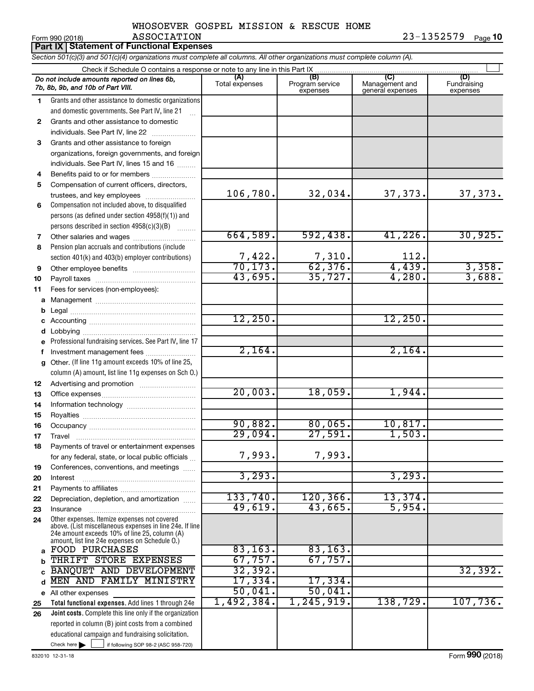|                 | WHUSULVLK GUSPLL MISSIUN & RESCUL HUML |  |  |            |         |
|-----------------|----------------------------------------|--|--|------------|---------|
| Form 990 (2018) | <b>ASSOCIATION</b>                     |  |  | 23-1352579 | Page 10 |

| Part IX   Statement of Functional Expenses |                                                                                                                            |                        |                                    |                                           |                                |  |  |  |
|--------------------------------------------|----------------------------------------------------------------------------------------------------------------------------|------------------------|------------------------------------|-------------------------------------------|--------------------------------|--|--|--|
|                                            | Section 501(c)(3) and 501(c)(4) organizations must complete all columns. All other organizations must complete column (A). |                        |                                    |                                           |                                |  |  |  |
|                                            | Check if Schedule O contains a response or note to any line in this Part IX                                                |                        |                                    |                                           |                                |  |  |  |
|                                            | Do not include amounts reported on lines 6b,<br>7b, 8b, 9b, and 10b of Part VIII.                                          | (A)<br>Total expenses  | (B)<br>Program service<br>expenses | (C)<br>Management and<br>general expenses | (D)<br>Fundraising<br>expenses |  |  |  |
| 1.                                         | Grants and other assistance to domestic organizations                                                                      |                        |                                    |                                           |                                |  |  |  |
|                                            | and domestic governments. See Part IV, line 21                                                                             |                        |                                    |                                           |                                |  |  |  |
| 2                                          | Grants and other assistance to domestic                                                                                    |                        |                                    |                                           |                                |  |  |  |
|                                            | individuals. See Part IV, line 22                                                                                          |                        |                                    |                                           |                                |  |  |  |
| 3                                          | Grants and other assistance to foreign                                                                                     |                        |                                    |                                           |                                |  |  |  |
|                                            | organizations, foreign governments, and foreign                                                                            |                        |                                    |                                           |                                |  |  |  |
|                                            | individuals. See Part IV, lines 15 and 16                                                                                  |                        |                                    |                                           |                                |  |  |  |
| 4                                          | Benefits paid to or for members                                                                                            |                        |                                    |                                           |                                |  |  |  |
| 5                                          | Compensation of current officers, directors,                                                                               |                        |                                    |                                           |                                |  |  |  |
|                                            | trustees, and key employees                                                                                                | 106,780.               | 32,034.                            | 37, 373.                                  | 37, 373.                       |  |  |  |
| 6                                          | Compensation not included above, to disqualified                                                                           |                        |                                    |                                           |                                |  |  |  |
|                                            | persons (as defined under section 4958(f)(1)) and                                                                          |                        |                                    |                                           |                                |  |  |  |
|                                            | persons described in section 4958(c)(3)(B)                                                                                 | 664,589.               | 592,438.                           | $41,226$ .                                | 30,925.                        |  |  |  |
| 7                                          |                                                                                                                            |                        |                                    |                                           |                                |  |  |  |
| 8                                          | Pension plan accruals and contributions (include                                                                           |                        | 7,310.                             | 112.                                      |                                |  |  |  |
| 9                                          | section 401(k) and 403(b) employer contributions)<br>Other employee benefits                                               | $\frac{7,422}{70,173}$ | 62,376.                            | 4,439.                                    | 3,358.                         |  |  |  |
| 10                                         |                                                                                                                            | 43,695.                | 35,727.                            | 4,280.                                    | 3,688.                         |  |  |  |
| 11                                         | Fees for services (non-employees):                                                                                         |                        |                                    |                                           |                                |  |  |  |
|                                            |                                                                                                                            |                        |                                    |                                           |                                |  |  |  |
| b                                          |                                                                                                                            |                        |                                    |                                           |                                |  |  |  |
|                                            |                                                                                                                            | 12,250.                |                                    | 12,250.                                   |                                |  |  |  |
| d                                          |                                                                                                                            |                        |                                    |                                           |                                |  |  |  |
|                                            | e Professional fundraising services. See Part IV, line 17                                                                  |                        |                                    |                                           |                                |  |  |  |
| f                                          | Investment management fees                                                                                                 | 2,164.                 |                                    | 2,164.                                    |                                |  |  |  |
|                                            | g Other. (If line 11g amount exceeds 10% of line 25,                                                                       |                        |                                    |                                           |                                |  |  |  |
|                                            | column (A) amount, list line 11g expenses on Sch O.)                                                                       |                        |                                    |                                           |                                |  |  |  |
| 12                                         | Advertising and promotion <i>manually contained</i>                                                                        |                        |                                    |                                           |                                |  |  |  |
| 13                                         |                                                                                                                            | 20,003.                | 18,059.                            | 1,944.                                    |                                |  |  |  |
| 14                                         |                                                                                                                            |                        |                                    |                                           |                                |  |  |  |
| 15                                         |                                                                                                                            |                        |                                    |                                           |                                |  |  |  |
| 16                                         |                                                                                                                            | 90,882.                | 80,065.                            | 10,817.                                   |                                |  |  |  |
| 17                                         | Travel                                                                                                                     | 29,094.                | 27,591.                            | $1,503$ .                                 |                                |  |  |  |
| 18                                         | Payments of travel or entertainment expenses                                                                               |                        | 7,993.                             |                                           |                                |  |  |  |
|                                            | for any federal, state, or local public officials                                                                          | 7,993.                 |                                    |                                           |                                |  |  |  |
| 19                                         | Conferences, conventions, and meetings                                                                                     | 3,293.                 |                                    | 3, 293.                                   |                                |  |  |  |
| 20                                         | Interest                                                                                                                   |                        |                                    |                                           |                                |  |  |  |
| 21<br>22                                   | Depreciation, depletion, and amortization                                                                                  | 133,740.               | 120, 366.                          | 13,374.                                   |                                |  |  |  |
| 23                                         | Insurance                                                                                                                  | 49,619.                | 43,665.                            | 5,954.                                    |                                |  |  |  |
| 24                                         | Other expenses. Itemize expenses not covered                                                                               |                        |                                    |                                           |                                |  |  |  |
|                                            | above. (List miscellaneous expenses in line 24e. If line<br>24e amount exceeds 10% of line 25, column (A)                  |                        |                                    |                                           |                                |  |  |  |
|                                            | amount, list line 24e expenses on Schedule O.)<br><b>FOOD PURCHASES</b>                                                    | 83, 163.               | 83, 163.                           |                                           |                                |  |  |  |
| a                                          | THRIFT STORE EXPENSES                                                                                                      | 67,757.                | 67,757.                            |                                           |                                |  |  |  |
| b                                          | BANQUET AND DEVELOPMENT                                                                                                    | 32, 392.               |                                    |                                           | 32,392.                        |  |  |  |
| d                                          | MEN AND FAMILY MINISTRY                                                                                                    | 17,334.                | 17,334.                            |                                           |                                |  |  |  |
|                                            | e All other expenses                                                                                                       | 50,041.                | 50,041.                            |                                           |                                |  |  |  |
| 25                                         | Total functional expenses. Add lines 1 through 24e                                                                         | 1,492,384.             | 1,245,919.                         | 138,729.                                  | 107,736.                       |  |  |  |
| 26                                         | Joint costs. Complete this line only if the organization                                                                   |                        |                                    |                                           |                                |  |  |  |
|                                            | reported in column (B) joint costs from a combined                                                                         |                        |                                    |                                           |                                |  |  |  |
|                                            | educational campaign and fundraising solicitation.                                                                         |                        |                                    |                                           |                                |  |  |  |

Check here

Check here  $\begin{array}{c} \begin{array}{|c} \hline \end{array} \end{array}$  if following SOP 98-2 (ASC 958-720)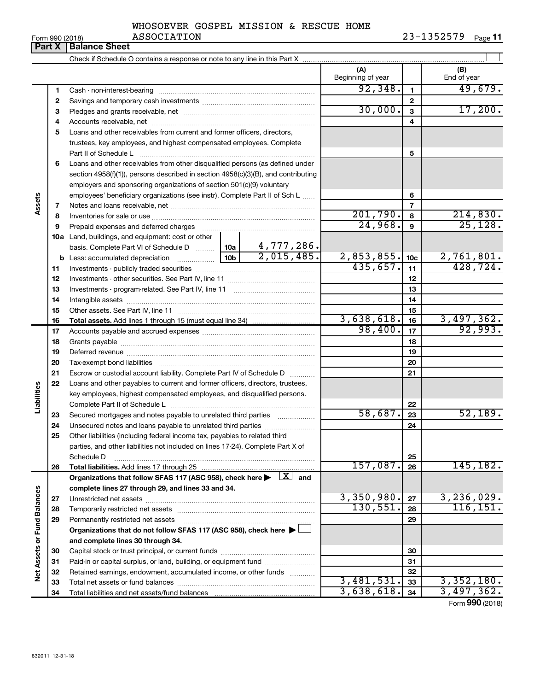| WHOSOEVER GOSPEL MISSION & RESCUE HOME |  |  |  |
|----------------------------------------|--|--|--|
|                                        |  |  |  |

 $\perp$ 

#### Form 990 (2018) Page **11 Part X Balance Sheet** ASSOCIATION 23-1352579

Check if Schedule O contains a response or note to any line in this Part X

|                      |          |                                                                                                                              |  |            | (A)<br>Beginning of year |                 | (B)<br>End of year      |
|----------------------|----------|------------------------------------------------------------------------------------------------------------------------------|--|------------|--------------------------|-----------------|-------------------------|
|                      | 1        |                                                                                                                              |  |            | 92,348.                  | 1               | 49,679.                 |
|                      | 2        |                                                                                                                              |  |            |                          | $\mathbf{2}$    |                         |
|                      | 3        |                                                                                                                              |  |            | 30,000.                  | 3               | 17,200.                 |
|                      | 4        |                                                                                                                              |  |            |                          | 4               |                         |
|                      | 5        | Loans and other receivables from current and former officers, directors,                                                     |  |            |                          |                 |                         |
|                      |          | trustees, key employees, and highest compensated employees. Complete                                                         |  |            |                          |                 |                         |
|                      |          | Part II of Schedule L                                                                                                        |  | 5          |                          |                 |                         |
|                      | 6        | Loans and other receivables from other disqualified persons (as defined under                                                |  |            |                          |                 |                         |
|                      |          | section 4958(f)(1)), persons described in section 4958(c)(3)(B), and contributing                                            |  |            |                          |                 |                         |
|                      |          | employers and sponsoring organizations of section 501(c)(9) voluntary                                                        |  |            |                          |                 |                         |
|                      |          | employees' beneficiary organizations (see instr). Complete Part II of Sch L                                                  |  |            | 6                        |                 |                         |
| Assets               | 7        |                                                                                                                              |  |            |                          | 7               |                         |
|                      | 8        |                                                                                                                              |  |            | 201,790.                 | 8               | 214,830.                |
|                      | 9        |                                                                                                                              |  |            | 24,968.                  | 9               | 25, 128.                |
|                      |          | 10a Land, buildings, and equipment: cost or other                                                                            |  |            |                          |                 |                         |
|                      |          | basis. Complete Part VI of Schedule D    10a   4,777, 286.                                                                   |  |            |                          |                 |                         |
|                      |          |                                                                                                                              |  | 2,015,485. | 2,853,855.               | 10 <sub>c</sub> | 2,761,801.              |
|                      | 11       |                                                                                                                              |  |            | 435,657.                 | 11              | 428, 724.               |
|                      | 12       |                                                                                                                              |  |            |                          | 12              |                         |
|                      | 13       |                                                                                                                              |  |            |                          | 13              |                         |
|                      | 14       |                                                                                                                              |  | 14         |                          |                 |                         |
|                      | 15       |                                                                                                                              |  | 15         |                          |                 |                         |
|                      | 16       |                                                                                                                              |  |            | 3,638,618.               | 16              | 3,497,362.              |
|                      | 17       |                                                                                                                              |  |            | 98,400.                  | 17              | 92,993.                 |
|                      | 18       |                                                                                                                              |  | 18         |                          |                 |                         |
|                      | 19       |                                                                                                                              |  | 19         |                          |                 |                         |
|                      | 20       |                                                                                                                              |  | 20         |                          |                 |                         |
|                      | 21       | Escrow or custodial account liability. Complete Part IV of Schedule D                                                        |  | 21         |                          |                 |                         |
|                      | 22       | Loans and other payables to current and former officers, directors, trustees,                                                |  |            |                          |                 |                         |
| Liabilities          |          | key employees, highest compensated employees, and disqualified persons.                                                      |  |            |                          |                 |                         |
|                      |          |                                                                                                                              |  |            |                          | 22              |                         |
|                      | 23       | Secured mortgages and notes payable to unrelated third parties                                                               |  |            | 58,687.                  | 23              | 52,189.                 |
|                      | 24       | Unsecured notes and loans payable to unrelated third parties                                                                 |  |            |                          | 24              |                         |
|                      | 25       | Other liabilities (including federal income tax, payables to related third                                                   |  |            |                          |                 |                         |
|                      |          | parties, and other liabilities not included on lines 17-24). Complete Part X of                                              |  |            |                          |                 |                         |
|                      |          | Schedule D                                                                                                                   |  |            |                          | 25              |                         |
|                      | 26       |                                                                                                                              |  |            | 157,087.                 | 26              | 145,182.                |
|                      |          | Organizations that follow SFAS 117 (ASC 958), check here $\blacktriangleright \begin{array}{c} \boxed{X} \\ \end{array}$ and |  |            |                          |                 |                         |
|                      |          | complete lines 27 through 29, and lines 33 and 34.                                                                           |  |            | 3,350,980.               |                 |                         |
|                      | 27       |                                                                                                                              |  |            | 130,551.                 | 27              | 3,236,029.<br>116, 151. |
| <b>Fund Balances</b> | 28       |                                                                                                                              |  | 28         |                          |                 |                         |
|                      | 29       | Permanently restricted net assets                                                                                            |  |            |                          | 29              |                         |
|                      |          | Organizations that do not follow SFAS 117 (ASC 958), check here ▶                                                            |  |            |                          |                 |                         |
|                      |          | and complete lines 30 through 34.                                                                                            |  |            |                          |                 |                         |
|                      | 30       |                                                                                                                              |  |            |                          | 30              |                         |
|                      | 31       | Paid-in or capital surplus, or land, building, or equipment fund                                                             |  |            |                          | 31<br>32        |                         |
| Net Assets or        | 32<br>33 | Retained earnings, endowment, accumulated income, or other funds                                                             |  |            | 3,481,531.               | 33              | 3,352,180.              |
|                      | 34       |                                                                                                                              |  |            | 3,638,618.               | 34              | 3,497,362.              |
|                      |          |                                                                                                                              |  |            |                          |                 | Form 990 (2018)         |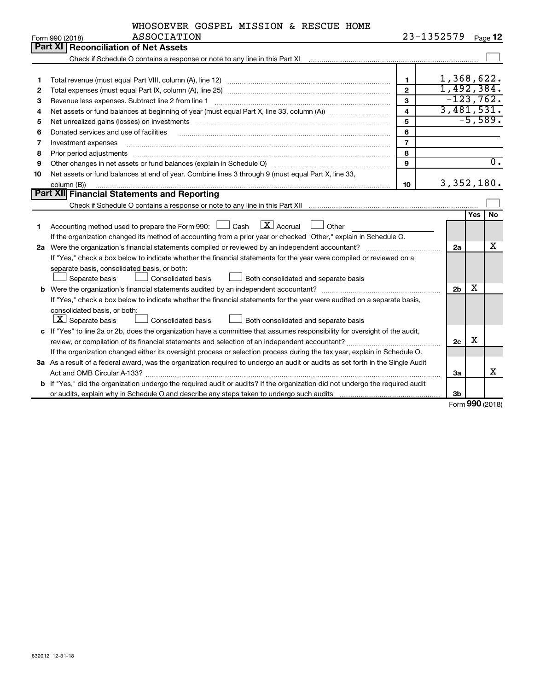| WHOSOEVER GOSPEL MISSION & RESCUE HOME |  |  |  |
|----------------------------------------|--|--|--|
| <b>ASSOCIATION</b>                     |  |  |  |

| ASSOCIATION<br>Form 990 (2018)                                                                 |                                                                                                                                                                                                                                                                                                                                                                                                                                                                                                                                                                                                                                                                |                                                                                                                                                                                                                                                                                                                                                                                                                                                                                                                                                                                                                                                                                                                                                                                                                                                                                                                                                                                                                                                                                                                                                                                               |                  | Page 12                                                                                                    |  |  |
|------------------------------------------------------------------------------------------------|----------------------------------------------------------------------------------------------------------------------------------------------------------------------------------------------------------------------------------------------------------------------------------------------------------------------------------------------------------------------------------------------------------------------------------------------------------------------------------------------------------------------------------------------------------------------------------------------------------------------------------------------------------------|-----------------------------------------------------------------------------------------------------------------------------------------------------------------------------------------------------------------------------------------------------------------------------------------------------------------------------------------------------------------------------------------------------------------------------------------------------------------------------------------------------------------------------------------------------------------------------------------------------------------------------------------------------------------------------------------------------------------------------------------------------------------------------------------------------------------------------------------------------------------------------------------------------------------------------------------------------------------------------------------------------------------------------------------------------------------------------------------------------------------------------------------------------------------------------------------------|------------------|------------------------------------------------------------------------------------------------------------|--|--|
| <b>Part XI   Reconciliation of Net Assets</b>                                                  |                                                                                                                                                                                                                                                                                                                                                                                                                                                                                                                                                                                                                                                                |                                                                                                                                                                                                                                                                                                                                                                                                                                                                                                                                                                                                                                                                                                                                                                                                                                                                                                                                                                                                                                                                                                                                                                                               |                  |                                                                                                            |  |  |
|                                                                                                |                                                                                                                                                                                                                                                                                                                                                                                                                                                                                                                                                                                                                                                                |                                                                                                                                                                                                                                                                                                                                                                                                                                                                                                                                                                                                                                                                                                                                                                                                                                                                                                                                                                                                                                                                                                                                                                                               |                  |                                                                                                            |  |  |
|                                                                                                |                                                                                                                                                                                                                                                                                                                                                                                                                                                                                                                                                                                                                                                                |                                                                                                                                                                                                                                                                                                                                                                                                                                                                                                                                                                                                                                                                                                                                                                                                                                                                                                                                                                                                                                                                                                                                                                                               |                  |                                                                                                            |  |  |
|                                                                                                |                                                                                                                                                                                                                                                                                                                                                                                                                                                                                                                                                                                                                                                                |                                                                                                                                                                                                                                                                                                                                                                                                                                                                                                                                                                                                                                                                                                                                                                                                                                                                                                                                                                                                                                                                                                                                                                                               |                  |                                                                                                            |  |  |
|                                                                                                |                                                                                                                                                                                                                                                                                                                                                                                                                                                                                                                                                                                                                                                                |                                                                                                                                                                                                                                                                                                                                                                                                                                                                                                                                                                                                                                                                                                                                                                                                                                                                                                                                                                                                                                                                                                                                                                                               |                  |                                                                                                            |  |  |
|                                                                                                |                                                                                                                                                                                                                                                                                                                                                                                                                                                                                                                                                                                                                                                                |                                                                                                                                                                                                                                                                                                                                                                                                                                                                                                                                                                                                                                                                                                                                                                                                                                                                                                                                                                                                                                                                                                                                                                                               |                  |                                                                                                            |  |  |
| 4<br>5                                                                                         |                                                                                                                                                                                                                                                                                                                                                                                                                                                                                                                                                                                                                                                                |                                                                                                                                                                                                                                                                                                                                                                                                                                                                                                                                                                                                                                                                                                                                                                                                                                                                                                                                                                                                                                                                                                                                                                                               |                  |                                                                                                            |  |  |
|                                                                                                |                                                                                                                                                                                                                                                                                                                                                                                                                                                                                                                                                                                                                                                                |                                                                                                                                                                                                                                                                                                                                                                                                                                                                                                                                                                                                                                                                                                                                                                                                                                                                                                                                                                                                                                                                                                                                                                                               |                  |                                                                                                            |  |  |
|                                                                                                |                                                                                                                                                                                                                                                                                                                                                                                                                                                                                                                                                                                                                                                                |                                                                                                                                                                                                                                                                                                                                                                                                                                                                                                                                                                                                                                                                                                                                                                                                                                                                                                                                                                                                                                                                                                                                                                                               |                  |                                                                                                            |  |  |
|                                                                                                |                                                                                                                                                                                                                                                                                                                                                                                                                                                                                                                                                                                                                                                                |                                                                                                                                                                                                                                                                                                                                                                                                                                                                                                                                                                                                                                                                                                                                                                                                                                                                                                                                                                                                                                                                                                                                                                                               |                  |                                                                                                            |  |  |
|                                                                                                |                                                                                                                                                                                                                                                                                                                                                                                                                                                                                                                                                                                                                                                                |                                                                                                                                                                                                                                                                                                                                                                                                                                                                                                                                                                                                                                                                                                                                                                                                                                                                                                                                                                                                                                                                                                                                                                                               |                  |                                                                                                            |  |  |
|                                                                                                |                                                                                                                                                                                                                                                                                                                                                                                                                                                                                                                                                                                                                                                                |                                                                                                                                                                                                                                                                                                                                                                                                                                                                                                                                                                                                                                                                                                                                                                                                                                                                                                                                                                                                                                                                                                                                                                                               |                  | $\overline{0}$ .                                                                                           |  |  |
|                                                                                                |                                                                                                                                                                                                                                                                                                                                                                                                                                                                                                                                                                                                                                                                |                                                                                                                                                                                                                                                                                                                                                                                                                                                                                                                                                                                                                                                                                                                                                                                                                                                                                                                                                                                                                                                                                                                                                                                               |                  |                                                                                                            |  |  |
| column (B))                                                                                    |                                                                                                                                                                                                                                                                                                                                                                                                                                                                                                                                                                                                                                                                |                                                                                                                                                                                                                                                                                                                                                                                                                                                                                                                                                                                                                                                                                                                                                                                                                                                                                                                                                                                                                                                                                                                                                                                               |                  |                                                                                                            |  |  |
|                                                                                                |                                                                                                                                                                                                                                                                                                                                                                                                                                                                                                                                                                                                                                                                |                                                                                                                                                                                                                                                                                                                                                                                                                                                                                                                                                                                                                                                                                                                                                                                                                                                                                                                                                                                                                                                                                                                                                                                               |                  |                                                                                                            |  |  |
|                                                                                                |                                                                                                                                                                                                                                                                                                                                                                                                                                                                                                                                                                                                                                                                |                                                                                                                                                                                                                                                                                                                                                                                                                                                                                                                                                                                                                                                                                                                                                                                                                                                                                                                                                                                                                                                                                                                                                                                               |                  |                                                                                                            |  |  |
|                                                                                                |                                                                                                                                                                                                                                                                                                                                                                                                                                                                                                                                                                                                                                                                |                                                                                                                                                                                                                                                                                                                                                                                                                                                                                                                                                                                                                                                                                                                                                                                                                                                                                                                                                                                                                                                                                                                                                                                               |                  | <b>No</b>                                                                                                  |  |  |
|                                                                                                |                                                                                                                                                                                                                                                                                                                                                                                                                                                                                                                                                                                                                                                                |                                                                                                                                                                                                                                                                                                                                                                                                                                                                                                                                                                                                                                                                                                                                                                                                                                                                                                                                                                                                                                                                                                                                                                                               |                  |                                                                                                            |  |  |
|                                                                                                |                                                                                                                                                                                                                                                                                                                                                                                                                                                                                                                                                                                                                                                                |                                                                                                                                                                                                                                                                                                                                                                                                                                                                                                                                                                                                                                                                                                                                                                                                                                                                                                                                                                                                                                                                                                                                                                                               |                  |                                                                                                            |  |  |
|                                                                                                |                                                                                                                                                                                                                                                                                                                                                                                                                                                                                                                                                                                                                                                                | 2a                                                                                                                                                                                                                                                                                                                                                                                                                                                                                                                                                                                                                                                                                                                                                                                                                                                                                                                                                                                                                                                                                                                                                                                            |                  | х                                                                                                          |  |  |
|                                                                                                |                                                                                                                                                                                                                                                                                                                                                                                                                                                                                                                                                                                                                                                                |                                                                                                                                                                                                                                                                                                                                                                                                                                                                                                                                                                                                                                                                                                                                                                                                                                                                                                                                                                                                                                                                                                                                                                                               |                  |                                                                                                            |  |  |
| separate basis, consolidated basis, or both:                                                   |                                                                                                                                                                                                                                                                                                                                                                                                                                                                                                                                                                                                                                                                |                                                                                                                                                                                                                                                                                                                                                                                                                                                                                                                                                                                                                                                                                                                                                                                                                                                                                                                                                                                                                                                                                                                                                                                               |                  |                                                                                                            |  |  |
| Separate basis<br>Consolidated basis                                                           |                                                                                                                                                                                                                                                                                                                                                                                                                                                                                                                                                                                                                                                                |                                                                                                                                                                                                                                                                                                                                                                                                                                                                                                                                                                                                                                                                                                                                                                                                                                                                                                                                                                                                                                                                                                                                                                                               |                  |                                                                                                            |  |  |
|                                                                                                |                                                                                                                                                                                                                                                                                                                                                                                                                                                                                                                                                                                                                                                                | 2 <sub>b</sub>                                                                                                                                                                                                                                                                                                                                                                                                                                                                                                                                                                                                                                                                                                                                                                                                                                                                                                                                                                                                                                                                                                                                                                                |                  |                                                                                                            |  |  |
|                                                                                                |                                                                                                                                                                                                                                                                                                                                                                                                                                                                                                                                                                                                                                                                |                                                                                                                                                                                                                                                                                                                                                                                                                                                                                                                                                                                                                                                                                                                                                                                                                                                                                                                                                                                                                                                                                                                                                                                               |                  |                                                                                                            |  |  |
| consolidated basis, or both:                                                                   |                                                                                                                                                                                                                                                                                                                                                                                                                                                                                                                                                                                                                                                                |                                                                                                                                                                                                                                                                                                                                                                                                                                                                                                                                                                                                                                                                                                                                                                                                                                                                                                                                                                                                                                                                                                                                                                                               |                  |                                                                                                            |  |  |
| Consolidated basis<br>Both consolidated and separate basis                                     |                                                                                                                                                                                                                                                                                                                                                                                                                                                                                                                                                                                                                                                                |                                                                                                                                                                                                                                                                                                                                                                                                                                                                                                                                                                                                                                                                                                                                                                                                                                                                                                                                                                                                                                                                                                                                                                                               |                  |                                                                                                            |  |  |
|                                                                                                |                                                                                                                                                                                                                                                                                                                                                                                                                                                                                                                                                                                                                                                                |                                                                                                                                                                                                                                                                                                                                                                                                                                                                                                                                                                                                                                                                                                                                                                                                                                                                                                                                                                                                                                                                                                                                                                                               |                  |                                                                                                            |  |  |
| review, or compilation of its financial statements and selection of an independent accountant? |                                                                                                                                                                                                                                                                                                                                                                                                                                                                                                                                                                                                                                                                |                                                                                                                                                                                                                                                                                                                                                                                                                                                                                                                                                                                                                                                                                                                                                                                                                                                                                                                                                                                                                                                                                                                                                                                               |                  |                                                                                                            |  |  |
|                                                                                                |                                                                                                                                                                                                                                                                                                                                                                                                                                                                                                                                                                                                                                                                |                                                                                                                                                                                                                                                                                                                                                                                                                                                                                                                                                                                                                                                                                                                                                                                                                                                                                                                                                                                                                                                                                                                                                                                               |                  |                                                                                                            |  |  |
|                                                                                                |                                                                                                                                                                                                                                                                                                                                                                                                                                                                                                                                                                                                                                                                |                                                                                                                                                                                                                                                                                                                                                                                                                                                                                                                                                                                                                                                                                                                                                                                                                                                                                                                                                                                                                                                                                                                                                                                               |                  |                                                                                                            |  |  |
|                                                                                                |                                                                                                                                                                                                                                                                                                                                                                                                                                                                                                                                                                                                                                                                | За                                                                                                                                                                                                                                                                                                                                                                                                                                                                                                                                                                                                                                                                                                                                                                                                                                                                                                                                                                                                                                                                                                                                                                                            |                  | x                                                                                                          |  |  |
|                                                                                                |                                                                                                                                                                                                                                                                                                                                                                                                                                                                                                                                                                                                                                                                |                                                                                                                                                                                                                                                                                                                                                                                                                                                                                                                                                                                                                                                                                                                                                                                                                                                                                                                                                                                                                                                                                                                                                                                               |                  |                                                                                                            |  |  |
|                                                                                                |                                                                                                                                                                                                                                                                                                                                                                                                                                                                                                                                                                                                                                                                | 3b                                                                                                                                                                                                                                                                                                                                                                                                                                                                                                                                                                                                                                                                                                                                                                                                                                                                                                                                                                                                                                                                                                                                                                                            |                  |                                                                                                            |  |  |
|                                                                                                | Net unrealized gains (losses) on investments [11] matter contracts and the state of the state of the state of the state of the state of the state of the state of the state of the state of the state of the state of the stat<br>Donated services and use of facilities<br>Investment expenses<br>Prior period adjustments<br>Net assets or fund balances at end of year. Combine lines 3 through 9 (must equal Part X, line 33,<br>Part XII Financial Statements and Reporting<br>$\boxed{\text{X}}$ Accrual<br>Accounting method used to prepare the Form 990: [130] Cash<br>Other<br>Both consolidated and separate basis<br>$ \mathbf{X} $ Separate basis | $\mathbf{1}$<br>$\overline{2}$<br>$\mathbf{3}$<br>4<br>5<br>6<br>$\overline{7}$<br>8<br>9<br>10<br>Check if Schedule O contains a response or note to any line in this Part XII [11] [11] [11] [11] [11] Check if Schedule O contains a response or note to any line in this Part XII<br>If the organization changed its method of accounting from a prior year or checked "Other," explain in Schedule O.<br>If "Yes," check a box below to indicate whether the financial statements for the year were compiled or reviewed on a<br>If "Yes," check a box below to indicate whether the financial statements for the year were audited on a separate basis,<br>c If "Yes" to line 2a or 2b, does the organization have a committee that assumes responsibility for oversight of the audit,<br>If the organization changed either its oversight process or selection process during the tax year, explain in Schedule O.<br>3a As a result of a federal award, was the organization required to undergo an audit or audits as set forth in the Single Audit<br>b If "Yes," did the organization undergo the required audit or audits? If the organization did not undergo the required audit | 23-1352579<br>2c | 1,368,622.<br>1,492,384.<br>$-123,762.$<br>3,481,531.<br>$-5,589.$<br>3, 352, 180.<br><b>Yes</b><br>x<br>X |  |  |

Form (2018) **990**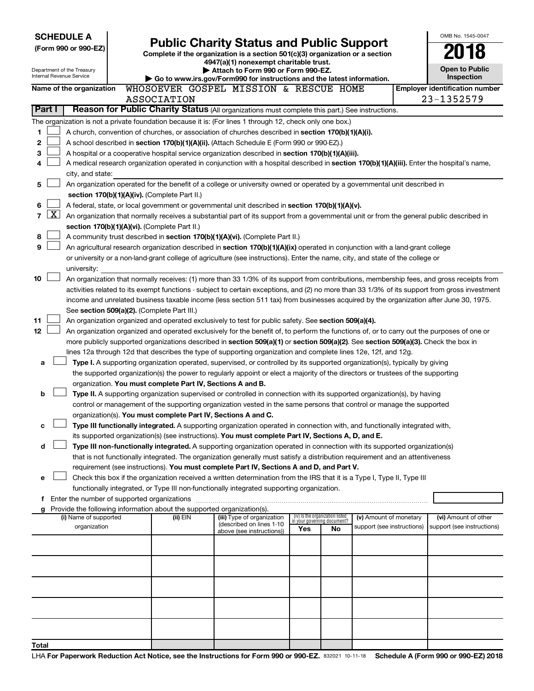| <b>SCHEDULE A</b> |              |                                                        |                                                                                    |                                                                                                                                                                                                                                               |                                    |    |                            | OMB No. 1545-0047                          |
|-------------------|--------------|--------------------------------------------------------|------------------------------------------------------------------------------------|-----------------------------------------------------------------------------------------------------------------------------------------------------------------------------------------------------------------------------------------------|------------------------------------|----|----------------------------|--------------------------------------------|
|                   |              | (Form 990 or 990-EZ)                                   |                                                                                    | <b>Public Charity Status and Public Support</b>                                                                                                                                                                                               |                                    |    |                            |                                            |
|                   |              |                                                        |                                                                                    | Complete if the organization is a section 501(c)(3) organization or a section<br>4947(a)(1) nonexempt charitable trust.                                                                                                                       |                                    |    |                            |                                            |
|                   |              | Department of the Treasury<br>Internal Revenue Service |                                                                                    | Attach to Form 990 or Form 990-EZ.                                                                                                                                                                                                            |                                    |    |                            | <b>Open to Public</b><br><b>Inspection</b> |
|                   |              | Name of the organization                               |                                                                                    | Go to www.irs.gov/Form990 for instructions and the latest information.<br>WHOSOEVER GOSPEL MISSION & RESCUE HOME                                                                                                                              |                                    |    |                            | <b>Employer identification number</b>      |
|                   |              |                                                        | <b>ASSOCIATION</b>                                                                 |                                                                                                                                                                                                                                               |                                    |    |                            | 23-1352579                                 |
|                   | Part I       |                                                        |                                                                                    | Reason for Public Charity Status (All organizations must complete this part.) See instructions.                                                                                                                                               |                                    |    |                            |                                            |
|                   |              |                                                        |                                                                                    | The organization is not a private foundation because it is: (For lines 1 through 12, check only one box.)                                                                                                                                     |                                    |    |                            |                                            |
| 1                 |              |                                                        |                                                                                    | A church, convention of churches, or association of churches described in section 170(b)(1)(A)(i).                                                                                                                                            |                                    |    |                            |                                            |
| 2                 |              |                                                        |                                                                                    | A school described in section 170(b)(1)(A)(ii). (Attach Schedule E (Form 990 or 990-EZ).)                                                                                                                                                     |                                    |    |                            |                                            |
| 3                 |              |                                                        |                                                                                    | A hospital or a cooperative hospital service organization described in section 170(b)(1)(A)(iii).                                                                                                                                             |                                    |    |                            |                                            |
| 4                 |              |                                                        |                                                                                    | A medical research organization operated in conjunction with a hospital described in section 170(b)(1)(A)(iii). Enter the hospital's name,                                                                                                    |                                    |    |                            |                                            |
| 5                 |              | city, and state:                                       |                                                                                    | An organization operated for the benefit of a college or university owned or operated by a governmental unit described in                                                                                                                     |                                    |    |                            |                                            |
|                   |              |                                                        | section 170(b)(1)(A)(iv). (Complete Part II.)                                      |                                                                                                                                                                                                                                               |                                    |    |                            |                                            |
| 6                 |              |                                                        |                                                                                    | A federal, state, or local government or governmental unit described in section 170(b)(1)(A)(v).                                                                                                                                              |                                    |    |                            |                                            |
| 7                 | $\mathbf{X}$ |                                                        |                                                                                    | An organization that normally receives a substantial part of its support from a governmental unit or from the general public described in                                                                                                     |                                    |    |                            |                                            |
|                   |              |                                                        | section 170(b)(1)(A)(vi). (Complete Part II.)                                      |                                                                                                                                                                                                                                               |                                    |    |                            |                                            |
| 8                 |              |                                                        |                                                                                    | A community trust described in section 170(b)(1)(A)(vi). (Complete Part II.)                                                                                                                                                                  |                                    |    |                            |                                            |
| 9                 |              |                                                        |                                                                                    | An agricultural research organization described in section 170(b)(1)(A)(ix) operated in conjunction with a land-grant college                                                                                                                 |                                    |    |                            |                                            |
|                   |              | university:                                            |                                                                                    | or university or a non-land-grant college of agriculture (see instructions). Enter the name, city, and state of the college or                                                                                                                |                                    |    |                            |                                            |
| 10                |              |                                                        |                                                                                    | An organization that normally receives: (1) more than 33 1/3% of its support from contributions, membership fees, and gross receipts from                                                                                                     |                                    |    |                            |                                            |
|                   |              |                                                        |                                                                                    | activities related to its exempt functions - subject to certain exceptions, and (2) no more than 33 1/3% of its support from gross investment                                                                                                 |                                    |    |                            |                                            |
|                   |              |                                                        |                                                                                    | income and unrelated business taxable income (less section 511 tax) from businesses acquired by the organization after June 30, 1975.                                                                                                         |                                    |    |                            |                                            |
|                   |              |                                                        | See section 509(a)(2). (Complete Part III.)                                        |                                                                                                                                                                                                                                               |                                    |    |                            |                                            |
| 11                |              |                                                        |                                                                                    | An organization organized and operated exclusively to test for public safety. See section 509(a)(4).                                                                                                                                          |                                    |    |                            |                                            |
| 12                |              |                                                        |                                                                                    | An organization organized and operated exclusively for the benefit of, to perform the functions of, or to carry out the purposes of one or                                                                                                    |                                    |    |                            |                                            |
|                   |              |                                                        |                                                                                    | more publicly supported organizations described in section 509(a)(1) or section 509(a)(2). See section 509(a)(3). Check the box in                                                                                                            |                                    |    |                            |                                            |
| а                 |              |                                                        |                                                                                    | lines 12a through 12d that describes the type of supporting organization and complete lines 12e, 12f, and 12g.<br>Type I. A supporting organization operated, supervised, or controlled by its supported organization(s), typically by giving |                                    |    |                            |                                            |
|                   |              |                                                        |                                                                                    | the supported organization(s) the power to regularly appoint or elect a majority of the directors or trustees of the supporting                                                                                                               |                                    |    |                            |                                            |
|                   |              |                                                        | organization. You must complete Part IV, Sections A and B.                         |                                                                                                                                                                                                                                               |                                    |    |                            |                                            |
| b                 |              |                                                        |                                                                                    | Type II. A supporting organization supervised or controlled in connection with its supported organization(s), by having                                                                                                                       |                                    |    |                            |                                            |
|                   |              |                                                        |                                                                                    | control or management of the supporting organization vested in the same persons that control or manage the supported                                                                                                                          |                                    |    |                            |                                            |
|                   |              |                                                        | organization(s). You must complete Part IV, Sections A and C.                      |                                                                                                                                                                                                                                               |                                    |    |                            |                                            |
| с                 |              |                                                        |                                                                                    | Type III functionally integrated. A supporting organization operated in connection with, and functionally integrated with,                                                                                                                    |                                    |    |                            |                                            |
| d                 |              |                                                        |                                                                                    | its supported organization(s) (see instructions). You must complete Part IV, Sections A, D, and E.<br>Type III non-functionally integrated. A supporting organization operated in connection with its supported organization(s)               |                                    |    |                            |                                            |
|                   |              |                                                        |                                                                                    | that is not functionally integrated. The organization generally must satisfy a distribution requirement and an attentiveness                                                                                                                  |                                    |    |                            |                                            |
|                   |              |                                                        |                                                                                    | requirement (see instructions). You must complete Part IV, Sections A and D, and Part V.                                                                                                                                                      |                                    |    |                            |                                            |
| е                 |              |                                                        |                                                                                    | Check this box if the organization received a written determination from the IRS that it is a Type I, Type II, Type III                                                                                                                       |                                    |    |                            |                                            |
|                   |              |                                                        |                                                                                    | functionally integrated, or Type III non-functionally integrated supporting organization.                                                                                                                                                     |                                    |    |                            |                                            |
| f.                |              |                                                        |                                                                                    |                                                                                                                                                                                                                                               |                                    |    |                            |                                            |
|                   |              | (i) Name of supported                                  | Provide the following information about the supported organization(s).<br>(ii) EIN | (iii) Type of organization                                                                                                                                                                                                                    | (iv) Is the organization listed    |    | (v) Amount of monetary     | (vi) Amount of other                       |
|                   |              | organization                                           |                                                                                    | (described on lines 1-10                                                                                                                                                                                                                      | in your governing document?<br>Yes | No | support (see instructions) | support (see instructions)                 |
|                   |              |                                                        |                                                                                    | above (see instructions))                                                                                                                                                                                                                     |                                    |    |                            |                                            |
|                   |              |                                                        |                                                                                    |                                                                                                                                                                                                                                               |                                    |    |                            |                                            |
|                   |              |                                                        |                                                                                    |                                                                                                                                                                                                                                               |                                    |    |                            |                                            |
|                   |              |                                                        |                                                                                    |                                                                                                                                                                                                                                               |                                    |    |                            |                                            |
|                   |              |                                                        |                                                                                    |                                                                                                                                                                                                                                               |                                    |    |                            |                                            |
|                   |              |                                                        |                                                                                    |                                                                                                                                                                                                                                               |                                    |    |                            |                                            |
|                   |              |                                                        |                                                                                    |                                                                                                                                                                                                                                               |                                    |    |                            |                                            |
|                   |              |                                                        |                                                                                    |                                                                                                                                                                                                                                               |                                    |    |                            |                                            |
|                   |              |                                                        |                                                                                    |                                                                                                                                                                                                                                               |                                    |    |                            |                                            |
| Total             |              |                                                        |                                                                                    |                                                                                                                                                                                                                                               |                                    |    |                            |                                            |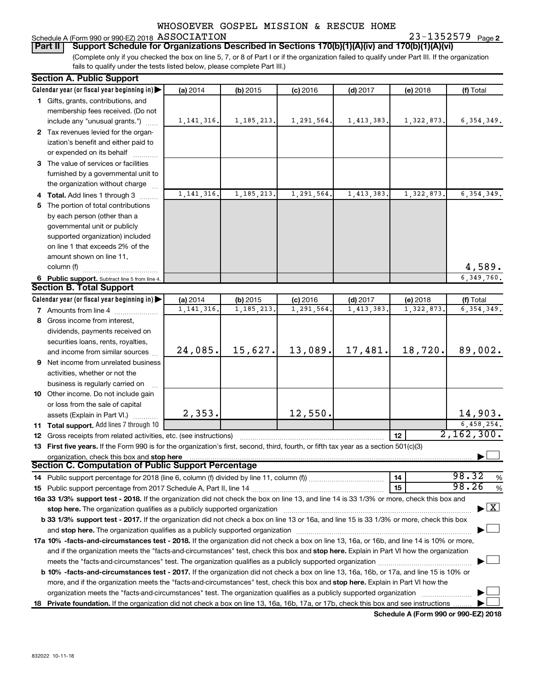#### Schedule A (Form 990 or 990-EZ) 2018 Page ASSOCIATION 23-1352579

**2**

(Complete only if you checked the box on line 5, 7, or 8 of Part I or if the organization failed to qualify under Part III. If the organization fails to qualify under the tests listed below, please complete Part III.) **Part II** | Support Schedule for Organizations Described in Sections 170(b)(1)(A)(iv) and 170(b)(1)(A)(vi)

| <b>Section A. Public Support</b>                                                                                                           |              |              |            |              |            |                                           |  |  |
|--------------------------------------------------------------------------------------------------------------------------------------------|--------------|--------------|------------|--------------|------------|-------------------------------------------|--|--|
| Calendar year (or fiscal year beginning in)                                                                                                | (a) 2014     | (b) 2015     | $(c)$ 2016 | $(d)$ 2017   | (e) 2018   | (f) Total                                 |  |  |
| 1 Gifts, grants, contributions, and                                                                                                        |              |              |            |              |            |                                           |  |  |
| membership fees received. (Do not                                                                                                          |              |              |            |              |            |                                           |  |  |
| include any "unusual grants.")                                                                                                             | 1, 141, 316. | 1, 185, 213. | 1,291,564. | 1,413,383.   | 1,322,873. | 6, 354, 349.                              |  |  |
| 2 Tax revenues levied for the organ-                                                                                                       |              |              |            |              |            |                                           |  |  |
| ization's benefit and either paid to                                                                                                       |              |              |            |              |            |                                           |  |  |
| or expended on its behalf                                                                                                                  |              |              |            |              |            |                                           |  |  |
| 3 The value of services or facilities                                                                                                      |              |              |            |              |            |                                           |  |  |
| furnished by a governmental unit to                                                                                                        |              |              |            |              |            |                                           |  |  |
| the organization without charge                                                                                                            |              |              |            |              |            |                                           |  |  |
| 4 Total. Add lines 1 through 3                                                                                                             | 1, 141, 316. | 1, 185, 213. | 1,291,564. | 1, 413, 383. | 1,322,873. | 6, 354, 349.                              |  |  |
| 5 The portion of total contributions                                                                                                       |              |              |            |              |            |                                           |  |  |
| by each person (other than a                                                                                                               |              |              |            |              |            |                                           |  |  |
| governmental unit or publicly                                                                                                              |              |              |            |              |            |                                           |  |  |
| supported organization) included                                                                                                           |              |              |            |              |            |                                           |  |  |
| on line 1 that exceeds 2% of the                                                                                                           |              |              |            |              |            |                                           |  |  |
|                                                                                                                                            |              |              |            |              |            |                                           |  |  |
| amount shown on line 11,                                                                                                                   |              |              |            |              |            | 4,589.                                    |  |  |
| column (f)                                                                                                                                 |              |              |            |              |            |                                           |  |  |
| 6 Public support. Subtract line 5 from line 4.                                                                                             |              |              |            |              |            | 6, 349, 760.                              |  |  |
| <b>Section B. Total Support</b>                                                                                                            |              |              |            |              |            |                                           |  |  |
| Calendar year (or fiscal year beginning in)                                                                                                | (a) 2014     | (b) 2015     | $(c)$ 2016 | $(d)$ 2017   | (e) 2018   | (f) Total                                 |  |  |
| <b>7</b> Amounts from line 4                                                                                                               | 1, 141, 316. | 1, 185, 213  | 1,291,564  | 1,413,383.   | 1,322,873  | 6, 354, 349.                              |  |  |
| 8 Gross income from interest,                                                                                                              |              |              |            |              |            |                                           |  |  |
| dividends, payments received on                                                                                                            |              |              |            |              |            |                                           |  |  |
| securities loans, rents, royalties,                                                                                                        |              |              |            |              |            |                                           |  |  |
| and income from similar sources                                                                                                            | 24,085.      | 15,627.      | 13,089.    | 17,481.      | 18,720.    | 89,002.                                   |  |  |
| 9 Net income from unrelated business                                                                                                       |              |              |            |              |            |                                           |  |  |
| activities, whether or not the                                                                                                             |              |              |            |              |            |                                           |  |  |
| business is regularly carried on                                                                                                           |              |              |            |              |            |                                           |  |  |
| 10 Other income. Do not include gain                                                                                                       |              |              |            |              |            |                                           |  |  |
| or loss from the sale of capital                                                                                                           |              |              |            |              |            |                                           |  |  |
| assets (Explain in Part VI.)                                                                                                               | 2,353.       |              | 12,550.    |              |            | 14,903.                                   |  |  |
| 11 Total support. Add lines 7 through 10                                                                                                   |              |              |            |              |            | 6,458,254.                                |  |  |
| <b>12</b> Gross receipts from related activities, etc. (see instructions)                                                                  |              |              |            |              | 12         | 2,162,300.                                |  |  |
| 13 First five years. If the Form 990 is for the organization's first, second, third, fourth, or fifth tax year as a section 501(c)(3)      |              |              |            |              |            |                                           |  |  |
| organization, check this box and stop here                                                                                                 |              |              |            |              |            |                                           |  |  |
| <b>Section C. Computation of Public Support Percentage</b>                                                                                 |              |              |            |              |            |                                           |  |  |
|                                                                                                                                            |              |              |            |              | 14         | 98.32<br>%                                |  |  |
|                                                                                                                                            |              |              |            |              | 15         | 98.26<br>%                                |  |  |
| 16a 33 1/3% support test - 2018. If the organization did not check the box on line 13, and line 14 is 33 1/3% or more, check this box and  |              |              |            |              |            |                                           |  |  |
| stop here. The organization qualifies as a publicly supported organization                                                                 |              |              |            |              |            | $\blacktriangleright$ $\lfloor x \rfloor$ |  |  |
| b 33 1/3% support test - 2017. If the organization did not check a box on line 13 or 16a, and line 15 is 33 1/3% or more, check this box   |              |              |            |              |            |                                           |  |  |
|                                                                                                                                            |              |              |            |              |            |                                           |  |  |
| 17a 10% -facts-and-circumstances test - 2018. If the organization did not check a box on line 13, 16a, or 16b, and line 14 is 10% or more, |              |              |            |              |            |                                           |  |  |
| and if the organization meets the "facts-and-circumstances" test, check this box and stop here. Explain in Part VI how the organization    |              |              |            |              |            |                                           |  |  |
|                                                                                                                                            |              |              |            |              |            |                                           |  |  |
| meets the "facts-and-circumstances" test. The organization qualifies as a publicly supported organization <i>managrammanamanamanam</i>     |              |              |            |              |            |                                           |  |  |
| b 10% -facts-and-circumstances test - 2017. If the organization did not check a box on line 13, 16a, 16b, or 17a, and line 15 is 10% or    |              |              |            |              |            |                                           |  |  |
| more, and if the organization meets the "facts-and-circumstances" test, check this box and stop here. Explain in Part VI how the           |              |              |            |              |            |                                           |  |  |
| organization meets the "facts-and-circumstances" test. The organization qualifies as a publicly supported organization                     |              |              |            |              |            |                                           |  |  |
| 18 Private foundation. If the organization did not check a box on line 13, 16a, 16b, 17a, or 17b, check this box and see instructions      |              |              |            |              |            |                                           |  |  |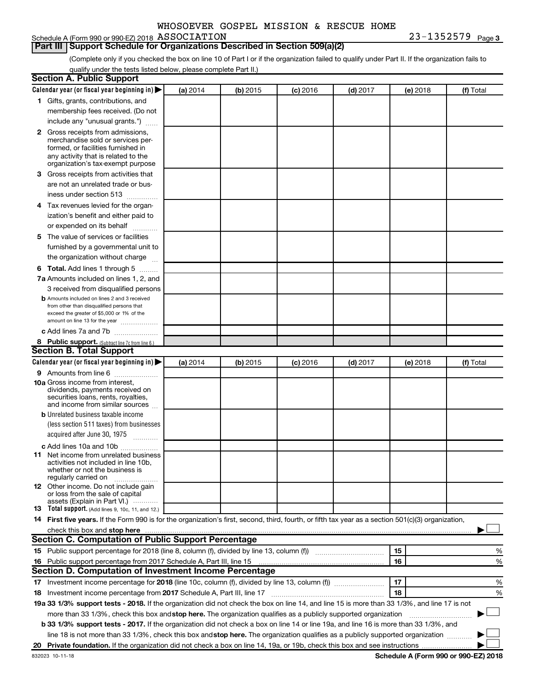### Schedule A (Form 990 or 990-EZ) 2018 Page ASSOCIATION 23-1352579

## **Part III | Support Schedule for Organizations Described in Section 509(a)(2)**

(Complete only if you checked the box on line 10 of Part I or if the organization failed to qualify under Part II. If the organization fails to qualify under the tests listed below, please complete Part II.)

| <b>Section A. Public Support</b>                                                                                                                    |          |          |            |            |          |           |
|-----------------------------------------------------------------------------------------------------------------------------------------------------|----------|----------|------------|------------|----------|-----------|
| Calendar year (or fiscal year beginning in)                                                                                                         | (a) 2014 | (b) 2015 | $(c)$ 2016 | $(d)$ 2017 | (e) 2018 | (f) Total |
| 1 Gifts, grants, contributions, and                                                                                                                 |          |          |            |            |          |           |
| membership fees received. (Do not                                                                                                                   |          |          |            |            |          |           |
| include any "unusual grants.")                                                                                                                      |          |          |            |            |          |           |
| 2 Gross receipts from admissions,                                                                                                                   |          |          |            |            |          |           |
| merchandise sold or services per-                                                                                                                   |          |          |            |            |          |           |
| formed, or facilities furnished in<br>any activity that is related to the                                                                           |          |          |            |            |          |           |
| organization's tax-exempt purpose                                                                                                                   |          |          |            |            |          |           |
| 3 Gross receipts from activities that                                                                                                               |          |          |            |            |          |           |
| are not an unrelated trade or bus-                                                                                                                  |          |          |            |            |          |           |
| iness under section 513                                                                                                                             |          |          |            |            |          |           |
| 4 Tax revenues levied for the organ-                                                                                                                |          |          |            |            |          |           |
| ization's benefit and either paid to                                                                                                                |          |          |            |            |          |           |
| or expended on its behalf                                                                                                                           |          |          |            |            |          |           |
| 5 The value of services or facilities                                                                                                               |          |          |            |            |          |           |
| furnished by a governmental unit to                                                                                                                 |          |          |            |            |          |           |
| the organization without charge                                                                                                                     |          |          |            |            |          |           |
| 6 Total. Add lines 1 through 5                                                                                                                      |          |          |            |            |          |           |
| 7a Amounts included on lines 1, 2, and                                                                                                              |          |          |            |            |          |           |
| 3 received from disqualified persons                                                                                                                |          |          |            |            |          |           |
| <b>b</b> Amounts included on lines 2 and 3 received                                                                                                 |          |          |            |            |          |           |
| from other than disqualified persons that                                                                                                           |          |          |            |            |          |           |
| exceed the greater of \$5,000 or 1% of the<br>amount on line 13 for the year                                                                        |          |          |            |            |          |           |
| c Add lines 7a and 7b                                                                                                                               |          |          |            |            |          |           |
| 8 Public support. (Subtract line 7c from line 6.)                                                                                                   |          |          |            |            |          |           |
| <b>Section B. Total Support</b>                                                                                                                     |          |          |            |            |          |           |
| Calendar year (or fiscal year beginning in)                                                                                                         | (a) 2014 | (b) 2015 | $(c)$ 2016 | $(d)$ 2017 | (e) 2018 | (f) Total |
| <b>9</b> Amounts from line 6                                                                                                                        |          |          |            |            |          |           |
| <b>10a</b> Gross income from interest,                                                                                                              |          |          |            |            |          |           |
| dividends, payments received on                                                                                                                     |          |          |            |            |          |           |
| securities loans, rents, royalties,<br>and income from similar sources                                                                              |          |          |            |            |          |           |
| <b>b</b> Unrelated business taxable income                                                                                                          |          |          |            |            |          |           |
| (less section 511 taxes) from businesses                                                                                                            |          |          |            |            |          |           |
| acquired after June 30, 1975<br>$\overline{\phantom{a}}$                                                                                            |          |          |            |            |          |           |
| c Add lines 10a and 10b                                                                                                                             |          |          |            |            |          |           |
| <b>11</b> Net income from unrelated business                                                                                                        |          |          |            |            |          |           |
| activities not included in line 10b.                                                                                                                |          |          |            |            |          |           |
| whether or not the business is<br>regularly carried on                                                                                              |          |          |            |            |          |           |
| <b>12</b> Other income. Do not include gain                                                                                                         |          |          |            |            |          |           |
| or loss from the sale of capital                                                                                                                    |          |          |            |            |          |           |
| assets (Explain in Part VI.)<br><b>13</b> Total support. (Add lines 9, 10c, 11, and 12.)                                                            |          |          |            |            |          |           |
| 14 First five years. If the Form 990 is for the organization's first, second, third, fourth, or fifth tax year as a section 501(c)(3) organization, |          |          |            |            |          |           |
|                                                                                                                                                     |          |          |            |            |          |           |
| <b>Section C. Computation of Public Support Percentage</b>                                                                                          |          |          |            |            |          |           |
| 15 Public support percentage for 2018 (line 8, column (f), divided by line 13, column (f) <i></i>                                                   |          |          |            |            | 15       | ℅         |
| 16 Public support percentage from 2017 Schedule A, Part III, line 15                                                                                |          |          |            |            | 16       | %         |
| <b>Section D. Computation of Investment Income Percentage</b>                                                                                       |          |          |            |            |          |           |
| 17 Investment income percentage for 2018 (line 10c, column (f), divided by line 13, column (f))                                                     |          |          |            |            | 17       | %         |
| 18 Investment income percentage from 2017 Schedule A, Part III, line 17                                                                             |          |          |            |            | 18       | %         |
| 19a 33 1/3% support tests - 2018. If the organization did not check the box on line 14, and line 15 is more than 33 1/3%, and line 17 is not        |          |          |            |            |          |           |
| more than 33 1/3%, check this box and stop here. The organization qualifies as a publicly supported organization                                    |          |          |            |            |          |           |
| b 33 1/3% support tests - 2017. If the organization did not check a box on line 14 or line 19a, and line 16 is more than 33 1/3%, and               |          |          |            |            |          |           |
| line 18 is not more than 33 1/3%, check this box and stop here. The organization qualifies as a publicly supported organization                     |          |          |            |            |          |           |
|                                                                                                                                                     |          |          |            |            |          |           |
|                                                                                                                                                     |          |          |            |            |          |           |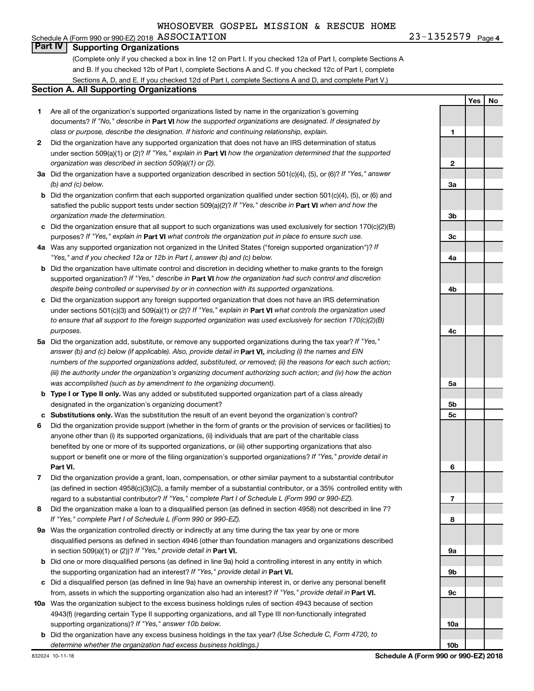#### Schedule A (Form 990 or 990-EZ) 2018 Page ASSOCIATION 23-1352579**Part IV Supporting Organizations**

(Complete only if you checked a box in line 12 on Part I. If you checked 12a of Part I, complete Sections A and B. If you checked 12b of Part I, complete Sections A and C. If you checked 12c of Part I, complete Sections A, D, and E. If you checked 12d of Part I, complete Sections A and D, and complete Part V.)

#### **Section A. All Supporting Organizations**

- **1** Are all of the organization's supported organizations listed by name in the organization's governing documents? If "No," describe in Part VI how the supported organizations are designated. If designated by *class or purpose, describe the designation. If historic and continuing relationship, explain.*
- **2** Did the organization have any supported organization that does not have an IRS determination of status under section 509(a)(1) or (2)? If "Yes," explain in Part **VI** how the organization determined that the supported *organization was described in section 509(a)(1) or (2).*
- **3a** Did the organization have a supported organization described in section 501(c)(4), (5), or (6)? If "Yes," answer *(b) and (c) below.*
- **b** Did the organization confirm that each supported organization qualified under section 501(c)(4), (5), or (6) and satisfied the public support tests under section 509(a)(2)? If "Yes," describe in Part VI when and how the *organization made the determination.*
- **c** Did the organization ensure that all support to such organizations was used exclusively for section 170(c)(2)(B) purposes? If "Yes," explain in Part VI what controls the organization put in place to ensure such use.
- **4 a** *If* Was any supported organization not organized in the United States ("foreign supported organization")? *"Yes," and if you checked 12a or 12b in Part I, answer (b) and (c) below.*
- **b** Did the organization have ultimate control and discretion in deciding whether to make grants to the foreign supported organization? If "Yes," describe in Part VI how the organization had such control and discretion *despite being controlled or supervised by or in connection with its supported organizations.*
- **c** Did the organization support any foreign supported organization that does not have an IRS determination under sections 501(c)(3) and 509(a)(1) or (2)? If "Yes," explain in Part VI what controls the organization used *to ensure that all support to the foreign supported organization was used exclusively for section 170(c)(2)(B) purposes.*
- **5a** Did the organization add, substitute, or remove any supported organizations during the tax year? If "Yes," answer (b) and (c) below (if applicable). Also, provide detail in **Part VI,** including (i) the names and EIN *numbers of the supported organizations added, substituted, or removed; (ii) the reasons for each such action; (iii) the authority under the organization's organizing document authorizing such action; and (iv) how the action was accomplished (such as by amendment to the organizing document).*
- **b Type I or Type II only.** Was any added or substituted supported organization part of a class already designated in the organization's organizing document?
- **c Substitutions only.**  Was the substitution the result of an event beyond the organization's control?
- **6** Did the organization provide support (whether in the form of grants or the provision of services or facilities) to **Part VI.** support or benefit one or more of the filing organization's supported organizations? If "Yes," provide detail in anyone other than (i) its supported organizations, (ii) individuals that are part of the charitable class benefited by one or more of its supported organizations, or (iii) other supporting organizations that also
- **7** Did the organization provide a grant, loan, compensation, or other similar payment to a substantial contributor regard to a substantial contributor? If "Yes," complete Part I of Schedule L (Form 990 or 990-EZ). (as defined in section 4958(c)(3)(C)), a family member of a substantial contributor, or a 35% controlled entity with
- **8** Did the organization make a loan to a disqualified person (as defined in section 4958) not described in line 7? *If "Yes," complete Part I of Schedule L (Form 990 or 990-EZ).*
- **9 a** Was the organization controlled directly or indirectly at any time during the tax year by one or more in section 509(a)(1) or (2))? If "Yes," provide detail in **Part VI.** disqualified persons as defined in section 4946 (other than foundation managers and organizations described
- **b** Did one or more disqualified persons (as defined in line 9a) hold a controlling interest in any entity in which the supporting organization had an interest? If "Yes," provide detail in Part VI.
- **c** Did a disqualified person (as defined in line 9a) have an ownership interest in, or derive any personal benefit from, assets in which the supporting organization also had an interest? If "Yes," provide detail in Part VI.
- **10 a** Was the organization subject to the excess business holdings rules of section 4943 because of section supporting organizations)? If "Yes," answer 10b below. 4943(f) (regarding certain Type II supporting organizations, and all Type III non-functionally integrated
	- **b** Did the organization have any excess business holdings in the tax year? (Use Schedule C, Form 4720, to *determine whether the organization had excess business holdings.)*

**Yes No 1 2 3a 3b 3c 4a 4b 4c 5a 5b 5c 6 7 8 9a 9b 9c 10a 10b**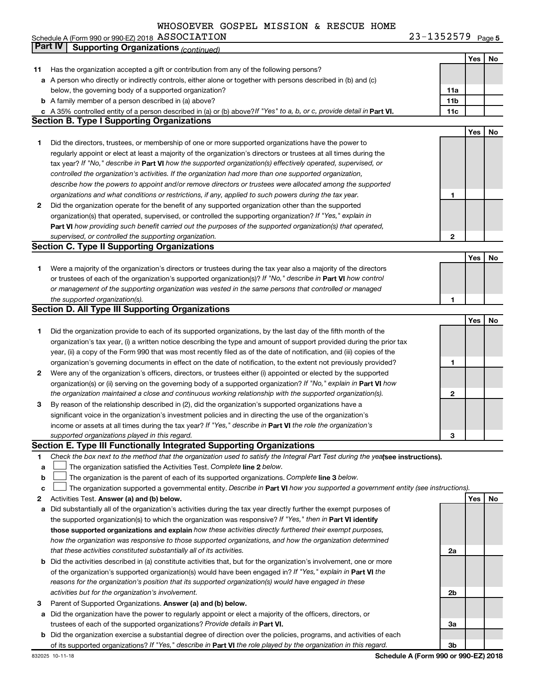23-1352579 Page 5 Schedule A (Form 990 or 990-EZ) 2018 ASSOCIATION Noted that the contract of the contract of the contract of the contract of the contract of the contract of the contract of the contract of the contract of the contract of th ASSOCIATION 23-1352579

|              | Part IV<br><b>Supporting Organizations (continued)</b>                                                                          |                 |     |    |
|--------------|---------------------------------------------------------------------------------------------------------------------------------|-----------------|-----|----|
|              |                                                                                                                                 |                 | Yes | No |
| 11           | Has the organization accepted a gift or contribution from any of the following persons?                                         |                 |     |    |
|              | a A person who directly or indirectly controls, either alone or together with persons described in (b) and (c)                  |                 |     |    |
|              | below, the governing body of a supported organization?                                                                          | 11a             |     |    |
|              | <b>b</b> A family member of a person described in (a) above?                                                                    | 11 <sub>b</sub> |     |    |
|              | c A 35% controlled entity of a person described in (a) or (b) above? If "Yes" to a, b, or c, provide detail in Part VI.         | 11c             |     |    |
|              | <b>Section B. Type I Supporting Organizations</b>                                                                               |                 |     |    |
|              |                                                                                                                                 |                 | Yes | No |
| 1            | Did the directors, trustees, or membership of one or more supported organizations have the power to                             |                 |     |    |
|              | regularly appoint or elect at least a majority of the organization's directors or trustees at all times during the              |                 |     |    |
|              | tax year? If "No," describe in Part VI how the supported organization(s) effectively operated, supervised, or                   |                 |     |    |
|              | controlled the organization's activities. If the organization had more than one supported organization,                         |                 |     |    |
|              | describe how the powers to appoint and/or remove directors or trustees were allocated among the supported                       |                 |     |    |
|              | organizations and what conditions or restrictions, if any, applied to such powers during the tax year.                          | 1               |     |    |
| 2            | Did the organization operate for the benefit of any supported organization other than the supported                             |                 |     |    |
|              | organization(s) that operated, supervised, or controlled the supporting organization? If "Yes," explain in                      |                 |     |    |
|              | Part VI how providing such benefit carried out the purposes of the supported organization(s) that operated,                     |                 |     |    |
|              | supervised, or controlled the supporting organization.                                                                          | 2               |     |    |
|              | <b>Section C. Type II Supporting Organizations</b>                                                                              |                 |     |    |
|              |                                                                                                                                 |                 | Yes | No |
|              | Were a majority of the organization's directors or trustees during the tax year also a majority of the directors                |                 |     |    |
| 1            | or trustees of each of the organization's supported organization(s)? If "No," describe in Part VI how control                   |                 |     |    |
|              | or management of the supporting organization was vested in the same persons that controlled or managed                          |                 |     |    |
|              | the supported organization(s).                                                                                                  | 1               |     |    |
|              | <b>Section D. All Type III Supporting Organizations</b>                                                                         |                 |     |    |
|              |                                                                                                                                 |                 | Yes | No |
|              |                                                                                                                                 |                 |     |    |
| 1            | Did the organization provide to each of its supported organizations, by the last day of the fifth month of the                  |                 |     |    |
|              | organization's tax year, (i) a written notice describing the type and amount of support provided during the prior tax           |                 |     |    |
|              | year, (ii) a copy of the Form 990 that was most recently filed as of the date of notification, and (iii) copies of the          |                 |     |    |
|              | organization's governing documents in effect on the date of notification, to the extent not previously provided?                | 1               |     |    |
| $\mathbf{2}$ | Were any of the organization's officers, directors, or trustees either (i) appointed or elected by the supported                |                 |     |    |
|              | organization(s) or (ii) serving on the governing body of a supported organization? If "No," explain in Part VI how              |                 |     |    |
|              | the organization maintained a close and continuous working relationship with the supported organization(s).                     | 2               |     |    |
| 3            | By reason of the relationship described in (2), did the organization's supported organizations have a                           |                 |     |    |
|              | significant voice in the organization's investment policies and in directing the use of the organization's                      |                 |     |    |
|              | income or assets at all times during the tax year? If "Yes," describe in Part VI the role the organization's                    |                 |     |    |
|              | supported organizations played in this regard.                                                                                  | з               |     |    |
|              | Section E. Type III Functionally Integrated Supporting Organizations                                                            |                 |     |    |
| 1            | Check the box next to the method that the organization used to satisfy the Integral Part Test during the yealsee instructions). |                 |     |    |
| a            | The organization satisfied the Activities Test. Complete line 2 below.                                                          |                 |     |    |
| $\mathbf b$  | The organization is the parent of each of its supported organizations. Complete line 3 below.                                   |                 |     |    |
| c            | The organization supported a governmental entity. Describe in Part VI how you supported a government entity (see instructions). |                 |     |    |
| 2            | Activities Test. Answer (a) and (b) below.                                                                                      |                 | Yes | No |
| а            | Did substantially all of the organization's activities during the tax year directly further the exempt purposes of              |                 |     |    |
|              | the supported organization(s) to which the organization was responsive? If "Yes," then in Part VI identify                      |                 |     |    |
|              | those supported organizations and explain how these activities directly furthered their exempt purposes,                        |                 |     |    |
|              | how the organization was responsive to those supported organizations, and how the organization determined                       |                 |     |    |
|              | that these activities constituted substantially all of its activities.                                                          | 2a              |     |    |
|              | <b>b</b> Did the activities described in (a) constitute activities that, but for the organization's involvement, one or more    |                 |     |    |
|              | of the organization's supported organization(s) would have been engaged in? If "Yes," explain in Part VI the                    |                 |     |    |
|              | reasons for the organization's position that its supported organization(s) would have engaged in these                          |                 |     |    |
|              | activities but for the organization's involvement.                                                                              | 2b              |     |    |
| З            | Parent of Supported Organizations. Answer (a) and (b) below.                                                                    |                 |     |    |
| а            | Did the organization have the power to regularly appoint or elect a majority of the officers, directors, or                     |                 |     |    |
|              | trustees of each of the supported organizations? Provide details in Part VI.                                                    | За              |     |    |
|              | <b>b</b> Did the organization exercise a substantial degree of direction over the policies, programs, and activities of each    |                 |     |    |
|              | of its supported organizations? If "Yes," describe in Part VI the role played by the organization in this regard.               | Зb              |     |    |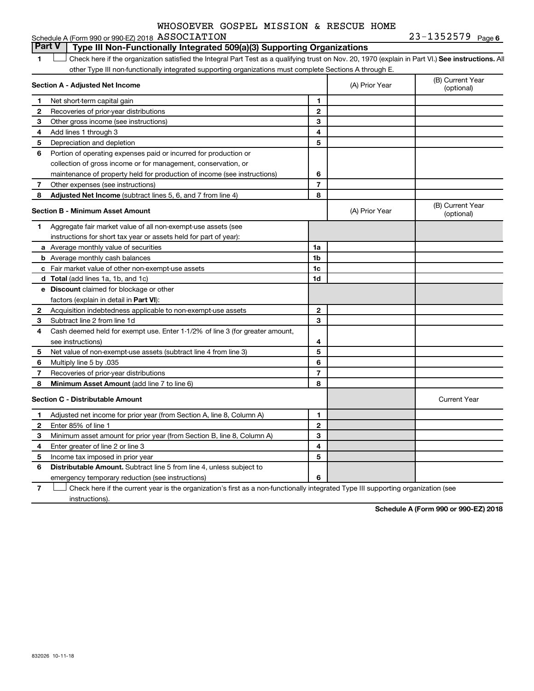#### 23-1352579 <sub>Page 6</sub> Schedule A (Form 990 or 990-EZ) 2018 Page ASSOCIATION 23-1352579

#### **1 Letter or if the organization satisfied the Integral Part Test as a qualifying trust on Nov. 20, 1970 (explain in Part VI.) See instructions. All Section A - Adjusted Net Income 1 2 3 4 5 6 7 8 1 2 3 4 5 6 7 Adjusted Net Income** (subtract lines 5, 6, and 7 from line 4) **8 8 Section B - Minimum Asset Amount 1 2 3 4 5 6 7 8 a** Average monthly value of securities **b** Average monthly cash balances **c** Fair market value of other non-exempt-use assets **d Total**  (add lines 1a, 1b, and 1c) **e Discount** claimed for blockage or other **1a 1b 1c 1d 2 3 4 5 6 7 8** factors (explain in detail in Part VI): **Minimum Asset Amount**  (add line 7 to line 6) **Section C - Distributable Amount 1 2 3 4 5 6 1 2 3 4 5 6** Distributable Amount. Subtract line 5 from line 4, unless subject to other Type III non-functionally integrated supporting organizations must complete Sections A through E. (B) Current Year<br>(optional) (A) Prior Year Net short-term capital gain Recoveries of prior-year distributions Other gross income (see instructions) Add lines 1 through 3 Depreciation and depletion Portion of operating expenses paid or incurred for production or collection of gross income or for management, conservation, or maintenance of property held for production of income (see instructions) Other expenses (see instructions) (B) Current Year  $(A)$  Prior Year  $\left\{\n\begin{array}{ccc}\n\end{array}\n\right\}$  (optional) Aggregate fair market value of all non-exempt-use assets (see instructions for short tax year or assets held for part of year): Acquisition indebtedness applicable to non-exempt-use assets Subtract line 2 from line 1d Cash deemed held for exempt use. Enter 1-1/2% of line 3 (for greater amount, see instructions) Net value of non-exempt-use assets (subtract line 4 from line 3) Multiply line 5 by .035 Recoveries of prior-year distributions Current Year Adjusted net income for prior year (from Section A, line 8, Column A) Enter 85% of line 1 Minimum asset amount for prior year (from Section B, line 8, Column A) Enter greater of line 2 or line 3 Income tax imposed in prior year emergency temporary reduction (see instructions) **Part V Type III Non-Functionally Integrated 509(a)(3) Supporting Organizations**   $\Box$

**7** Check here if the current year is the organization's first as a non-functionally integrated Type III supporting organization (see † instructions).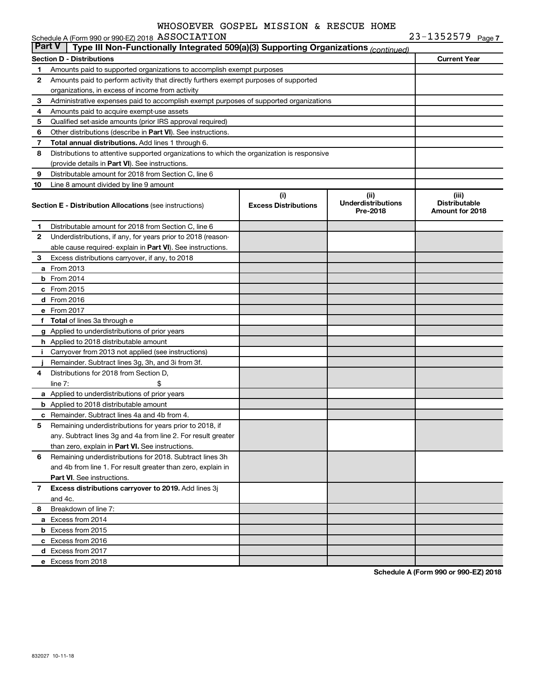|    | <b>Part V</b><br>Type III Non-Functionally Integrated 509(a)(3) Supporting Organizations (continued) |                             |                                       |                                                |  |  |  |  |  |
|----|------------------------------------------------------------------------------------------------------|-----------------------------|---------------------------------------|------------------------------------------------|--|--|--|--|--|
|    | <b>Section D - Distributions</b>                                                                     |                             |                                       | <b>Current Year</b>                            |  |  |  |  |  |
| 1. | Amounts paid to supported organizations to accomplish exempt purposes                                |                             |                                       |                                                |  |  |  |  |  |
| 2  | Amounts paid to perform activity that directly furthers exempt purposes of supported                 |                             |                                       |                                                |  |  |  |  |  |
|    | organizations, in excess of income from activity                                                     |                             |                                       |                                                |  |  |  |  |  |
| 3  | Administrative expenses paid to accomplish exempt purposes of supported organizations                |                             |                                       |                                                |  |  |  |  |  |
| 4  | Amounts paid to acquire exempt-use assets                                                            |                             |                                       |                                                |  |  |  |  |  |
| 5  | Qualified set-aside amounts (prior IRS approval required)                                            |                             |                                       |                                                |  |  |  |  |  |
| 6  | Other distributions (describe in Part VI). See instructions.                                         |                             |                                       |                                                |  |  |  |  |  |
| 7  | <b>Total annual distributions.</b> Add lines 1 through 6.                                            |                             |                                       |                                                |  |  |  |  |  |
| 8  | Distributions to attentive supported organizations to which the organization is responsive           |                             |                                       |                                                |  |  |  |  |  |
|    | (provide details in Part VI). See instructions.                                                      |                             |                                       |                                                |  |  |  |  |  |
| 9  | Distributable amount for 2018 from Section C, line 6                                                 |                             |                                       |                                                |  |  |  |  |  |
| 10 | Line 8 amount divided by line 9 amount                                                               |                             |                                       |                                                |  |  |  |  |  |
|    |                                                                                                      | (i)                         | (ii)                                  | (iii)                                          |  |  |  |  |  |
|    | <b>Section E - Distribution Allocations (see instructions)</b>                                       | <b>Excess Distributions</b> | <b>Underdistributions</b><br>Pre-2018 | <b>Distributable</b><br><b>Amount for 2018</b> |  |  |  |  |  |
| 1  | Distributable amount for 2018 from Section C, line 6                                                 |                             |                                       |                                                |  |  |  |  |  |
| 2  | Underdistributions, if any, for years prior to 2018 (reason-                                         |                             |                                       |                                                |  |  |  |  |  |
|    | able cause required- explain in <b>Part VI</b> ). See instructions.                                  |                             |                                       |                                                |  |  |  |  |  |
| 3  | Excess distributions carryover, if any, to 2018                                                      |                             |                                       |                                                |  |  |  |  |  |
|    | <b>a</b> From 2013                                                                                   |                             |                                       |                                                |  |  |  |  |  |
|    | <b>b</b> From 2014                                                                                   |                             |                                       |                                                |  |  |  |  |  |
|    | c From 2015                                                                                          |                             |                                       |                                                |  |  |  |  |  |
|    | d From 2016                                                                                          |                             |                                       |                                                |  |  |  |  |  |
|    | e From 2017                                                                                          |                             |                                       |                                                |  |  |  |  |  |
|    | f Total of lines 3a through e                                                                        |                             |                                       |                                                |  |  |  |  |  |
|    | g Applied to underdistributions of prior years                                                       |                             |                                       |                                                |  |  |  |  |  |
|    | <b>h</b> Applied to 2018 distributable amount                                                        |                             |                                       |                                                |  |  |  |  |  |
|    | i Carryover from 2013 not applied (see instructions)                                                 |                             |                                       |                                                |  |  |  |  |  |
|    | Remainder. Subtract lines 3g, 3h, and 3i from 3f.                                                    |                             |                                       |                                                |  |  |  |  |  |
| 4  | Distributions for 2018 from Section D,                                                               |                             |                                       |                                                |  |  |  |  |  |
|    | \$<br>$line 7$ :                                                                                     |                             |                                       |                                                |  |  |  |  |  |
|    | a Applied to underdistributions of prior years                                                       |                             |                                       |                                                |  |  |  |  |  |
|    | <b>b</b> Applied to 2018 distributable amount                                                        |                             |                                       |                                                |  |  |  |  |  |
|    | <b>c</b> Remainder. Subtract lines 4a and 4b from 4.                                                 |                             |                                       |                                                |  |  |  |  |  |
| 5  | Remaining underdistributions for years prior to 2018, if                                             |                             |                                       |                                                |  |  |  |  |  |
|    | any. Subtract lines 3g and 4a from line 2. For result greater                                        |                             |                                       |                                                |  |  |  |  |  |
|    | than zero, explain in Part VI. See instructions.                                                     |                             |                                       |                                                |  |  |  |  |  |
| 6  | Remaining underdistributions for 2018. Subtract lines 3h                                             |                             |                                       |                                                |  |  |  |  |  |
|    | and 4b from line 1. For result greater than zero, explain in                                         |                             |                                       |                                                |  |  |  |  |  |
|    | <b>Part VI.</b> See instructions.                                                                    |                             |                                       |                                                |  |  |  |  |  |
| 7  | Excess distributions carryover to 2019. Add lines 3j                                                 |                             |                                       |                                                |  |  |  |  |  |
|    | and 4c.                                                                                              |                             |                                       |                                                |  |  |  |  |  |
| 8  | Breakdown of line 7:                                                                                 |                             |                                       |                                                |  |  |  |  |  |
|    | a Excess from 2014                                                                                   |                             |                                       |                                                |  |  |  |  |  |
|    | <b>b</b> Excess from 2015                                                                            |                             |                                       |                                                |  |  |  |  |  |
|    | c Excess from 2016                                                                                   |                             |                                       |                                                |  |  |  |  |  |
|    | d Excess from 2017                                                                                   |                             |                                       |                                                |  |  |  |  |  |
|    | e Excess from 2018                                                                                   |                             |                                       |                                                |  |  |  |  |  |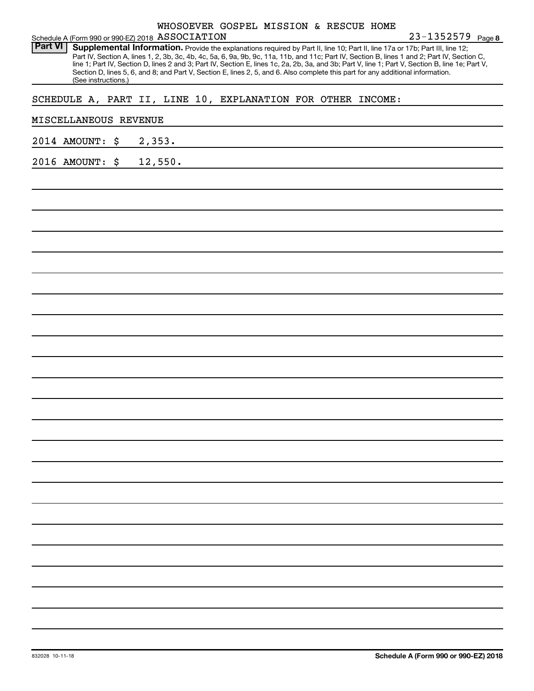|                       |                     |    | Schedule A (Form 990 or 990 EZ) 2018 ASSOCIATION | WHOSOEVER GOSPEL MISSION & RESCUE HOME |  |                                                             | 23-1352579 Page 8                                                                                                                                                                                                                                                                                                                                                                                                                                                                                                                                                    |
|-----------------------|---------------------|----|--------------------------------------------------|----------------------------------------|--|-------------------------------------------------------------|----------------------------------------------------------------------------------------------------------------------------------------------------------------------------------------------------------------------------------------------------------------------------------------------------------------------------------------------------------------------------------------------------------------------------------------------------------------------------------------------------------------------------------------------------------------------|
| <b>Part VI</b>        | (See instructions.) |    |                                                  |                                        |  |                                                             | Supplemental Information. Provide the explanations required by Part II, line 10; Part II, line 17a or 17b; Part III, line 12;<br>Part IV, Section A, lines 1, 2, 3b, 3c, 4b, 4c, 5a, 6, 9a, 9b, 9c, 11a, 11b, and 11c; Part IV, Section B, lines 1 and 2; Part IV, Section C,<br>line 1; Part IV, Section D, lines 2 and 3; Part IV, Section E, lines 1c, 2a, 2b, 3a, and 3b; Part V, line 1; Part V, Section B, line 1e; Part V,<br>Section D, lines 5, 6, and 8; and Part V, Section E, lines 2, 5, and 6. Also complete this part for any additional information. |
|                       |                     |    |                                                  |                                        |  | SCHEDULE A, PART II, LINE 10, EXPLANATION FOR OTHER INCOME: |                                                                                                                                                                                                                                                                                                                                                                                                                                                                                                                                                                      |
| MISCELLANEOUS REVENUE |                     |    |                                                  |                                        |  |                                                             |                                                                                                                                                                                                                                                                                                                                                                                                                                                                                                                                                                      |
| 2014 AMOUNT:          |                     | \$ | 2,353.                                           |                                        |  |                                                             |                                                                                                                                                                                                                                                                                                                                                                                                                                                                                                                                                                      |
| 2016 AMOUNT:          |                     | \$ | 12,550.                                          |                                        |  |                                                             |                                                                                                                                                                                                                                                                                                                                                                                                                                                                                                                                                                      |
|                       |                     |    |                                                  |                                        |  |                                                             |                                                                                                                                                                                                                                                                                                                                                                                                                                                                                                                                                                      |
|                       |                     |    |                                                  |                                        |  |                                                             |                                                                                                                                                                                                                                                                                                                                                                                                                                                                                                                                                                      |
|                       |                     |    |                                                  |                                        |  |                                                             |                                                                                                                                                                                                                                                                                                                                                                                                                                                                                                                                                                      |
|                       |                     |    |                                                  |                                        |  |                                                             |                                                                                                                                                                                                                                                                                                                                                                                                                                                                                                                                                                      |
|                       |                     |    |                                                  |                                        |  |                                                             |                                                                                                                                                                                                                                                                                                                                                                                                                                                                                                                                                                      |
|                       |                     |    |                                                  |                                        |  |                                                             |                                                                                                                                                                                                                                                                                                                                                                                                                                                                                                                                                                      |
|                       |                     |    |                                                  |                                        |  |                                                             |                                                                                                                                                                                                                                                                                                                                                                                                                                                                                                                                                                      |
|                       |                     |    |                                                  |                                        |  |                                                             |                                                                                                                                                                                                                                                                                                                                                                                                                                                                                                                                                                      |
|                       |                     |    |                                                  |                                        |  |                                                             |                                                                                                                                                                                                                                                                                                                                                                                                                                                                                                                                                                      |
|                       |                     |    |                                                  |                                        |  |                                                             |                                                                                                                                                                                                                                                                                                                                                                                                                                                                                                                                                                      |
|                       |                     |    |                                                  |                                        |  |                                                             |                                                                                                                                                                                                                                                                                                                                                                                                                                                                                                                                                                      |
|                       |                     |    |                                                  |                                        |  |                                                             |                                                                                                                                                                                                                                                                                                                                                                                                                                                                                                                                                                      |
|                       |                     |    |                                                  |                                        |  |                                                             |                                                                                                                                                                                                                                                                                                                                                                                                                                                                                                                                                                      |
|                       |                     |    |                                                  |                                        |  |                                                             |                                                                                                                                                                                                                                                                                                                                                                                                                                                                                                                                                                      |
|                       |                     |    |                                                  |                                        |  |                                                             |                                                                                                                                                                                                                                                                                                                                                                                                                                                                                                                                                                      |
|                       |                     |    |                                                  |                                        |  |                                                             |                                                                                                                                                                                                                                                                                                                                                                                                                                                                                                                                                                      |
|                       |                     |    |                                                  |                                        |  |                                                             |                                                                                                                                                                                                                                                                                                                                                                                                                                                                                                                                                                      |
|                       |                     |    |                                                  |                                        |  |                                                             |                                                                                                                                                                                                                                                                                                                                                                                                                                                                                                                                                                      |
|                       |                     |    |                                                  |                                        |  |                                                             |                                                                                                                                                                                                                                                                                                                                                                                                                                                                                                                                                                      |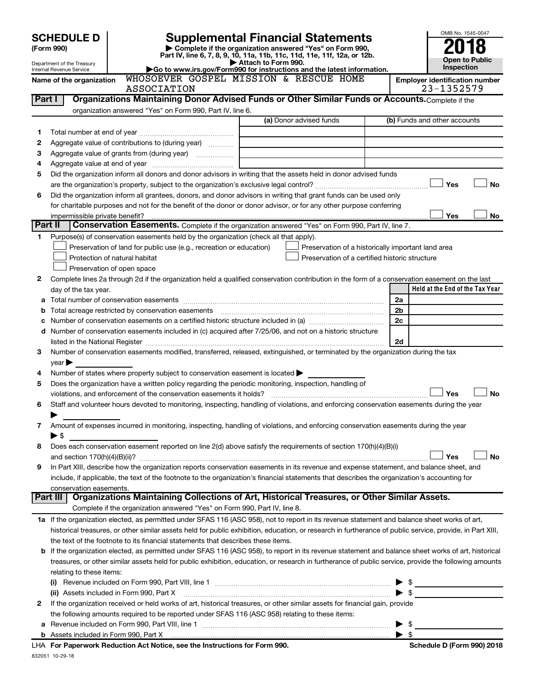|        | <b>SCHEDULE D</b>                                      |                                                                                                                                                                                      |                     | <b>Supplemental Financial Statements</b>                                                                                                                                                                                                                                                                                                                                                                                                          |                | OMB No. 1545-0047                                   |
|--------|--------------------------------------------------------|--------------------------------------------------------------------------------------------------------------------------------------------------------------------------------------|---------------------|---------------------------------------------------------------------------------------------------------------------------------------------------------------------------------------------------------------------------------------------------------------------------------------------------------------------------------------------------------------------------------------------------------------------------------------------------|----------------|-----------------------------------------------------|
|        | (Form 990)                                             |                                                                                                                                                                                      |                     | Complete if the organization answered "Yes" on Form 990,                                                                                                                                                                                                                                                                                                                                                                                          |                |                                                     |
|        |                                                        | Part IV, line 6, 7, 8, 9, 10, 11a, 11b, 11c, 11d, 11e, 11f, 12a, or 12b.                                                                                                             | Attach to Form 990. |                                                                                                                                                                                                                                                                                                                                                                                                                                                   |                | <b>Open to Public</b>                               |
|        | Department of the Treasury<br>Internal Revenue Service | Go to www.irs.gov/Form990 for instructions and the latest information.                                                                                                               |                     |                                                                                                                                                                                                                                                                                                                                                                                                                                                   |                | Inspection                                          |
|        | Name of the organization                               | WHOSOEVER GOSPEL MISSION & RESCUE HOME<br>ASSOCIATION                                                                                                                                |                     |                                                                                                                                                                                                                                                                                                                                                                                                                                                   |                | <b>Employer identification number</b><br>23-1352579 |
| Part I |                                                        | Organizations Maintaining Donor Advised Funds or Other Similar Funds or Accounts. Complete if the                                                                                    |                     |                                                                                                                                                                                                                                                                                                                                                                                                                                                   |                |                                                     |
|        |                                                        | organization answered "Yes" on Form 990, Part IV, line 6.                                                                                                                            |                     |                                                                                                                                                                                                                                                                                                                                                                                                                                                   |                |                                                     |
|        |                                                        |                                                                                                                                                                                      |                     | (a) Donor advised funds                                                                                                                                                                                                                                                                                                                                                                                                                           |                | (b) Funds and other accounts                        |
| 1      |                                                        |                                                                                                                                                                                      |                     |                                                                                                                                                                                                                                                                                                                                                                                                                                                   |                |                                                     |
| 2      |                                                        | Aggregate value of contributions to (during year)                                                                                                                                    |                     |                                                                                                                                                                                                                                                                                                                                                                                                                                                   |                |                                                     |
| 3      |                                                        | Aggregate value of grants from (during year)                                                                                                                                         |                     |                                                                                                                                                                                                                                                                                                                                                                                                                                                   |                |                                                     |
| 4      |                                                        |                                                                                                                                                                                      |                     |                                                                                                                                                                                                                                                                                                                                                                                                                                                   |                |                                                     |
| 5      |                                                        | Did the organization inform all donors and donor advisors in writing that the assets held in donor advised funds                                                                     |                     |                                                                                                                                                                                                                                                                                                                                                                                                                                                   |                |                                                     |
|        |                                                        |                                                                                                                                                                                      |                     |                                                                                                                                                                                                                                                                                                                                                                                                                                                   |                | Yes<br>No                                           |
| 6      |                                                        | Did the organization inform all grantees, donors, and donor advisors in writing that grant funds can be used only                                                                    |                     |                                                                                                                                                                                                                                                                                                                                                                                                                                                   |                |                                                     |
|        |                                                        | for charitable purposes and not for the benefit of the donor or donor advisor, or for any other purpose conferring                                                                   |                     |                                                                                                                                                                                                                                                                                                                                                                                                                                                   |                |                                                     |
|        | impermissible private benefit?<br>Part II              | Conservation Easements. Complete if the organization answered "Yes" on Form 990, Part IV, line 7.                                                                                    |                     |                                                                                                                                                                                                                                                                                                                                                                                                                                                   |                | Yes<br>No                                           |
| 1.     |                                                        | Purpose(s) of conservation easements held by the organization (check all that apply).                                                                                                |                     |                                                                                                                                                                                                                                                                                                                                                                                                                                                   |                |                                                     |
|        |                                                        | Preservation of land for public use (e.g., recreation or education)                                                                                                                  |                     | Preservation of a historically important land area                                                                                                                                                                                                                                                                                                                                                                                                |                |                                                     |
|        |                                                        | Protection of natural habitat                                                                                                                                                        |                     | Preservation of a certified historic structure                                                                                                                                                                                                                                                                                                                                                                                                    |                |                                                     |
|        |                                                        | Preservation of open space                                                                                                                                                           |                     |                                                                                                                                                                                                                                                                                                                                                                                                                                                   |                |                                                     |
| 2      |                                                        | Complete lines 2a through 2d if the organization held a qualified conservation contribution in the form of a conservation easement on the last                                       |                     |                                                                                                                                                                                                                                                                                                                                                                                                                                                   |                |                                                     |
|        | day of the tax year.                                   |                                                                                                                                                                                      |                     |                                                                                                                                                                                                                                                                                                                                                                                                                                                   |                | Held at the End of the Tax Year                     |
| а      |                                                        |                                                                                                                                                                                      |                     |                                                                                                                                                                                                                                                                                                                                                                                                                                                   | 2a             |                                                     |
| b      |                                                        | Total acreage restricted by conservation easements                                                                                                                                   |                     |                                                                                                                                                                                                                                                                                                                                                                                                                                                   | 2 <sub>b</sub> |                                                     |
| с      |                                                        |                                                                                                                                                                                      |                     |                                                                                                                                                                                                                                                                                                                                                                                                                                                   | 2c             |                                                     |
| d      |                                                        | Number of conservation easements included in (c) acquired after 7/25/06, and not on a historic structure                                                                             |                     |                                                                                                                                                                                                                                                                                                                                                                                                                                                   |                |                                                     |
|        |                                                        |                                                                                                                                                                                      |                     |                                                                                                                                                                                                                                                                                                                                                                                                                                                   | 2d             |                                                     |
| 3      | $year \triangleright$                                  | Number of conservation easements modified, transferred, released, extinguished, or terminated by the organization during the tax                                                     |                     |                                                                                                                                                                                                                                                                                                                                                                                                                                                   |                |                                                     |
| 4      |                                                        | Number of states where property subject to conservation easement is located >                                                                                                        |                     |                                                                                                                                                                                                                                                                                                                                                                                                                                                   |                |                                                     |
| 5      |                                                        | Does the organization have a written policy regarding the periodic monitoring, inspection, handling of                                                                               |                     |                                                                                                                                                                                                                                                                                                                                                                                                                                                   |                |                                                     |
|        |                                                        | violations, and enforcement of the conservation easements it holds?                                                                                                                  |                     |                                                                                                                                                                                                                                                                                                                                                                                                                                                   |                | <b>No</b><br>Yes                                    |
| 6      |                                                        | Staff and volunteer hours devoted to monitoring, inspecting, handling of violations, and enforcing conservation easements during the year                                            |                     |                                                                                                                                                                                                                                                                                                                                                                                                                                                   |                |                                                     |
|        |                                                        |                                                                                                                                                                                      |                     |                                                                                                                                                                                                                                                                                                                                                                                                                                                   |                |                                                     |
| 7      | $\blacktriangleright$ \$                               | Amount of expenses incurred in monitoring, inspecting, handling of violations, and enforcing conservation easements during the year                                                  |                     |                                                                                                                                                                                                                                                                                                                                                                                                                                                   |                |                                                     |
| 8      |                                                        | Does each conservation easement reported on line 2(d) above satisfy the requirements of section 170(h)(4)(B)(i)                                                                      |                     |                                                                                                                                                                                                                                                                                                                                                                                                                                                   |                |                                                     |
|        |                                                        |                                                                                                                                                                                      |                     |                                                                                                                                                                                                                                                                                                                                                                                                                                                   |                | Yes<br>No                                           |
| 9      |                                                        | In Part XIII, describe how the organization reports conservation easements in its revenue and expense statement, and balance sheet, and                                              |                     |                                                                                                                                                                                                                                                                                                                                                                                                                                                   |                |                                                     |
|        |                                                        | include, if applicable, the text of the footnote to the organization's financial statements that describes the organization's accounting for                                         |                     |                                                                                                                                                                                                                                                                                                                                                                                                                                                   |                |                                                     |
|        | conservation easements.                                |                                                                                                                                                                                      |                     |                                                                                                                                                                                                                                                                                                                                                                                                                                                   |                |                                                     |
|        |                                                        | Part III   Organizations Maintaining Collections of Art, Historical Treasures, or Other Similar Assets.<br>Complete if the organization answered "Yes" on Form 990, Part IV, line 8. |                     |                                                                                                                                                                                                                                                                                                                                                                                                                                                   |                |                                                     |
|        |                                                        | 1a If the organization elected, as permitted under SFAS 116 (ASC 958), not to report in its revenue statement and balance sheet works of art,                                        |                     |                                                                                                                                                                                                                                                                                                                                                                                                                                                   |                |                                                     |
|        |                                                        | historical treasures, or other similar assets held for public exhibition, education, or research in furtherance of public service, provide, in Part XIII,                            |                     |                                                                                                                                                                                                                                                                                                                                                                                                                                                   |                |                                                     |
|        |                                                        | the text of the footnote to its financial statements that describes these items.                                                                                                     |                     |                                                                                                                                                                                                                                                                                                                                                                                                                                                   |                |                                                     |
| b      |                                                        | If the organization elected, as permitted under SFAS 116 (ASC 958), to report in its revenue statement and balance sheet works of art, historical                                    |                     |                                                                                                                                                                                                                                                                                                                                                                                                                                                   |                |                                                     |
|        |                                                        | treasures, or other similar assets held for public exhibition, education, or research in furtherance of public service, provide the following amounts                                |                     |                                                                                                                                                                                                                                                                                                                                                                                                                                                   |                |                                                     |
|        | relating to these items:                               |                                                                                                                                                                                      |                     |                                                                                                                                                                                                                                                                                                                                                                                                                                                   |                |                                                     |
|        |                                                        |                                                                                                                                                                                      |                     |                                                                                                                                                                                                                                                                                                                                                                                                                                                   |                |                                                     |
|        |                                                        | (ii) Assets included in Form 990, Part X                                                                                                                                             |                     | $\begin{minipage}{0.5\textwidth} \begin{tabular}{ l l l } \hline \multicolumn{1}{ l l l } \hline \multicolumn{1}{ l l } \hline \multicolumn{1}{ l l } \hline \multicolumn{1}{ l } \hline \multicolumn{1}{ l } \hline \multicolumn{1}{ l } \hline \multicolumn{1}{ l } \hline \multicolumn{1}{ l } \hline \multicolumn{1}{ l } \hline \multicolumn{1}{ l } \hline \multicolumn{1}{ l } \hline \multicolumn{1}{ l } \hline \multicolumn{1}{ l } \h$ |                | \$                                                  |
| 2      |                                                        | If the organization received or held works of art, historical treasures, or other similar assets for financial gain, provide                                                         |                     |                                                                                                                                                                                                                                                                                                                                                                                                                                                   |                |                                                     |
|        |                                                        | the following amounts required to be reported under SFAS 116 (ASC 958) relating to these items:                                                                                      |                     |                                                                                                                                                                                                                                                                                                                                                                                                                                                   |                |                                                     |

| <b>b</b> Assets included in Form 990, Part X                               |  |
|----------------------------------------------------------------------------|--|
| LHA For Paperwork Reduction Act Notice, see the Instructions for Form 990. |  |
| 832051 10-29-18                                                            |  |

Revenue included on Form 990, Part VIII, line 1 ~~~~~~~~~~~~~~~~~~~~~~~~~~~~~~ | \$

**a**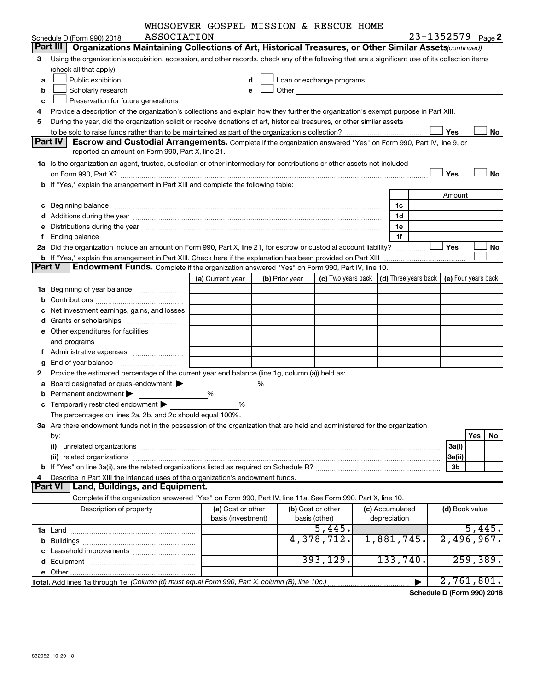| WHOSOEVER GOSPEL MISSION & RESCUE HOME |  |  |  |  |  |  |
|----------------------------------------|--|--|--|--|--|--|
|----------------------------------------|--|--|--|--|--|--|

|        | ASSOCIATION<br>Schedule D (Form 990) 2018                                                                                                                                                                                      | OBVER GODIED MIDDION & REDCOB HOME |                |                                                                                                                       |                                                         | 23-1352579 Page 2 |                     |
|--------|--------------------------------------------------------------------------------------------------------------------------------------------------------------------------------------------------------------------------------|------------------------------------|----------------|-----------------------------------------------------------------------------------------------------------------------|---------------------------------------------------------|-------------------|---------------------|
|        | Part III<br>Organizations Maintaining Collections of Art, Historical Treasures, or Other Similar Assets (continued)                                                                                                            |                                    |                |                                                                                                                       |                                                         |                   |                     |
| З      | Using the organization's acquisition, accession, and other records, check any of the following that are a significant use of its collection items                                                                              |                                    |                |                                                                                                                       |                                                         |                   |                     |
|        | (check all that apply):                                                                                                                                                                                                        |                                    |                |                                                                                                                       |                                                         |                   |                     |
| a      | Public exhibition                                                                                                                                                                                                              | d                                  |                | Loan or exchange programs                                                                                             |                                                         |                   |                     |
| b      | Scholarly research                                                                                                                                                                                                             | e                                  | Other          | <u> 1989 - Johann Harry Barn, mars and de Branch and de Branch and de Branch and de Branch and de Branch and de B</u> |                                                         |                   |                     |
| c      | Preservation for future generations                                                                                                                                                                                            |                                    |                |                                                                                                                       |                                                         |                   |                     |
| 4      | Provide a description of the organization's collections and explain how they further the organization's exempt purpose in Part XIII.                                                                                           |                                    |                |                                                                                                                       |                                                         |                   |                     |
| 5      | During the year, did the organization solicit or receive donations of art, historical treasures, or other similar assets                                                                                                       |                                    |                |                                                                                                                       |                                                         |                   |                     |
|        |                                                                                                                                                                                                                                |                                    |                |                                                                                                                       |                                                         | Yes               | No                  |
|        | Part IV<br><b>Escrow and Custodial Arrangements.</b> Complete if the organization answered "Yes" on Form 990, Part IV, line 9, or                                                                                              |                                    |                |                                                                                                                       |                                                         |                   |                     |
|        | reported an amount on Form 990, Part X, line 21.                                                                                                                                                                               |                                    |                |                                                                                                                       |                                                         |                   |                     |
|        | 1a Is the organization an agent, trustee, custodian or other intermediary for contributions or other assets not included                                                                                                       |                                    |                |                                                                                                                       |                                                         |                   |                     |
|        |                                                                                                                                                                                                                                |                                    |                |                                                                                                                       |                                                         | Yes               | No                  |
|        | b If "Yes," explain the arrangement in Part XIII and complete the following table:                                                                                                                                             |                                    |                |                                                                                                                       |                                                         |                   |                     |
|        |                                                                                                                                                                                                                                |                                    |                |                                                                                                                       |                                                         | Amount            |                     |
|        |                                                                                                                                                                                                                                |                                    |                |                                                                                                                       | 1c                                                      |                   |                     |
| c      | Beginning balance entertainment and an architecture of the state of the state of the state of the state of the                                                                                                                 |                                    |                |                                                                                                                       | 1d                                                      |                   |                     |
|        |                                                                                                                                                                                                                                |                                    |                |                                                                                                                       | 1e                                                      |                   |                     |
|        | Distributions during the year manufactured and an account of the state of the state of the state of the state of the state of the state of the state of the state of the state of the state of the state of the state of the s |                                    |                |                                                                                                                       | 1f                                                      |                   |                     |
|        | 2a Did the organization include an amount on Form 990, Part X, line 21, for escrow or custodial account liability?                                                                                                             |                                    |                |                                                                                                                       |                                                         | Yes               | No                  |
|        | <b>b</b> If "Yes," explain the arrangement in Part XIII. Check here if the explanation has been provided on Part XIII                                                                                                          |                                    |                |                                                                                                                       |                                                         |                   |                     |
| Part V | Endowment Funds. Complete if the organization answered "Yes" on Form 990, Part IV, line 10.                                                                                                                                    |                                    |                |                                                                                                                       |                                                         |                   |                     |
|        |                                                                                                                                                                                                                                | (a) Current year                   | (b) Prior year |                                                                                                                       | (c) Two years back $\vert$ (d) Three years back $\vert$ |                   | (e) Four years back |
|        | 1a Beginning of year balance                                                                                                                                                                                                   |                                    |                |                                                                                                                       |                                                         |                   |                     |
|        |                                                                                                                                                                                                                                |                                    |                |                                                                                                                       |                                                         |                   |                     |
| b      |                                                                                                                                                                                                                                |                                    |                |                                                                                                                       |                                                         |                   |                     |
|        | Net investment earnings, gains, and losses                                                                                                                                                                                     |                                    |                |                                                                                                                       |                                                         |                   |                     |
|        |                                                                                                                                                                                                                                |                                    |                |                                                                                                                       |                                                         |                   |                     |
|        | <b>e</b> Other expenditures for facilities                                                                                                                                                                                     |                                    |                |                                                                                                                       |                                                         |                   |                     |
|        | and programs                                                                                                                                                                                                                   |                                    |                |                                                                                                                       |                                                         |                   |                     |
| f      |                                                                                                                                                                                                                                |                                    |                |                                                                                                                       |                                                         |                   |                     |
| g      | End of year balance                                                                                                                                                                                                            |                                    |                |                                                                                                                       |                                                         |                   |                     |
| 2      | Provide the estimated percentage of the current year end balance (line 1g, column (a)) held as:                                                                                                                                |                                    |                |                                                                                                                       |                                                         |                   |                     |
| a      | Board designated or quasi-endowment                                                                                                                                                                                            |                                    |                |                                                                                                                       |                                                         |                   |                     |
| b      | Permanent endowment                                                                                                                                                                                                            | %                                  |                |                                                                                                                       |                                                         |                   |                     |
|        | Temporarily restricted endowment                                                                                                                                                                                               | %                                  |                |                                                                                                                       |                                                         |                   |                     |
|        | The percentages on lines 2a, 2b, and 2c should equal 100%.                                                                                                                                                                     |                                    |                |                                                                                                                       |                                                         |                   |                     |
|        | 3a Are there endowment funds not in the possession of the organization that are held and administered for the organization                                                                                                     |                                    |                |                                                                                                                       |                                                         |                   |                     |
|        | by:                                                                                                                                                                                                                            |                                    |                |                                                                                                                       |                                                         |                   | Yes<br>No.          |
|        | (i)                                                                                                                                                                                                                            |                                    |                |                                                                                                                       |                                                         | 3a(i)             |                     |
|        |                                                                                                                                                                                                                                |                                    |                |                                                                                                                       |                                                         | 3a(ii)            |                     |
|        |                                                                                                                                                                                                                                |                                    |                |                                                                                                                       |                                                         | 3b                |                     |
|        | Describe in Part XIII the intended uses of the organization's endowment funds.                                                                                                                                                 |                                    |                |                                                                                                                       |                                                         |                   |                     |
|        | <b>Part VI</b><br>Land, Buildings, and Equipment.                                                                                                                                                                              |                                    |                |                                                                                                                       |                                                         |                   |                     |
|        | Complete if the organization answered "Yes" on Form 990, Part IV, line 11a. See Form 990, Part X, line 10.                                                                                                                     |                                    |                |                                                                                                                       |                                                         |                   |                     |
|        | Description of property                                                                                                                                                                                                        | (a) Cost or other                  |                | (b) Cost or other                                                                                                     | (c) Accumulated                                         | (d) Book value    |                     |
|        |                                                                                                                                                                                                                                | basis (investment)                 |                | basis (other)                                                                                                         | depreciation                                            |                   |                     |
|        |                                                                                                                                                                                                                                |                                    |                | 5,445.                                                                                                                |                                                         |                   | 5,445.              |
| b      |                                                                                                                                                                                                                                |                                    |                | 4,378,712.                                                                                                            | 1,881,745.                                              |                   | 2,496,967.          |
|        | Leasehold improvements                                                                                                                                                                                                         |                                    |                |                                                                                                                       |                                                         |                   |                     |
|        |                                                                                                                                                                                                                                |                                    |                | 393, 129.                                                                                                             | 133,740.                                                |                   | 259, 389.           |
|        |                                                                                                                                                                                                                                |                                    |                |                                                                                                                       |                                                         |                   |                     |
|        | Total. Add lines 1a through 1e. (Column (d) must equal Form 990, Part X, column (B), line 10c.)                                                                                                                                |                                    |                |                                                                                                                       |                                                         |                   | 2,761,801.          |

**Schedule D (Form 990) 2018**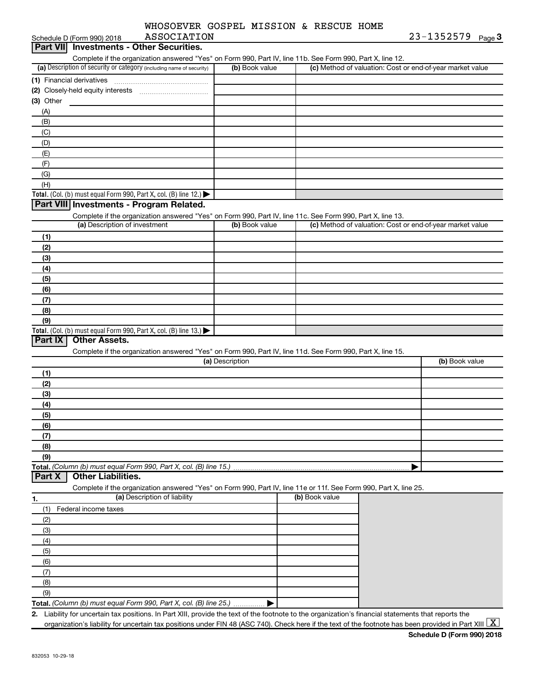| WHOSOEVER GOSPEL MISSION & RESCUE HOME |  |  |  |
|----------------------------------------|--|--|--|
|                                        |  |  |  |

| ASSOCIATION<br>Schedule D (Form 990) 2018                                                                                                                             |                 |                | 23-1352579 Page 3                                         |  |
|-----------------------------------------------------------------------------------------------------------------------------------------------------------------------|-----------------|----------------|-----------------------------------------------------------|--|
| <b>Investments - Other Securities.</b><br><b>Part VIII</b>                                                                                                            |                 |                |                                                           |  |
| Complete if the organization answered "Yes" on Form 990, Part IV, line 11b. See Form 990, Part X, line 12.                                                            |                 |                |                                                           |  |
| (a) Description of security or category (including name of security)                                                                                                  | (b) Book value  |                | (c) Method of valuation: Cost or end-of-year market value |  |
| (1) Financial derivatives                                                                                                                                             |                 |                |                                                           |  |
|                                                                                                                                                                       |                 |                |                                                           |  |
| (3) Other                                                                                                                                                             |                 |                |                                                           |  |
| (A)                                                                                                                                                                   |                 |                |                                                           |  |
| (B)                                                                                                                                                                   |                 |                |                                                           |  |
|                                                                                                                                                                       |                 |                |                                                           |  |
| (C)                                                                                                                                                                   |                 |                |                                                           |  |
| (D)                                                                                                                                                                   |                 |                |                                                           |  |
| (E)                                                                                                                                                                   |                 |                |                                                           |  |
| (F)                                                                                                                                                                   |                 |                |                                                           |  |
| (G)                                                                                                                                                                   |                 |                |                                                           |  |
| (H)                                                                                                                                                                   |                 |                |                                                           |  |
| Total. (Col. (b) must equal Form 990, Part X, col. (B) line 12.) $\blacktriangleright$                                                                                |                 |                |                                                           |  |
| Part VIII Investments - Program Related.                                                                                                                              |                 |                |                                                           |  |
| Complete if the organization answered "Yes" on Form 990, Part IV, line 11c. See Form 990, Part X, line 13.                                                            |                 |                |                                                           |  |
| (a) Description of investment                                                                                                                                         | (b) Book value  |                | (c) Method of valuation: Cost or end-of-year market value |  |
| (1)                                                                                                                                                                   |                 |                |                                                           |  |
| (2)                                                                                                                                                                   |                 |                |                                                           |  |
| (3)                                                                                                                                                                   |                 |                |                                                           |  |
| (4)                                                                                                                                                                   |                 |                |                                                           |  |
| (5)                                                                                                                                                                   |                 |                |                                                           |  |
| (6)                                                                                                                                                                   |                 |                |                                                           |  |
| (7)                                                                                                                                                                   |                 |                |                                                           |  |
| (8)                                                                                                                                                                   |                 |                |                                                           |  |
|                                                                                                                                                                       |                 |                |                                                           |  |
| (9)                                                                                                                                                                   |                 |                |                                                           |  |
| Total. (Col. (b) must equal Form 990, Part X, col. (B) line $13.$ )<br><b>Other Assets.</b><br>Part IX                                                                |                 |                |                                                           |  |
|                                                                                                                                                                       |                 |                |                                                           |  |
| Complete if the organization answered "Yes" on Form 990, Part IV, line 11d. See Form 990, Part X, line 15.                                                            |                 |                |                                                           |  |
|                                                                                                                                                                       | (a) Description |                | (b) Book value                                            |  |
| (1)                                                                                                                                                                   |                 |                |                                                           |  |
| (2)                                                                                                                                                                   |                 |                |                                                           |  |
| (3)                                                                                                                                                                   |                 |                |                                                           |  |
| (4)                                                                                                                                                                   |                 |                |                                                           |  |
| (5)                                                                                                                                                                   |                 |                |                                                           |  |
| (6)                                                                                                                                                                   |                 |                |                                                           |  |
| (7)                                                                                                                                                                   |                 |                |                                                           |  |
| (8)                                                                                                                                                                   |                 |                |                                                           |  |
| (9)                                                                                                                                                                   |                 |                |                                                           |  |
| Total. (Column (b) must equal Form 990, Part X, col. (B) line 15.)                                                                                                    |                 |                |                                                           |  |
| <b>Other Liabilities.</b><br>Part X                                                                                                                                   |                 |                |                                                           |  |
| Complete if the organization answered "Yes" on Form 990, Part IV, line 11e or 11f. See Form 990, Part X, line 25.                                                     |                 |                |                                                           |  |
| (a) Description of liability                                                                                                                                          |                 | (b) Book value |                                                           |  |
| 1.                                                                                                                                                                    |                 |                |                                                           |  |
| Federal income taxes<br>(1)                                                                                                                                           |                 |                |                                                           |  |
| (2)                                                                                                                                                                   |                 |                |                                                           |  |
| (3)                                                                                                                                                                   |                 |                |                                                           |  |
| (4)                                                                                                                                                                   |                 |                |                                                           |  |
| (5)                                                                                                                                                                   |                 |                |                                                           |  |
| (6)                                                                                                                                                                   |                 |                |                                                           |  |
| (7)                                                                                                                                                                   |                 |                |                                                           |  |
| (8)                                                                                                                                                                   |                 |                |                                                           |  |
| (9)                                                                                                                                                                   |                 |                |                                                           |  |
| Total. (Column (b) must equal Form 990, Part X, col. (B) line 25.)                                                                                                    |                 |                |                                                           |  |
| 2. Liability for uncertain tax positions. In Part XIII, provide the text of the footnote to the organization's financial statements that reports the                  |                 |                |                                                           |  |
| organization's liability for uncertain tax positions under FIN 48 (ASC 740). Check here if the text of the footnote has been provided in Part XIII $\boxed{\text{X}}$ |                 |                |                                                           |  |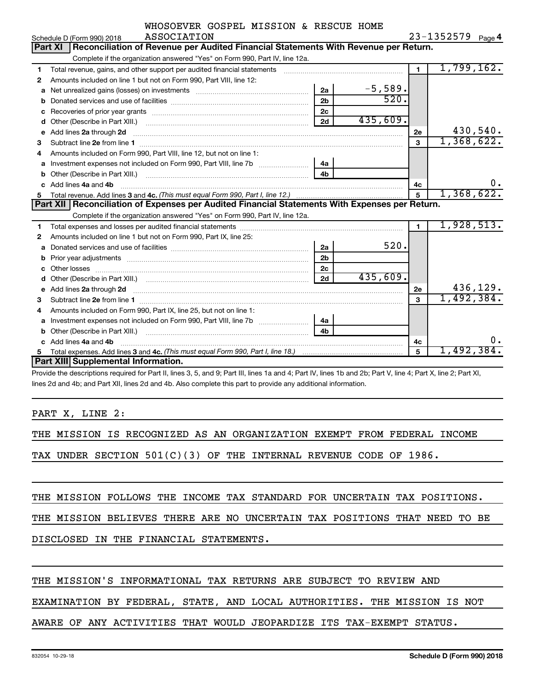| WHOSOEVER GOSPEL MISSION & RESCUE HOME |  |  |                |
|----------------------------------------|--|--|----------------|
| <b>ACCOCTATION</b>                     |  |  | $73 - 1357570$ |

|    | Schedule D (Form 990) 2018<br>ASSOCIATION                                                                                                                                                                                            |                |           |              | 23-1352579<br>Page 4 |
|----|--------------------------------------------------------------------------------------------------------------------------------------------------------------------------------------------------------------------------------------|----------------|-----------|--------------|----------------------|
|    | <b>Part XI</b><br>Reconciliation of Revenue per Audited Financial Statements With Revenue per Return.                                                                                                                                |                |           |              |                      |
|    | Complete if the organization answered "Yes" on Form 990, Part IV, line 12a.                                                                                                                                                          |                |           |              |                      |
| 1  | Total revenue, gains, and other support per audited financial statements                                                                                                                                                             |                |           | $\mathbf{1}$ | 1,799,162.           |
| 2  | Amounts included on line 1 but not on Form 990, Part VIII, line 12:                                                                                                                                                                  |                |           |              |                      |
| a  |                                                                                                                                                                                                                                      | 2a             | $-5,589.$ |              |                      |
| b  |                                                                                                                                                                                                                                      | 2 <sub>b</sub> | 520.      |              |                      |
| с  | Recoveries of prior year grants [111] matter contracts and prior year grants [11] matter contracts and a recovering to the contract of the contracts of prior year grants [11] matter contracts and a recovering to the contra       | 2 <sub>c</sub> |           |              |                      |
| d  |                                                                                                                                                                                                                                      | 2d             | 435,609.  |              |                      |
| e  | Add lines 2a through 2d                                                                                                                                                                                                              |                |           | 2e           | 430,540.             |
| 3  |                                                                                                                                                                                                                                      |                |           | 3            | 1,368,622.           |
| 4  | Amounts included on Form 990, Part VIII, line 12, but not on line 1:                                                                                                                                                                 |                |           |              |                      |
| a  |                                                                                                                                                                                                                                      | 4a             |           |              |                      |
|    |                                                                                                                                                                                                                                      | 4 <sub>b</sub> |           |              |                      |
|    | Add lines 4a and 4b                                                                                                                                                                                                                  |                |           | 4c           | ο.                   |
|    |                                                                                                                                                                                                                                      |                |           |              |                      |
| 5  |                                                                                                                                                                                                                                      |                |           | 5            | 1,368,622.           |
|    | Part XII Reconciliation of Expenses per Audited Financial Statements With Expenses per Return.                                                                                                                                       |                |           |              |                      |
|    | Complete if the organization answered "Yes" on Form 990, Part IV, line 12a.                                                                                                                                                          |                |           |              |                      |
| 1  |                                                                                                                                                                                                                                      |                |           | 1            | 1,928,513.           |
| 2  | Amounts included on line 1 but not on Form 990, Part IX, line 25:                                                                                                                                                                    |                |           |              |                      |
| a  |                                                                                                                                                                                                                                      | 2a             | 520.      |              |                      |
| b  |                                                                                                                                                                                                                                      | 2 <sub>b</sub> |           |              |                      |
|    | Other losses                                                                                                                                                                                                                         | 2 <sub>c</sub> |           |              |                      |
| d  |                                                                                                                                                                                                                                      | 2d             | 435,609.  |              |                      |
| e  |                                                                                                                                                                                                                                      |                |           | 2e           | 436,129.             |
| з  | Add lines 2a through 2d <b>continuum continuum contract and all the contract of the contract of the contract of the contract of the contract of the contract of the contract of the contract of the contract of the contract of </b> |                |           | 3            | 1,492,384.           |
| 4  | Amounts included on Form 990, Part IX, line 25, but not on line 1:                                                                                                                                                                   |                |           |              |                      |
| a  |                                                                                                                                                                                                                                      | 4a             |           |              |                      |
| b  |                                                                                                                                                                                                                                      | 4 <sub>b</sub> |           |              |                      |
| c. | Add lines 4a and 4b                                                                                                                                                                                                                  |                |           | 4с           | ο.                   |
|    |                                                                                                                                                                                                                                      |                |           | 5            | 1,492,384.           |
|    | <b>Part XIII Supplemental Information.</b>                                                                                                                                                                                           |                |           |              |                      |

Provide the descriptions required for Part II, lines 3, 5, and 9; Part III, lines 1a and 4; Part IV, lines 1b and 2b; Part V, line 4; Part X, line 2; Part XI, lines 2d and 4b; and Part XII, lines 2d and 4b. Also complete this part to provide any additional information.

PART X, LINE 2:

THE MISSION IS RECOGNIZED AS AN ORGANIZATION EXEMPT FROM FEDERAL INCOME

TAX UNDER SECTION 501(C)(3) OF THE INTERNAL REVENUE CODE OF 1986.

THE MISSION FOLLOWS THE INCOME TAX STANDARD FOR UNCERTAIN TAX POSITIONS.

THE MISSION BELIEVES THERE ARE NO UNCERTAIN TAX POSITIONS THAT NEED TO BE

DISCLOSED IN THE FINANCIAL STATEMENTS.

#### THE MISSION'S INFORMATIONAL TAX RETURNS ARE SUBJECT TO REVIEW AND

EXAMINATION BY FEDERAL, STATE, AND LOCAL AUTHORITIES. THE MISSION IS NOT

#### AWARE OF ANY ACTIVITIES THAT WOULD JEOPARDIZE ITS TAX-EXEMPT STATUS.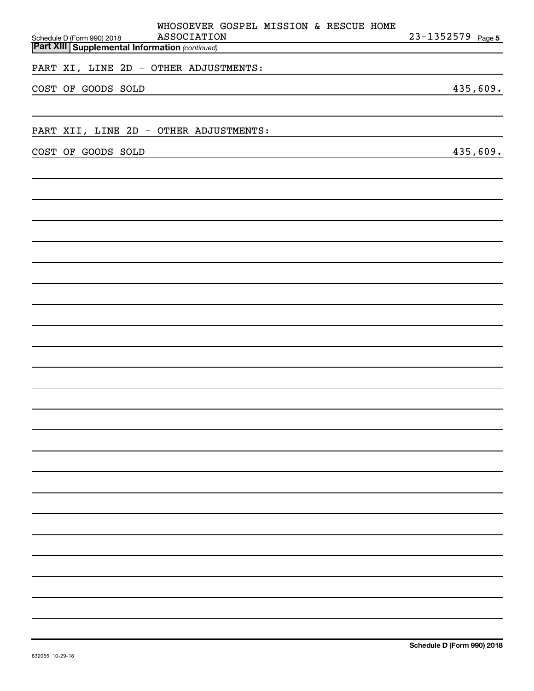|                                                                                     |                    | WHOSOEVER GOSPEL MISSION & RESCUE HOME |                       |
|-------------------------------------------------------------------------------------|--------------------|----------------------------------------|-----------------------|
| Schedule D (Form 990) 2018<br><b>Part XIII Supplemental Information (continued)</b> | <b>ASSOCIATION</b> |                                        | $23 - 1352579$ Page 5 |
|                                                                                     |                    |                                        |                       |
| PART XI, LINE 2D - OTHER ADJUSTMENTS:                                               |                    |                                        |                       |
| COST OF GOODS SOLD                                                                  |                    |                                        | 435,609.              |
|                                                                                     |                    |                                        |                       |
|                                                                                     |                    |                                        |                       |
| PART XII, LINE 2D - OTHER ADJUSTMENTS:                                              |                    |                                        |                       |
|                                                                                     |                    |                                        |                       |
| COST OF GOODS SOLD                                                                  |                    |                                        | 435,609.              |
|                                                                                     |                    |                                        |                       |
|                                                                                     |                    |                                        |                       |
|                                                                                     |                    |                                        |                       |
|                                                                                     |                    |                                        |                       |
|                                                                                     |                    |                                        |                       |
|                                                                                     |                    |                                        |                       |
|                                                                                     |                    |                                        |                       |
|                                                                                     |                    |                                        |                       |
|                                                                                     |                    |                                        |                       |
|                                                                                     |                    |                                        |                       |
|                                                                                     |                    |                                        |                       |
|                                                                                     |                    |                                        |                       |
|                                                                                     |                    |                                        |                       |
|                                                                                     |                    |                                        |                       |
|                                                                                     |                    |                                        |                       |
|                                                                                     |                    |                                        |                       |
|                                                                                     |                    |                                        |                       |
|                                                                                     |                    |                                        |                       |
|                                                                                     |                    |                                        |                       |
|                                                                                     |                    |                                        |                       |
|                                                                                     |                    |                                        |                       |
|                                                                                     |                    |                                        |                       |
|                                                                                     |                    |                                        |                       |
|                                                                                     |                    |                                        |                       |
|                                                                                     |                    |                                        |                       |
|                                                                                     |                    |                                        |                       |
|                                                                                     |                    |                                        |                       |
|                                                                                     |                    |                                        |                       |
|                                                                                     |                    |                                        |                       |
|                                                                                     |                    |                                        |                       |
|                                                                                     |                    |                                        |                       |
|                                                                                     |                    |                                        |                       |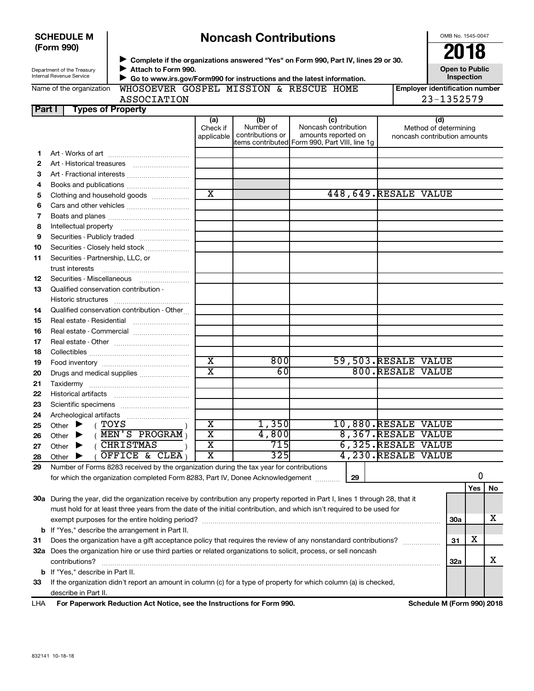|      | <b>SCHEDULE M</b><br>(Form 990)                        |                                             |                               | <b>Noncash Contributions</b>         |                                                                                                                                                                |                        | OMB No. 1545-0047                                            |
|------|--------------------------------------------------------|---------------------------------------------|-------------------------------|--------------------------------------|----------------------------------------------------------------------------------------------------------------------------------------------------------------|------------------------|--------------------------------------------------------------|
|      | Department of the Treasury<br>Internal Revenue Service | Attach to Form 990.                         |                               |                                      | ▶ Complete if the organizations answered "Yes" on Form 990, Part IV, lines 29 or 30.<br>Go to www.irs.gov/Form990 for instructions and the latest information. |                        | 2018<br><b>Open to Public</b><br>Inspection                  |
|      | Name of the organization                               | WHOSOEVER GOSPEL MISSION & RESCUE HOME      |                               |                                      |                                                                                                                                                                |                        | <b>Employer identification number</b>                        |
|      |                                                        | <b>ASSOCIATION</b>                          |                               |                                      |                                                                                                                                                                |                        | 23-1352579                                                   |
|      | <b>Types of Property</b><br>Part I                     |                                             |                               |                                      |                                                                                                                                                                |                        |                                                              |
|      |                                                        |                                             | (a)<br>Check if<br>applicable | (b)<br>Number of<br>contributions or | (c)<br>Noncash contribution<br>amounts reported on<br>items contributed Form 990, Part VIII, line 1g                                                           |                        | (d)<br>Method of determining<br>noncash contribution amounts |
| 1    |                                                        |                                             |                               |                                      |                                                                                                                                                                |                        |                                                              |
| 2    |                                                        |                                             |                               |                                      |                                                                                                                                                                |                        |                                                              |
| 3    |                                                        | Art - Fractional interests                  |                               |                                      |                                                                                                                                                                |                        |                                                              |
| 4    |                                                        | Books and publications                      |                               |                                      |                                                                                                                                                                |                        |                                                              |
| 5    |                                                        | Clothing and household goods                | $\overline{\mathbf{x}}$       |                                      |                                                                                                                                                                | 448, 649. RESALE VALUE |                                                              |
| 6    |                                                        |                                             |                               |                                      |                                                                                                                                                                |                        |                                                              |
| 7    |                                                        |                                             |                               |                                      |                                                                                                                                                                |                        |                                                              |
| 8    |                                                        |                                             |                               |                                      |                                                                                                                                                                |                        |                                                              |
| 9    |                                                        | Securities - Publicly traded                |                               |                                      |                                                                                                                                                                |                        |                                                              |
| 10   |                                                        | Securities - Closely held stock             |                               |                                      |                                                                                                                                                                |                        |                                                              |
| 11   | Securities - Partnership, LLC, or<br>trust interests   |                                             |                               |                                      |                                                                                                                                                                |                        |                                                              |
| 12   |                                                        |                                             |                               |                                      |                                                                                                                                                                |                        |                                                              |
| 13   | Qualified conservation contribution -                  |                                             |                               |                                      |                                                                                                                                                                |                        |                                                              |
| 14   |                                                        | Qualified conservation contribution - Other |                               |                                      |                                                                                                                                                                |                        |                                                              |
| 15   |                                                        |                                             |                               |                                      |                                                                                                                                                                |                        |                                                              |
| 16   |                                                        | Real estate - Commercial                    |                               |                                      |                                                                                                                                                                |                        |                                                              |
| 17   |                                                        |                                             |                               |                                      |                                                                                                                                                                |                        |                                                              |
| 18   |                                                        |                                             |                               |                                      |                                                                                                                                                                |                        |                                                              |
| 19   |                                                        |                                             | $\overline{\text{x}}$         | 800                                  |                                                                                                                                                                | 59,503.RESALE VALUE    |                                                              |
| 20   |                                                        | Drugs and medical supplies                  | $\overline{\mathbf{x}}$       | 60                                   |                                                                                                                                                                | 800.RESALE VALUE       |                                                              |
| 21   |                                                        |                                             |                               |                                      |                                                                                                                                                                |                        |                                                              |
| 22   |                                                        |                                             |                               |                                      |                                                                                                                                                                |                        |                                                              |
| - רפ | Scientific specimens                                   |                                             |                               |                                      |                                                                                                                                                                |                        |                                                              |

| 22 | <b>Historical artifacts</b>                                                                                                                                                                                                                             |   |       |  |  |                    |       |            |            |     |  |
|----|---------------------------------------------------------------------------------------------------------------------------------------------------------------------------------------------------------------------------------------------------------|---|-------|--|--|--------------------|-------|------------|------------|-----|--|
| 23 | Scientific specimens                                                                                                                                                                                                                                    |   |       |  |  |                    |       |            |            |     |  |
| 24 | Archeological artifacts                                                                                                                                                                                                                                 |   |       |  |  |                    |       |            |            |     |  |
| 25 | TOYS<br>Other $\blacktriangleright$                                                                                                                                                                                                                     | х | 1,350 |  |  | $10,880$ .RESALE   | VALUE |            |            |     |  |
| 26 | MEN'S PROGRAM<br>Other $\blacktriangleright$                                                                                                                                                                                                            | x | 4,800 |  |  | 8,367.RESALE       | VALUE |            |            |     |  |
| 27 | CHRISTMAS<br>Other $\blacktriangleright$                                                                                                                                                                                                                | х | 7151  |  |  | 6,325.RESALE       | VALUE |            |            |     |  |
| 28 | OFFICE & CLEA)<br>Other                                                                                                                                                                                                                                 | х | 325I  |  |  | 4,230.RESALE VALUE |       |            |            |     |  |
| 29 | Number of Forms 8283 received by the organization during the tax year for contributions<br>for which the organization completed Form 8283, Part IV, Donee Acknowledgement<br>29                                                                         |   |       |  |  |                    |       |            |            |     |  |
|    |                                                                                                                                                                                                                                                         |   |       |  |  |                    |       |            | <b>Yes</b> | No. |  |
|    | 30a During the year, did the organization receive by contribution any property reported in Part I, lines 1 through 28, that it<br>must hold for at least three years from the date of the initial contribution, and which isn't required to be used for |   |       |  |  |                    |       |            |            |     |  |
|    | exempt purposes for the entire holding period?                                                                                                                                                                                                          |   |       |  |  |                    |       | <b>30a</b> |            | х   |  |
|    | <b>b</b> If "Yes," describe the arrangement in Part II.                                                                                                                                                                                                 |   |       |  |  |                    |       |            |            |     |  |
|    |                                                                                                                                                                                                                                                         |   |       |  |  |                    |       |            | --         |     |  |

## **31** Does the organization have a gift acceptance policy that requires the review of any nonstandard contributions?  $\frac{1}{\sqrt{31}}$  31  $\,$  X **32 a** Does the organization hire or use third parties or related organizations to solicit, process, or sell noncash **33 32a b** If "Yes," describe in Part II.  $\text{contributions?}$   $\ldots$   $\ldots$   $\ldots$   $\ldots$   $\ldots$   $\ldots$   $\ldots$   $\ldots$   $\ldots$   $\ldots$   $\ldots$   $\ldots$   $\ldots$   $\ldots$   $\ldots$   $\ldots$   $\ldots$   $\ldots$   $\ldots$   $\ldots$   $\ldots$   $\ldots$   $\ldots$   $\ldots$   $\ldots$   $\ldots$   $\ldots$   $\ldots$   $\ldots$   $\ldots$   $\ldots$   $\ldots$   $\ldots$   $\ldots$   $\ldots$  If the organization didn't report an amount in column (c) for a type of property for which column (a) is checked, X

describe in Part II.

**For Paperwork Reduction Act Notice, see the Instructions for Form 990. Schedule M (Form 990) 2018** LHA

# **Noncash Contributions**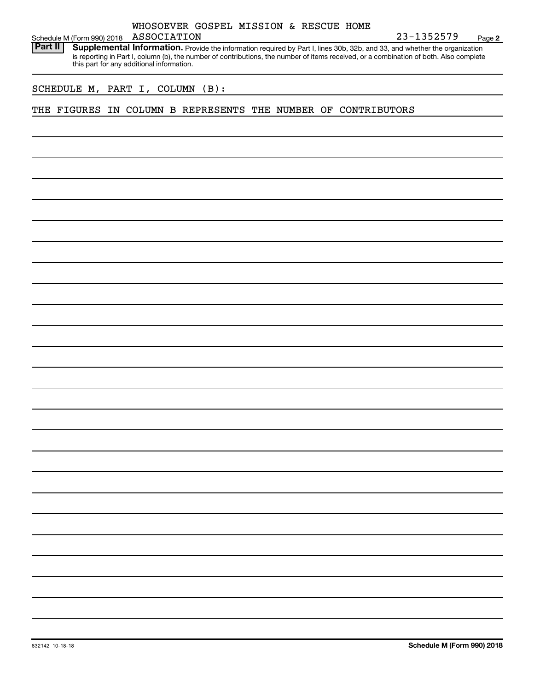| ASSOCIATION<br>23-1352579<br>Schedule M (Form 990) 2018<br><b>Part II</b><br>Supplemental Information. Provide the information required by Part I, lines 30b, 32b, and 33, and whether the organization<br>is reporting in Part I, column (b), the number of contributions, the number of items received, or a combination of both. Also complete<br>this part for any additional information.<br>SCHEDULE M, PART I, COLUMN (B):<br>THE FIGURES IN COLUMN B REPRESENTS THE NUMBER OF CONTRIBUTORS |  |  |  | WHOSOEVER GOSPEL MISSION & RESCUE HOME |  |  |        |
|----------------------------------------------------------------------------------------------------------------------------------------------------------------------------------------------------------------------------------------------------------------------------------------------------------------------------------------------------------------------------------------------------------------------------------------------------------------------------------------------------|--|--|--|----------------------------------------|--|--|--------|
|                                                                                                                                                                                                                                                                                                                                                                                                                                                                                                    |  |  |  |                                        |  |  | Page 2 |
|                                                                                                                                                                                                                                                                                                                                                                                                                                                                                                    |  |  |  |                                        |  |  |        |
|                                                                                                                                                                                                                                                                                                                                                                                                                                                                                                    |  |  |  |                                        |  |  |        |
|                                                                                                                                                                                                                                                                                                                                                                                                                                                                                                    |  |  |  |                                        |  |  |        |
|                                                                                                                                                                                                                                                                                                                                                                                                                                                                                                    |  |  |  |                                        |  |  |        |
|                                                                                                                                                                                                                                                                                                                                                                                                                                                                                                    |  |  |  |                                        |  |  |        |
|                                                                                                                                                                                                                                                                                                                                                                                                                                                                                                    |  |  |  |                                        |  |  |        |
|                                                                                                                                                                                                                                                                                                                                                                                                                                                                                                    |  |  |  |                                        |  |  |        |
|                                                                                                                                                                                                                                                                                                                                                                                                                                                                                                    |  |  |  |                                        |  |  |        |
|                                                                                                                                                                                                                                                                                                                                                                                                                                                                                                    |  |  |  |                                        |  |  |        |
|                                                                                                                                                                                                                                                                                                                                                                                                                                                                                                    |  |  |  |                                        |  |  |        |
|                                                                                                                                                                                                                                                                                                                                                                                                                                                                                                    |  |  |  |                                        |  |  |        |
|                                                                                                                                                                                                                                                                                                                                                                                                                                                                                                    |  |  |  |                                        |  |  |        |
|                                                                                                                                                                                                                                                                                                                                                                                                                                                                                                    |  |  |  |                                        |  |  |        |
|                                                                                                                                                                                                                                                                                                                                                                                                                                                                                                    |  |  |  |                                        |  |  |        |
|                                                                                                                                                                                                                                                                                                                                                                                                                                                                                                    |  |  |  |                                        |  |  |        |
|                                                                                                                                                                                                                                                                                                                                                                                                                                                                                                    |  |  |  |                                        |  |  |        |
|                                                                                                                                                                                                                                                                                                                                                                                                                                                                                                    |  |  |  |                                        |  |  |        |
|                                                                                                                                                                                                                                                                                                                                                                                                                                                                                                    |  |  |  |                                        |  |  |        |
|                                                                                                                                                                                                                                                                                                                                                                                                                                                                                                    |  |  |  |                                        |  |  |        |
|                                                                                                                                                                                                                                                                                                                                                                                                                                                                                                    |  |  |  |                                        |  |  |        |
|                                                                                                                                                                                                                                                                                                                                                                                                                                                                                                    |  |  |  |                                        |  |  |        |
|                                                                                                                                                                                                                                                                                                                                                                                                                                                                                                    |  |  |  |                                        |  |  |        |
|                                                                                                                                                                                                                                                                                                                                                                                                                                                                                                    |  |  |  |                                        |  |  |        |
|                                                                                                                                                                                                                                                                                                                                                                                                                                                                                                    |  |  |  |                                        |  |  |        |
|                                                                                                                                                                                                                                                                                                                                                                                                                                                                                                    |  |  |  |                                        |  |  |        |
|                                                                                                                                                                                                                                                                                                                                                                                                                                                                                                    |  |  |  |                                        |  |  |        |
|                                                                                                                                                                                                                                                                                                                                                                                                                                                                                                    |  |  |  |                                        |  |  |        |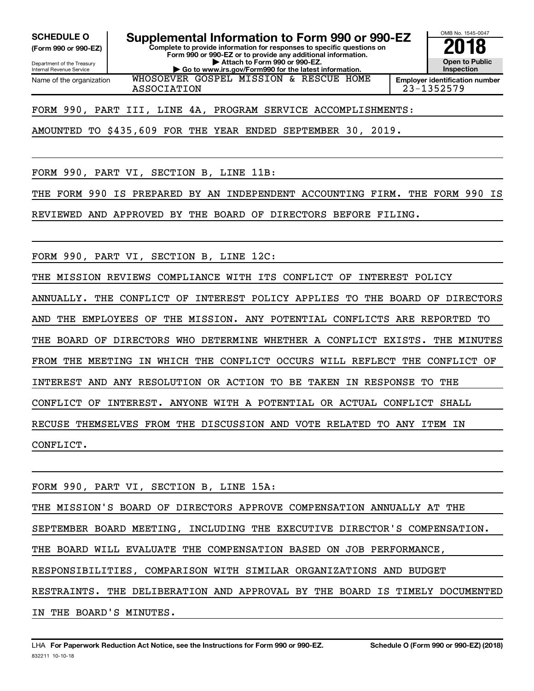**(Form 990 or 990-EZ)**

Department of the Treasury Internal Revenue Service Name of the organization

**Complete to provide information for responses to specific questions on** SCHEDULE O **Supplemental Information to Form 990 or 990-EZ** 2018<br>(Form 990 or 990-EZ) **2018** 

**Form 990 or 990-EZ or to provide any additional information. | Attach to Form 990 or 990-EZ. | Go to www.irs.gov/Form990 for the latest information.** WHOSOEVER GOSPEL MISSION & RESCUE HOME



ASSOCIATION 23-1352579

FORM 990, PART III, LINE 4A, PROGRAM SERVICE ACCOMPLISHMENTS:

AMOUNTED TO \$435,609 FOR THE YEAR ENDED SEPTEMBER 30, 2019.

FORM 990, PART VI, SECTION B, LINE 11B:

THE FORM 990 IS PREPARED BY AN INDEPENDENT ACCOUNTING FIRM. THE FORM 990 IS

REVIEWED AND APPROVED BY THE BOARD OF DIRECTORS BEFORE FILING.

FORM 990, PART VI, SECTION B, LINE 12C:

THE MISSION REVIEWS COMPLIANCE WITH ITS CONFLICT OF INTEREST POLICY

ANNUALLY. THE CONFLICT OF INTEREST POLICY APPLIES TO THE BOARD OF DIRECTORS AND THE EMPLOYEES OF THE MISSION. ANY POTENTIAL CONFLICTS ARE REPORTED TO THE BOARD OF DIRECTORS WHO DETERMINE WHETHER A CONFLICT EXISTS. THE MINUTES FROM THE MEETING IN WHICH THE CONFLICT OCCURS WILL REFLECT THE CONFLICT OF INTEREST AND ANY RESOLUTION OR ACTION TO BE TAKEN IN RESPONSE TO THE CONFLICT OF INTEREST. ANYONE WITH A POTENTIAL OR ACTUAL CONFLICT SHALL RECUSE THEMSELVES FROM THE DISCUSSION AND VOTE RELATED TO ANY ITEM IN CONFLICT.

FORM 990, PART VI, SECTION B, LINE 15A: THE MISSION'S BOARD OF DIRECTORS APPROVE COMPENSATION ANNUALLY AT THE SEPTEMBER BOARD MEETING, INCLUDING THE EXECUTIVE DIRECTOR'S COMPENSATION. THE BOARD WILL EVALUATE THE COMPENSATION BASED ON JOB PERFORMANCE, RESPONSIBILITIES, COMPARISON WITH SIMILAR ORGANIZATIONS AND BUDGET RESTRAINTS. THE DELIBERATION AND APPROVAL BY THE BOARD IS TIMELY DOCUMENTED IN THE BOARD'S MINUTES.